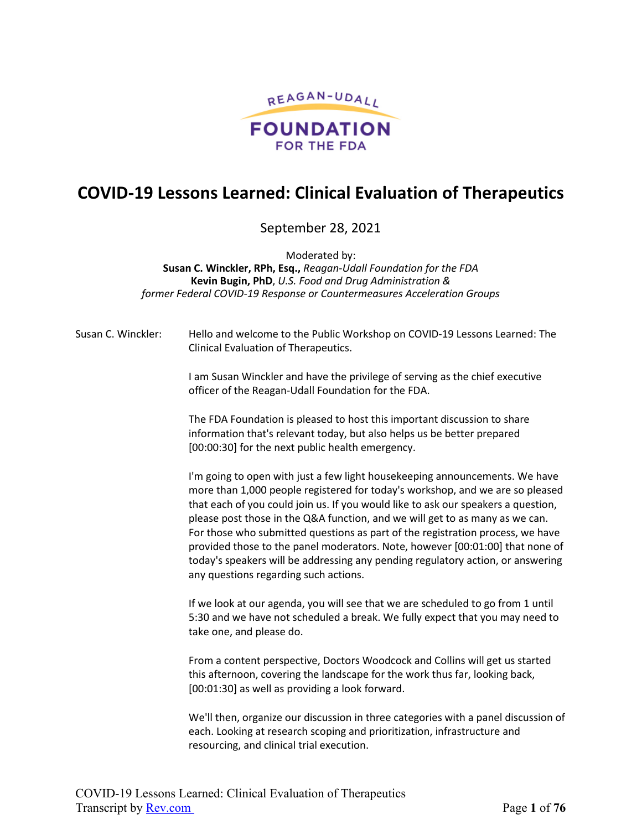

# **COVID-19 Lessons Learned: Clinical Evaluation of Therapeutics**

September 28, 2021

Moderated by: **Susan C. Winckler, RPh, Esq.,** *Reagan-Udall Foundation for the FDA* **Kevin Bugin, PhD**, *U.S. Food and Drug Administration & former Federal COVID-19 Response or Countermeasures Acceleration Groups*

Susan C. Winckler: Hello and welcome to the Public Workshop on COVID-19 Lessons Learned: The Clinical Evaluation of Therapeutics.

> I am Susan Winckler and have the privilege of serving as the chief executive officer of the Reagan-Udall Foundation for the FDA.

The FDA Foundation is pleased to host this important discussion to share information that's relevant today, but also helps us be better prepared [00:00:30] for the next public health emergency.

I'm going to open with just a few light housekeeping announcements. We have more than 1,000 people registered for today's workshop, and we are so pleased that each of you could join us. If you would like to ask our speakers a question, please post those in the Q&A function, and we will get to as many as we can. For those who submitted questions as part of the registration process, we have provided those to the panel moderators. Note, however [00:01:00] that none of today's speakers will be addressing any pending regulatory action, or answering any questions regarding such actions.

If we look at our agenda, you will see that we are scheduled to go from 1 until 5:30 and we have not scheduled a break. We fully expect that you may need to take one, and please do.

From a content perspective, Doctors Woodcock and Collins will get us started this afternoon, covering the landscape for the work thus far, looking back, [00:01:30] as well as providing a look forward.

We'll then, organize our discussion in three categories with a panel discussion of each. Looking at research scoping and prioritization, infrastructure and resourcing, and clinical trial execution.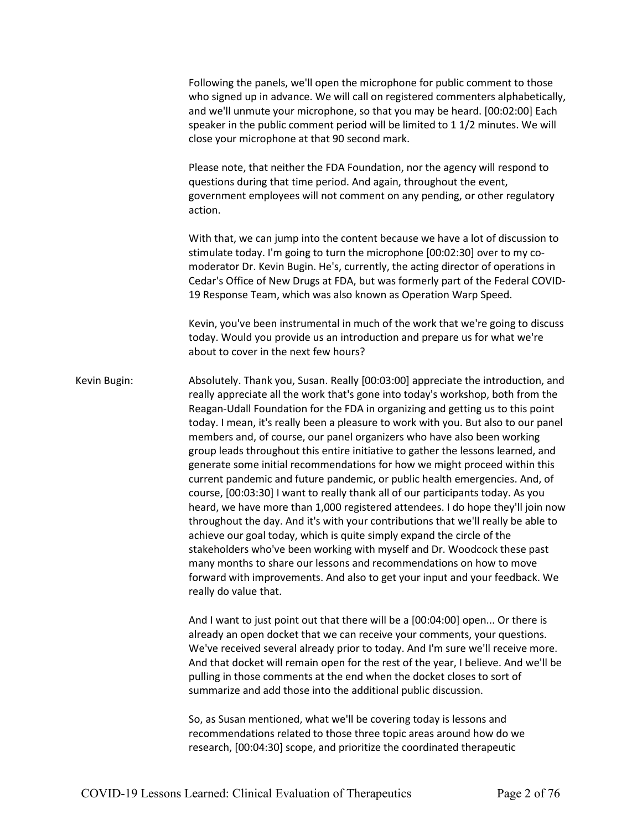Following the panels, we'll open the microphone for public comment to those who signed up in advance. We will call on registered commenters alphabetically, and we'll unmute your microphone, so that you may be heard. [00:02:00] Each speaker in the public comment period will be limited to 1 1/2 minutes. We will close your microphone at that 90 second mark.

Please note, that neither the FDA Foundation, nor the agency will respond to questions during that time period. And again, throughout the event, government employees will not comment on any pending, or other regulatory action.

With that, we can jump into the content because we have a lot of discussion to stimulate today. I'm going to turn the microphone [00:02:30] over to my comoderator Dr. Kevin Bugin. He's, currently, the acting director of operations in Cedar's Office of New Drugs at FDA, but was formerly part of the Federal COVID-19 Response Team, which was also known as Operation Warp Speed.

Kevin, you've been instrumental in much of the work that we're going to discuss today. Would you provide us an introduction and prepare us for what we're about to cover in the next few hours?

Kevin Bugin: Absolutely. Thank you, Susan. Really [00:03:00] appreciate the introduction, and really appreciate all the work that's gone into today's workshop, both from the Reagan-Udall Foundation for the FDA in organizing and getting us to this point today. I mean, it's really been a pleasure to work with you. But also to our panel members and, of course, our panel organizers who have also been working group leads throughout this entire initiative to gather the lessons learned, and generate some initial recommendations for how we might proceed within this current pandemic and future pandemic, or public health emergencies. And, of course, [00:03:30] I want to really thank all of our participants today. As you heard, we have more than 1,000 registered attendees. I do hope they'll join now throughout the day. And it's with your contributions that we'll really be able to achieve our goal today, which is quite simply expand the circle of the stakeholders who've been working with myself and Dr. Woodcock these past many months to share our lessons and recommendations on how to move forward with improvements. And also to get your input and your feedback. We really do value that.

> And I want to just point out that there will be a [00:04:00] open... Or there is already an open docket that we can receive your comments, your questions. We've received several already prior to today. And I'm sure we'll receive more. And that docket will remain open for the rest of the year, I believe. And we'll be pulling in those comments at the end when the docket closes to sort of summarize and add those into the additional public discussion.

So, as Susan mentioned, what we'll be covering today is lessons and recommendations related to those three topic areas around how do we research, [00:04:30] scope, and prioritize the coordinated therapeutic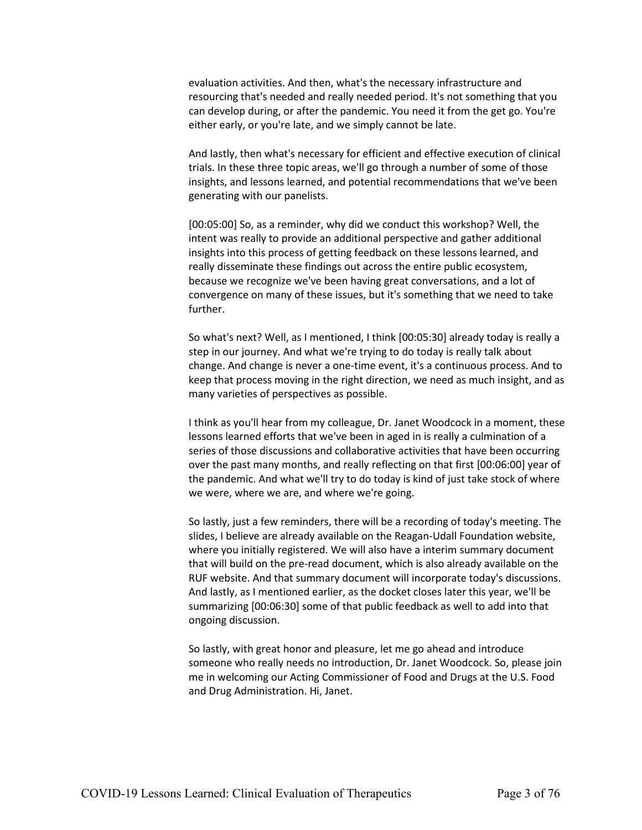evaluation activities. And then, what's the necessary infrastructure and resourcing that's needed and really needed period. It's not something that you can develop during, or after the pandemic. You need it from the get go. You're either early, or you're late, and we simply cannot be late.

And lastly, then what's necessary for efficient and effective execution of clinical trials. In these three topic areas, we'll go through a number of some of those insights, and lessons learned, and potential recommendations that we've been generating with our panelists.

[00:05:00] So, as a reminder, why did we conduct this workshop? Well, the intent was really to provide an additional perspective and gather additional insights into this process of getting feedback on these lessons learned, and really disseminate these findings out across the entire public ecosystem, because we recognize we've been having great conversations, and a lot of convergence on many of these issues, but it's something that we need to take further.

So what's next? Well, as I mentioned, I think [00:05:30] already today is really a step in our journey. And what we're trying to do today is really talk about change. And change is never a one-time event, it's a continuous process. And to keep that process moving in the right direction, we need as much insight, and as many varieties of perspectives as possible.

I think as you'll hear from my colleague, Dr. Janet Woodcock in a moment, these lessons learned efforts that we've been in aged in is really a culmination of a series of those discussions and collaborative activities that have been occurring over the past many months, and really reflecting on that first [00:06:00] year of the pandemic. And what we'll try to do today is kind of just take stock of where we were, where we are, and where we're going.

So lastly, just a few reminders, there will be a recording of today's meeting. The slides, I believe are already available on the Reagan-Udall Foundation website, where you initially registered. We will also have a interim summary document that will build on the pre-read document, which is also already available on the RUF website. And that summary document will incorporate today's discussions. And lastly, as I mentioned earlier, as the docket closes later this year, we'll be summarizing [00:06:30] some of that public feedback as well to add into that ongoing discussion.

So lastly, with great honor and pleasure, let me go ahead and introduce someone who really needs no introduction, Dr. Janet Woodcock. So, please join me in welcoming our Acting Commissioner of Food and Drugs at the U.S. Food and Drug Administration. Hi, Janet.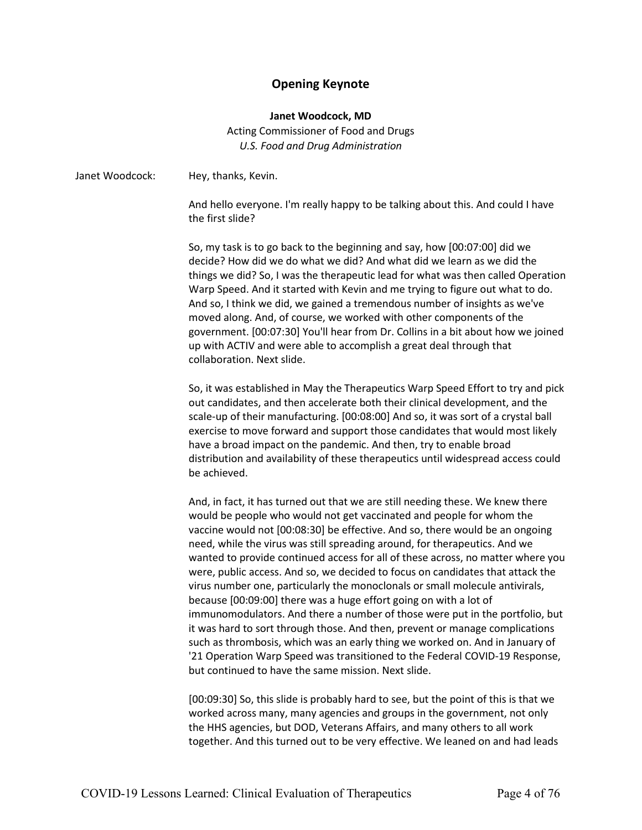# **Opening Keynote**

### **Janet Woodcock, MD**

Acting Commissioner of Food and Drugs *U.S. Food and Drug Administration*

| Janet Woodcock: | Hey, thanks, Kevin.                                                                                                                                                                                                                                                                                                                                                                                                                                                                                                                                                                                                                                                                                                                                                                                                                                                                                                                                                                                                                  |
|-----------------|--------------------------------------------------------------------------------------------------------------------------------------------------------------------------------------------------------------------------------------------------------------------------------------------------------------------------------------------------------------------------------------------------------------------------------------------------------------------------------------------------------------------------------------------------------------------------------------------------------------------------------------------------------------------------------------------------------------------------------------------------------------------------------------------------------------------------------------------------------------------------------------------------------------------------------------------------------------------------------------------------------------------------------------|
|                 | And hello everyone. I'm really happy to be talking about this. And could I have<br>the first slide?                                                                                                                                                                                                                                                                                                                                                                                                                                                                                                                                                                                                                                                                                                                                                                                                                                                                                                                                  |
|                 | So, my task is to go back to the beginning and say, how [00:07:00] did we<br>decide? How did we do what we did? And what did we learn as we did the<br>things we did? So, I was the therapeutic lead for what was then called Operation<br>Warp Speed. And it started with Kevin and me trying to figure out what to do.<br>And so, I think we did, we gained a tremendous number of insights as we've<br>moved along. And, of course, we worked with other components of the<br>government. [00:07:30] You'll hear from Dr. Collins in a bit about how we joined<br>up with ACTIV and were able to accomplish a great deal through that<br>collaboration. Next slide.                                                                                                                                                                                                                                                                                                                                                               |
|                 | So, it was established in May the Therapeutics Warp Speed Effort to try and pick<br>out candidates, and then accelerate both their clinical development, and the<br>scale-up of their manufacturing. [00:08:00] And so, it was sort of a crystal ball<br>exercise to move forward and support those candidates that would most likely<br>have a broad impact on the pandemic. And then, try to enable broad<br>distribution and availability of these therapeutics until widespread access could<br>be achieved.                                                                                                                                                                                                                                                                                                                                                                                                                                                                                                                     |
|                 | And, in fact, it has turned out that we are still needing these. We knew there<br>would be people who would not get vaccinated and people for whom the<br>vaccine would not [00:08:30] be effective. And so, there would be an ongoing<br>need, while the virus was still spreading around, for therapeutics. And we<br>wanted to provide continued access for all of these across, no matter where you<br>were, public access. And so, we decided to focus on candidates that attack the<br>virus number one, particularly the monoclonals or small molecule antivirals,<br>because [00:09:00] there was a huge effort going on with a lot of<br>immunomodulators. And there a number of those were put in the portfolio, but<br>it was hard to sort through those. And then, prevent or manage complications<br>such as thrombosis, which was an early thing we worked on. And in January of<br>'21 Operation Warp Speed was transitioned to the Federal COVID-19 Response,<br>but continued to have the same mission. Next slide. |
|                 | [00:09:30] So, this slide is probably hard to see, but the point of this is that we<br>worked across many, many agencies and groups in the government, not only<br>the HHS agencies, but DOD, Veterans Affairs, and many others to all work                                                                                                                                                                                                                                                                                                                                                                                                                                                                                                                                                                                                                                                                                                                                                                                          |

together. And this turned out to be very effective. We leaned on and had leads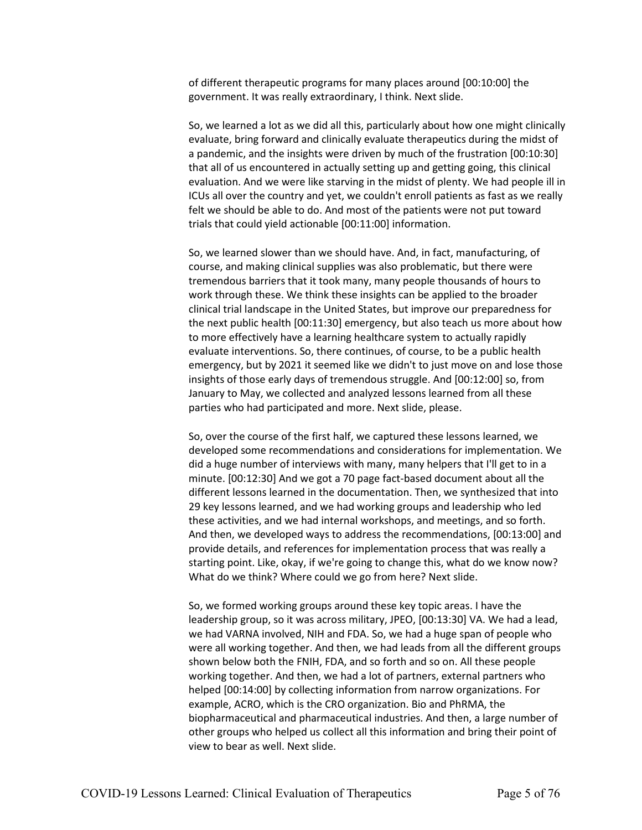of different therapeutic programs for many places around [00:10:00] the government. It was really extraordinary, I think. Next slide.

So, we learned a lot as we did all this, particularly about how one might clinically evaluate, bring forward and clinically evaluate therapeutics during the midst of a pandemic, and the insights were driven by much of the frustration [00:10:30] that all of us encountered in actually setting up and getting going, this clinical evaluation. And we were like starving in the midst of plenty. We had people ill in ICUs all over the country and yet, we couldn't enroll patients as fast as we really felt we should be able to do. And most of the patients were not put toward trials that could yield actionable [00:11:00] information.

So, we learned slower than we should have. And, in fact, manufacturing, of course, and making clinical supplies was also problematic, but there were tremendous barriers that it took many, many people thousands of hours to work through these. We think these insights can be applied to the broader clinical trial landscape in the United States, but improve our preparedness for the next public health [00:11:30] emergency, but also teach us more about how to more effectively have a learning healthcare system to actually rapidly evaluate interventions. So, there continues, of course, to be a public health emergency, but by 2021 it seemed like we didn't to just move on and lose those insights of those early days of tremendous struggle. And [00:12:00] so, from January to May, we collected and analyzed lessons learned from all these parties who had participated and more. Next slide, please.

So, over the course of the first half, we captured these lessons learned, we developed some recommendations and considerations for implementation. We did a huge number of interviews with many, many helpers that I'll get to in a minute. [00:12:30] And we got a 70 page fact-based document about all the different lessons learned in the documentation. Then, we synthesized that into 29 key lessons learned, and we had working groups and leadership who led these activities, and we had internal workshops, and meetings, and so forth. And then, we developed ways to address the recommendations, [00:13:00] and provide details, and references for implementation process that was really a starting point. Like, okay, if we're going to change this, what do we know now? What do we think? Where could we go from here? Next slide.

So, we formed working groups around these key topic areas. I have the leadership group, so it was across military, JPEO, [00:13:30] VA. We had a lead, we had VARNA involved, NIH and FDA. So, we had a huge span of people who were all working together. And then, we had leads from all the different groups shown below both the FNIH, FDA, and so forth and so on. All these people working together. And then, we had a lot of partners, external partners who helped [00:14:00] by collecting information from narrow organizations. For example, ACRO, which is the CRO organization. Bio and PhRMA, the biopharmaceutical and pharmaceutical industries. And then, a large number of other groups who helped us collect all this information and bring their point of view to bear as well. Next slide.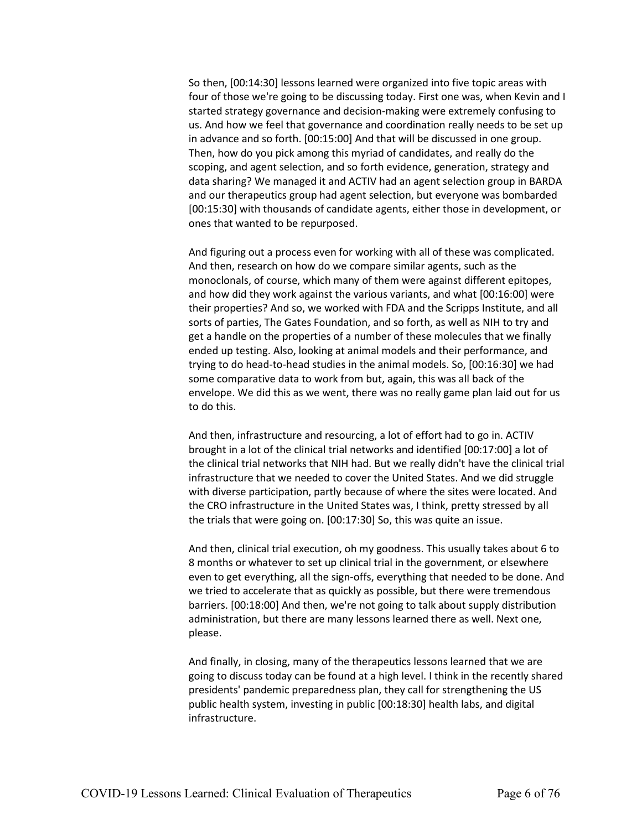So then, [00:14:30] lessons learned were organized into five topic areas with four of those we're going to be discussing today. First one was, when Kevin and I started strategy governance and decision-making were extremely confusing to us. And how we feel that governance and coordination really needs to be set up in advance and so forth. [00:15:00] And that will be discussed in one group. Then, how do you pick among this myriad of candidates, and really do the scoping, and agent selection, and so forth evidence, generation, strategy and data sharing? We managed it and ACTIV had an agent selection group in BARDA and our therapeutics group had agent selection, but everyone was bombarded [00:15:30] with thousands of candidate agents, either those in development, or ones that wanted to be repurposed.

And figuring out a process even for working with all of these was complicated. And then, research on how do we compare similar agents, such as the monoclonals, of course, which many of them were against different epitopes, and how did they work against the various variants, and what [00:16:00] were their properties? And so, we worked with FDA and the Scripps Institute, and all sorts of parties, The Gates Foundation, and so forth, as well as NIH to try and get a handle on the properties of a number of these molecules that we finally ended up testing. Also, looking at animal models and their performance, and trying to do head-to-head studies in the animal models. So, [00:16:30] we had some comparative data to work from but, again, this was all back of the envelope. We did this as we went, there was no really game plan laid out for us to do this.

And then, infrastructure and resourcing, a lot of effort had to go in. ACTIV brought in a lot of the clinical trial networks and identified [00:17:00] a lot of the clinical trial networks that NIH had. But we really didn't have the clinical trial infrastructure that we needed to cover the United States. And we did struggle with diverse participation, partly because of where the sites were located. And the CRO infrastructure in the United States was, I think, pretty stressed by all the trials that were going on. [00:17:30] So, this was quite an issue.

And then, clinical trial execution, oh my goodness. This usually takes about 6 to 8 months or whatever to set up clinical trial in the government, or elsewhere even to get everything, all the sign-offs, everything that needed to be done. And we tried to accelerate that as quickly as possible, but there were tremendous barriers. [00:18:00] And then, we're not going to talk about supply distribution administration, but there are many lessons learned there as well. Next one, please.

And finally, in closing, many of the therapeutics lessons learned that we are going to discuss today can be found at a high level. I think in the recently shared presidents' pandemic preparedness plan, they call for strengthening the US public health system, investing in public [00:18:30] health labs, and digital infrastructure.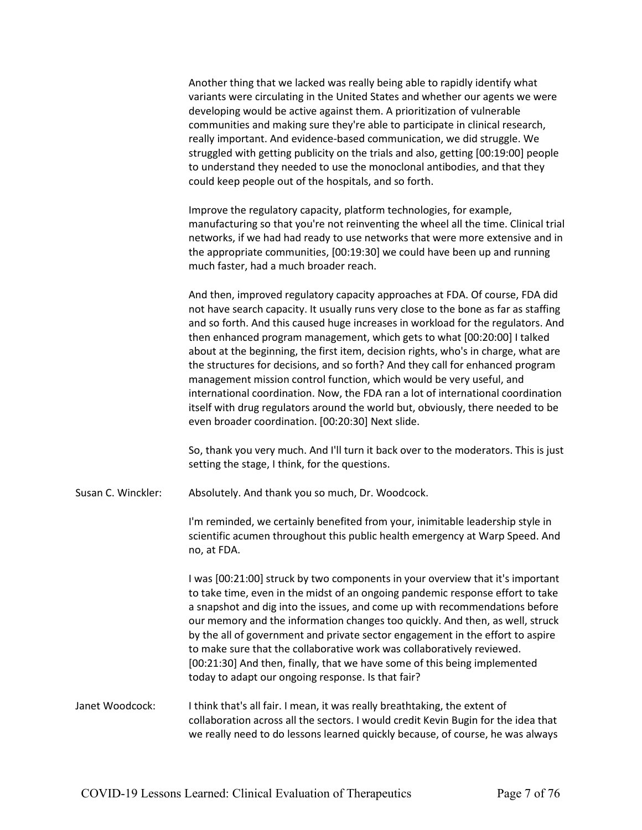|                    | Another thing that we lacked was really being able to rapidly identify what<br>variants were circulating in the United States and whether our agents we were<br>developing would be active against them. A prioritization of vulnerable<br>communities and making sure they're able to participate in clinical research,<br>really important. And evidence-based communication, we did struggle. We<br>struggled with getting publicity on the trials and also, getting [00:19:00] people<br>to understand they needed to use the monoclonal antibodies, and that they<br>could keep people out of the hospitals, and so forth.                                                                                                                                                                                 |
|--------------------|-----------------------------------------------------------------------------------------------------------------------------------------------------------------------------------------------------------------------------------------------------------------------------------------------------------------------------------------------------------------------------------------------------------------------------------------------------------------------------------------------------------------------------------------------------------------------------------------------------------------------------------------------------------------------------------------------------------------------------------------------------------------------------------------------------------------|
|                    | Improve the regulatory capacity, platform technologies, for example,<br>manufacturing so that you're not reinventing the wheel all the time. Clinical trial<br>networks, if we had had ready to use networks that were more extensive and in<br>the appropriate communities, [00:19:30] we could have been up and running<br>much faster, had a much broader reach.                                                                                                                                                                                                                                                                                                                                                                                                                                             |
|                    | And then, improved regulatory capacity approaches at FDA. Of course, FDA did<br>not have search capacity. It usually runs very close to the bone as far as staffing<br>and so forth. And this caused huge increases in workload for the regulators. And<br>then enhanced program management, which gets to what [00:20:00] I talked<br>about at the beginning, the first item, decision rights, who's in charge, what are<br>the structures for decisions, and so forth? And they call for enhanced program<br>management mission control function, which would be very useful, and<br>international coordination. Now, the FDA ran a lot of international coordination<br>itself with drug regulators around the world but, obviously, there needed to be<br>even broader coordination. [00:20:30] Next slide. |
|                    | So, thank you very much. And I'll turn it back over to the moderators. This is just<br>setting the stage, I think, for the questions.                                                                                                                                                                                                                                                                                                                                                                                                                                                                                                                                                                                                                                                                           |
| Susan C. Winckler: | Absolutely. And thank you so much, Dr. Woodcock.                                                                                                                                                                                                                                                                                                                                                                                                                                                                                                                                                                                                                                                                                                                                                                |
|                    | I'm reminded, we certainly benefited from your, inimitable leadership style in<br>scientific acumen throughout this public health emergency at Warp Speed. And<br>no, at FDA.                                                                                                                                                                                                                                                                                                                                                                                                                                                                                                                                                                                                                                   |
|                    | I was [00:21:00] struck by two components in your overview that it's important<br>to take time, even in the midst of an ongoing pandemic response effort to take<br>a snapshot and dig into the issues, and come up with recommendations before<br>our memory and the information changes too quickly. And then, as well, struck<br>by the all of government and private sector engagement in the effort to aspire<br>to make sure that the collaborative work was collaboratively reviewed.<br>[00:21:30] And then, finally, that we have some of this being implemented<br>today to adapt our ongoing response. Is that fair?                                                                                                                                                                                 |
| Janet Woodcock:    | I think that's all fair. I mean, it was really breathtaking, the extent of<br>collaboration across all the sectors. I would credit Kevin Bugin for the idea that<br>we really need to do lessons learned quickly because, of course, he was always                                                                                                                                                                                                                                                                                                                                                                                                                                                                                                                                                              |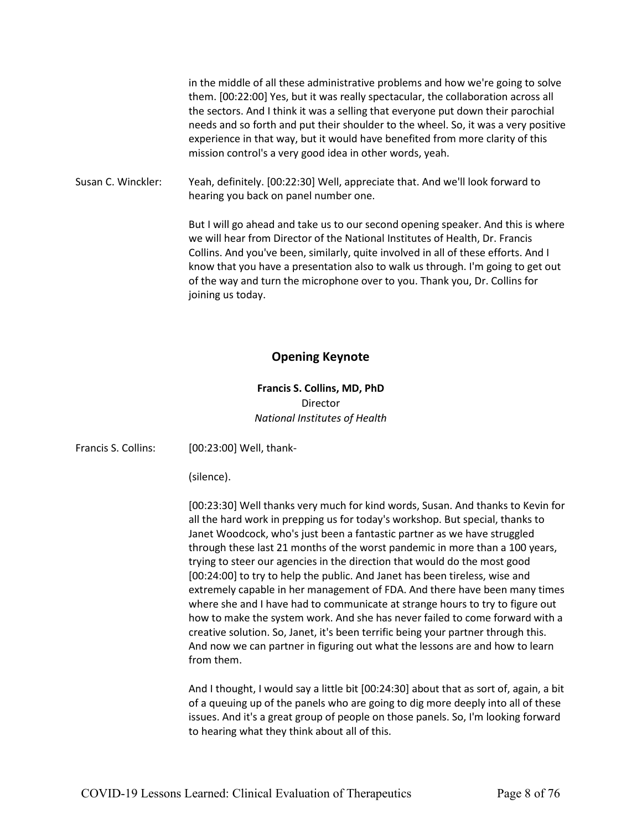in the middle of all these administrative problems and how we're going to solve them. [00:22:00] Yes, but it was really spectacular, the collaboration across all the sectors. And I think it was a selling that everyone put down their parochial needs and so forth and put their shoulder to the wheel. So, it was a very positive experience in that way, but it would have benefited from more clarity of this mission control's a very good idea in other words, yeah.

Susan C. Winckler: Yeah, definitely. [00:22:30] Well, appreciate that. And we'll look forward to hearing you back on panel number one.

> But I will go ahead and take us to our second opening speaker. And this is where we will hear from Director of the National Institutes of Health, Dr. Francis Collins. And you've been, similarly, quite involved in all of these efforts. And I know that you have a presentation also to walk us through. I'm going to get out of the way and turn the microphone over to you. Thank you, Dr. Collins for joining us today.

# **Opening Keynote**

## **Francis S. Collins, MD, PhD** Director *National Institutes of Health*

| Francis S. Collins: | [00:23:00] Well, thank-                                                                                                                                                                                                                                                                                                                                                                                                                                                                                                                                                                                                                                                                                                                                                                                                                                                                                                    |
|---------------------|----------------------------------------------------------------------------------------------------------------------------------------------------------------------------------------------------------------------------------------------------------------------------------------------------------------------------------------------------------------------------------------------------------------------------------------------------------------------------------------------------------------------------------------------------------------------------------------------------------------------------------------------------------------------------------------------------------------------------------------------------------------------------------------------------------------------------------------------------------------------------------------------------------------------------|
|                     | (silence).                                                                                                                                                                                                                                                                                                                                                                                                                                                                                                                                                                                                                                                                                                                                                                                                                                                                                                                 |
|                     | [00:23:30] Well thanks very much for kind words, Susan. And thanks to Kevin for<br>all the hard work in prepping us for today's workshop. But special, thanks to<br>Janet Woodcock, who's just been a fantastic partner as we have struggled<br>through these last 21 months of the worst pandemic in more than a 100 years,<br>trying to steer our agencies in the direction that would do the most good<br>[00:24:00] to try to help the public. And Janet has been tireless, wise and<br>extremely capable in her management of FDA. And there have been many times<br>where she and I have had to communicate at strange hours to try to figure out<br>how to make the system work. And she has never failed to come forward with a<br>creative solution. So, Janet, it's been terrific being your partner through this.<br>And now we can partner in figuring out what the lessons are and how to learn<br>from them. |
|                     | And I thought, I would say a little bit [00:24:30] about that as sort of, again, a bit<br>of a queuing up of the panels who are going to dig more deeply into all of these<br>issues. And it's a great group of people on those panels. So, I'm looking forward<br>to hearing what they think about all of this.                                                                                                                                                                                                                                                                                                                                                                                                                                                                                                                                                                                                           |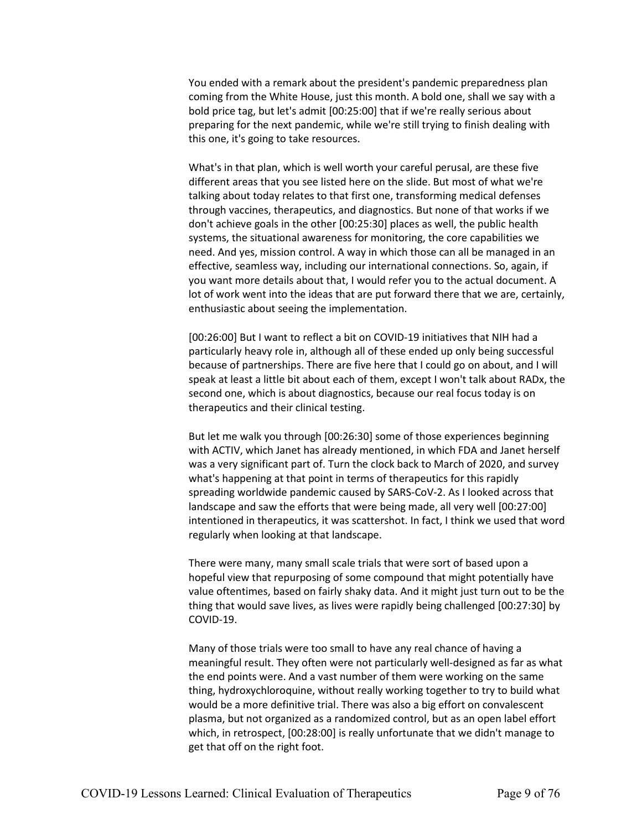You ended with a remark about the president's pandemic preparedness plan coming from the White House, just this month. A bold one, shall we say with a bold price tag, but let's admit [00:25:00] that if we're really serious about preparing for the next pandemic, while we're still trying to finish dealing with this one, it's going to take resources.

What's in that plan, which is well worth your careful perusal, are these five different areas that you see listed here on the slide. But most of what we're talking about today relates to that first one, transforming medical defenses through vaccines, therapeutics, and diagnostics. But none of that works if we don't achieve goals in the other [00:25:30] places as well, the public health systems, the situational awareness for monitoring, the core capabilities we need. And yes, mission control. A way in which those can all be managed in an effective, seamless way, including our international connections. So, again, if you want more details about that, I would refer you to the actual document. A lot of work went into the ideas that are put forward there that we are, certainly, enthusiastic about seeing the implementation.

[00:26:00] But I want to reflect a bit on COVID-19 initiatives that NIH had a particularly heavy role in, although all of these ended up only being successful because of partnerships. There are five here that I could go on about, and I will speak at least a little bit about each of them, except I won't talk about RADx, the second one, which is about diagnostics, because our real focus today is on therapeutics and their clinical testing.

But let me walk you through [00:26:30] some of those experiences beginning with ACTIV, which Janet has already mentioned, in which FDA and Janet herself was a very significant part of. Turn the clock back to March of 2020, and survey what's happening at that point in terms of therapeutics for this rapidly spreading worldwide pandemic caused by SARS-CoV-2. As I looked across that landscape and saw the efforts that were being made, all very well [00:27:00] intentioned in therapeutics, it was scattershot. In fact, I think we used that word regularly when looking at that landscape.

There were many, many small scale trials that were sort of based upon a hopeful view that repurposing of some compound that might potentially have value oftentimes, based on fairly shaky data. And it might just turn out to be the thing that would save lives, as lives were rapidly being challenged [00:27:30] by COVID-19.

Many of those trials were too small to have any real chance of having a meaningful result. They often were not particularly well-designed as far as what the end points were. And a vast number of them were working on the same thing, hydroxychloroquine, without really working together to try to build what would be a more definitive trial. There was also a big effort on convalescent plasma, but not organized as a randomized control, but as an open label effort which, in retrospect, [00:28:00] is really unfortunate that we didn't manage to get that off on the right foot.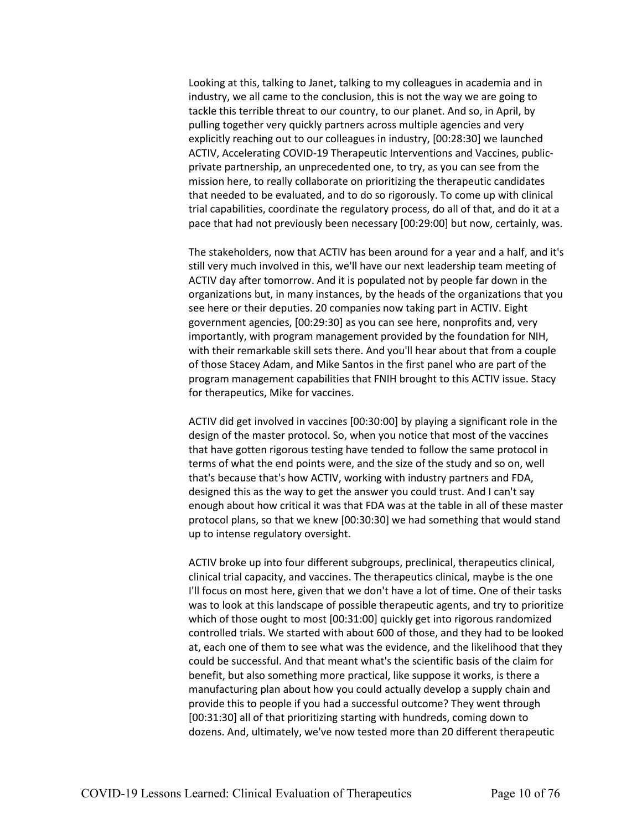Looking at this, talking to Janet, talking to my colleagues in academia and in industry, we all came to the conclusion, this is not the way we are going to tackle this terrible threat to our country, to our planet. And so, in April, by pulling together very quickly partners across multiple agencies and very explicitly reaching out to our colleagues in industry, [00:28:30] we launched ACTIV, Accelerating COVID-19 Therapeutic Interventions and Vaccines, publicprivate partnership, an unprecedented one, to try, as you can see from the mission here, to really collaborate on prioritizing the therapeutic candidates that needed to be evaluated, and to do so rigorously. To come up with clinical trial capabilities, coordinate the regulatory process, do all of that, and do it at a pace that had not previously been necessary [00:29:00] but now, certainly, was.

The stakeholders, now that ACTIV has been around for a year and a half, and it's still very much involved in this, we'll have our next leadership team meeting of ACTIV day after tomorrow. And it is populated not by people far down in the organizations but, in many instances, by the heads of the organizations that you see here or their deputies. 20 companies now taking part in ACTIV. Eight government agencies, [00:29:30] as you can see here, nonprofits and, very importantly, with program management provided by the foundation for NIH, with their remarkable skill sets there. And you'll hear about that from a couple of those Stacey Adam, and Mike Santos in the first panel who are part of the program management capabilities that FNIH brought to this ACTIV issue. Stacy for therapeutics, Mike for vaccines.

ACTIV did get involved in vaccines [00:30:00] by playing a significant role in the design of the master protocol. So, when you notice that most of the vaccines that have gotten rigorous testing have tended to follow the same protocol in terms of what the end points were, and the size of the study and so on, well that's because that's how ACTIV, working with industry partners and FDA, designed this as the way to get the answer you could trust. And I can't say enough about how critical it was that FDA was at the table in all of these master protocol plans, so that we knew [00:30:30] we had something that would stand up to intense regulatory oversight.

ACTIV broke up into four different subgroups, preclinical, therapeutics clinical, clinical trial capacity, and vaccines. The therapeutics clinical, maybe is the one I'll focus on most here, given that we don't have a lot of time. One of their tasks was to look at this landscape of possible therapeutic agents, and try to prioritize which of those ought to most [00:31:00] quickly get into rigorous randomized controlled trials. We started with about 600 of those, and they had to be looked at, each one of them to see what was the evidence, and the likelihood that they could be successful. And that meant what's the scientific basis of the claim for benefit, but also something more practical, like suppose it works, is there a manufacturing plan about how you could actually develop a supply chain and provide this to people if you had a successful outcome? They went through [00:31:30] all of that prioritizing starting with hundreds, coming down to dozens. And, ultimately, we've now tested more than 20 different therapeutic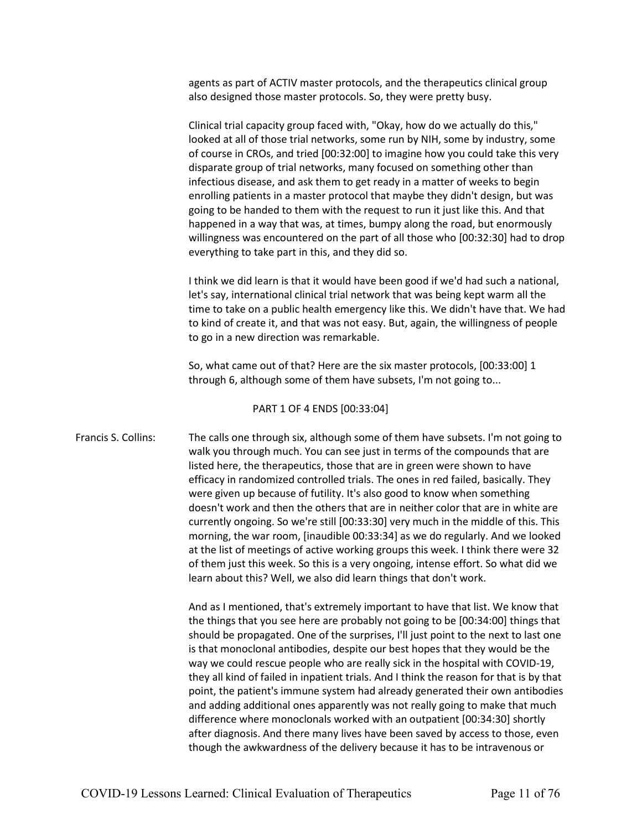agents as part of ACTIV master protocols, and the therapeutics clinical group also designed those master protocols. So, they were pretty busy.

Clinical trial capacity group faced with, "Okay, how do we actually do this," looked at all of those trial networks, some run by NIH, some by industry, some of course in CROs, and tried [00:32:00] to imagine how you could take this very disparate group of trial networks, many focused on something other than infectious disease, and ask them to get ready in a matter of weeks to begin enrolling patients in a master protocol that maybe they didn't design, but was going to be handed to them with the request to run it just like this. And that happened in a way that was, at times, bumpy along the road, but enormously willingness was encountered on the part of all those who [00:32:30] had to drop everything to take part in this, and they did so.

I think we did learn is that it would have been good if we'd had such a national, let's say, international clinical trial network that was being kept warm all the time to take on a public health emergency like this. We didn't have that. We had to kind of create it, and that was not easy. But, again, the willingness of people to go in a new direction was remarkable.

So, what came out of that? Here are the six master protocols, [00:33:00] 1 through 6, although some of them have subsets, I'm not going to...

#### PART 1 OF 4 ENDS [00:33:04]

Francis S. Collins: The calls one through six, although some of them have subsets. I'm not going to walk you through much. You can see just in terms of the compounds that are listed here, the therapeutics, those that are in green were shown to have efficacy in randomized controlled trials. The ones in red failed, basically. They were given up because of futility. It's also good to know when something doesn't work and then the others that are in neither color that are in white are currently ongoing. So we're still [00:33:30] very much in the middle of this. This morning, the war room, [inaudible 00:33:34] as we do regularly. And we looked at the list of meetings of active working groups this week. I think there were 32 of them just this week. So this is a very ongoing, intense effort. So what did we learn about this? Well, we also did learn things that don't work.

> And as I mentioned, that's extremely important to have that list. We know that the things that you see here are probably not going to be [00:34:00] things that should be propagated. One of the surprises, I'll just point to the next to last one is that monoclonal antibodies, despite our best hopes that they would be the way we could rescue people who are really sick in the hospital with COVID-19, they all kind of failed in inpatient trials. And I think the reason for that is by that point, the patient's immune system had already generated their own antibodies and adding additional ones apparently was not really going to make that much difference where monoclonals worked with an outpatient [00:34:30] shortly after diagnosis. And there many lives have been saved by access to those, even though the awkwardness of the delivery because it has to be intravenous or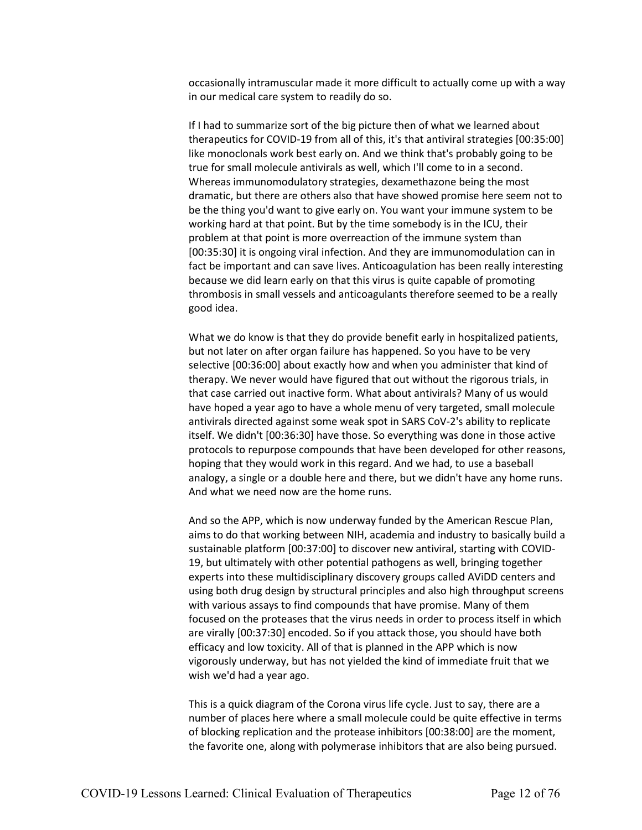occasionally intramuscular made it more difficult to actually come up with a way in our medical care system to readily do so.

If I had to summarize sort of the big picture then of what we learned about therapeutics for COVID-19 from all of this, it's that antiviral strategies [00:35:00] like monoclonals work best early on. And we think that's probably going to be true for small molecule antivirals as well, which I'll come to in a second. Whereas immunomodulatory strategies, dexamethazone being the most dramatic, but there are others also that have showed promise here seem not to be the thing you'd want to give early on. You want your immune system to be working hard at that point. But by the time somebody is in the ICU, their problem at that point is more overreaction of the immune system than [00:35:30] it is ongoing viral infection. And they are immunomodulation can in fact be important and can save lives. Anticoagulation has been really interesting because we did learn early on that this virus is quite capable of promoting thrombosis in small vessels and anticoagulants therefore seemed to be a really good idea.

What we do know is that they do provide benefit early in hospitalized patients, but not later on after organ failure has happened. So you have to be very selective [00:36:00] about exactly how and when you administer that kind of therapy. We never would have figured that out without the rigorous trials, in that case carried out inactive form. What about antivirals? Many of us would have hoped a year ago to have a whole menu of very targeted, small molecule antivirals directed against some weak spot in SARS CoV-2's ability to replicate itself. We didn't [00:36:30] have those. So everything was done in those active protocols to repurpose compounds that have been developed for other reasons, hoping that they would work in this regard. And we had, to use a baseball analogy, a single or a double here and there, but we didn't have any home runs. And what we need now are the home runs.

And so the APP, which is now underway funded by the American Rescue Plan, aims to do that working between NIH, academia and industry to basically build a sustainable platform [00:37:00] to discover new antiviral, starting with COVID-19, but ultimately with other potential pathogens as well, bringing together experts into these multidisciplinary discovery groups called AViDD centers and using both drug design by structural principles and also high throughput screens with various assays to find compounds that have promise. Many of them focused on the proteases that the virus needs in order to process itself in which are virally [00:37:30] encoded. So if you attack those, you should have both efficacy and low toxicity. All of that is planned in the APP which is now vigorously underway, but has not yielded the kind of immediate fruit that we wish we'd had a year ago.

This is a quick diagram of the Corona virus life cycle. Just to say, there are a number of places here where a small molecule could be quite effective in terms of blocking replication and the protease inhibitors [00:38:00] are the moment, the favorite one, along with polymerase inhibitors that are also being pursued.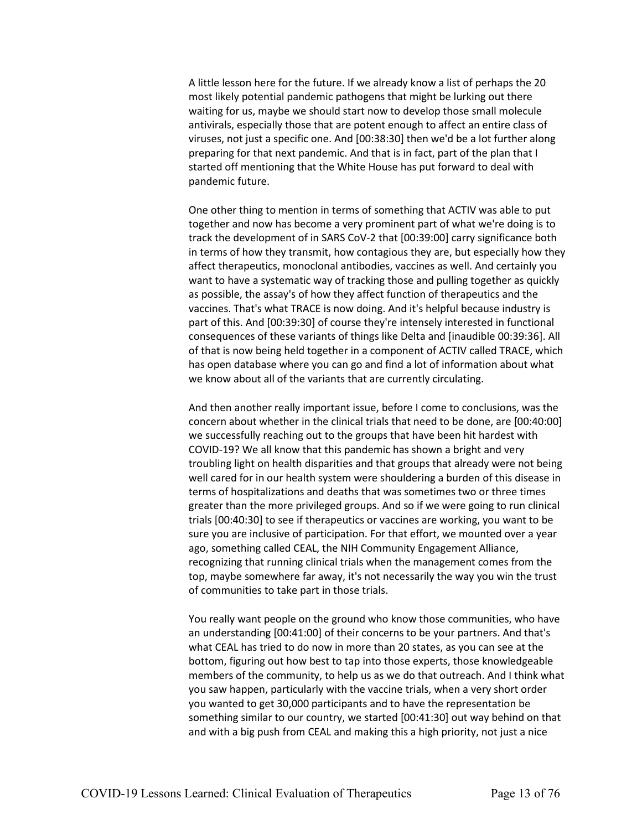A little lesson here for the future. If we already know a list of perhaps the 20 most likely potential pandemic pathogens that might be lurking out there waiting for us, maybe we should start now to develop those small molecule antivirals, especially those that are potent enough to affect an entire class of viruses, not just a specific one. And [00:38:30] then we'd be a lot further along preparing for that next pandemic. And that is in fact, part of the plan that I started off mentioning that the White House has put forward to deal with pandemic future.

One other thing to mention in terms of something that ACTIV was able to put together and now has become a very prominent part of what we're doing is to track the development of in SARS CoV-2 that [00:39:00] carry significance both in terms of how they transmit, how contagious they are, but especially how they affect therapeutics, monoclonal antibodies, vaccines as well. And certainly you want to have a systematic way of tracking those and pulling together as quickly as possible, the assay's of how they affect function of therapeutics and the vaccines. That's what TRACE is now doing. And it's helpful because industry is part of this. And [00:39:30] of course they're intensely interested in functional consequences of these variants of things like Delta and [inaudible 00:39:36]. All of that is now being held together in a component of ACTIV called TRACE, which has open database where you can go and find a lot of information about what we know about all of the variants that are currently circulating.

And then another really important issue, before I come to conclusions, was the concern about whether in the clinical trials that need to be done, are [00:40:00] we successfully reaching out to the groups that have been hit hardest with COVID-19? We all know that this pandemic has shown a bright and very troubling light on health disparities and that groups that already were not being well cared for in our health system were shouldering a burden of this disease in terms of hospitalizations and deaths that was sometimes two or three times greater than the more privileged groups. And so if we were going to run clinical trials [00:40:30] to see if therapeutics or vaccines are working, you want to be sure you are inclusive of participation. For that effort, we mounted over a year ago, something called CEAL, the NIH Community Engagement Alliance, recognizing that running clinical trials when the management comes from the top, maybe somewhere far away, it's not necessarily the way you win the trust of communities to take part in those trials.

You really want people on the ground who know those communities, who have an understanding [00:41:00] of their concerns to be your partners. And that's what CEAL has tried to do now in more than 20 states, as you can see at the bottom, figuring out how best to tap into those experts, those knowledgeable members of the community, to help us as we do that outreach. And I think what you saw happen, particularly with the vaccine trials, when a very short order you wanted to get 30,000 participants and to have the representation be something similar to our country, we started [00:41:30] out way behind on that and with a big push from CEAL and making this a high priority, not just a nice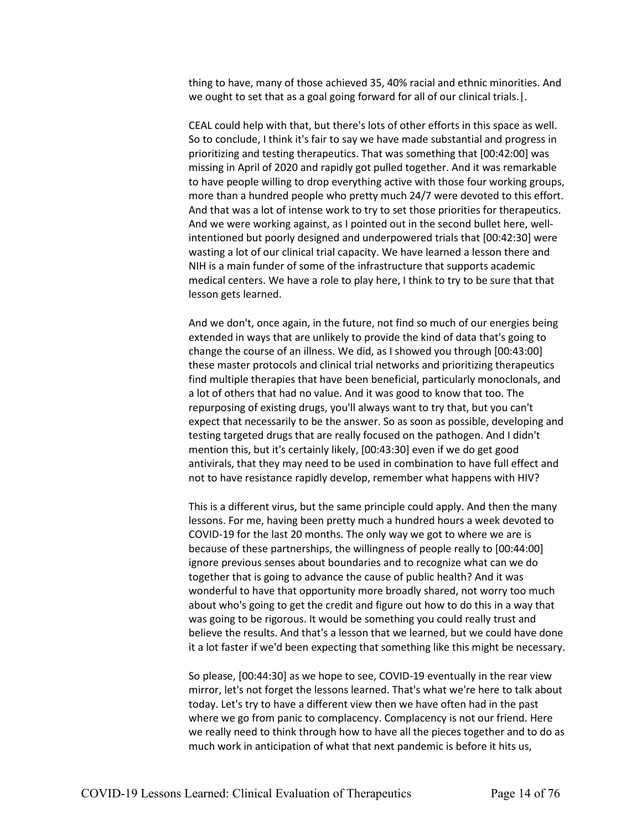thing to have, many of those achieved 35, 40% racial and ethnic minorities. And we ought to set that as a goal going forward for all of our clinical trials.|.

CEAL could help with that, but there's lots of other efforts in this space as well. So to conclude, I think it's fair to say we have made substantial and progress in prioritizing and testing therapeutics. That was something that [00:42:00] was missing in April of 2020 and rapidly got pulled together. And it was remarkable to have people willing to drop everything active with those four working groups, more than a hundred people who pretty much 24/7 were devoted to this effort. And that was a lot of intense work to try to set those priorities for therapeutics. And we were working against, as I pointed out in the second bullet here, wellintentioned but poorly designed and underpowered trials that [00:42:30] were wasting a lot of our clinical trial capacity. We have learned a lesson there and NIH is a main funder of some of the infrastructure that supports academic medical centers. We have a role to play here, I think to try to be sure that that lesson gets learned.

And we don't, once again, in the future, not find so much of our energies being extended in ways that are unlikely to provide the kind of data that's going to change the course of an illness. We did, as I showed you through [00:43:00] these master protocols and clinical trial networks and prioritizing therapeutics find multiple therapies that have been beneficial, particularly monoclonals, and a lot of others that had no value. And it was good to know that too. The repurposing of existing drugs, you'll always want to try that, but you can't expect that necessarily to be the answer. So as soon as possible, developing and testing targeted drugs that are really focused on the pathogen. And I didn't mention this, but it's certainly likely, [00:43:30] even if we do get good antivirals, that they may need to be used in combination to have full effect and not to have resistance rapidly develop, remember what happens with HIV?

This is a different virus, but the same principle could apply. And then the many lessons. For me, having been pretty much a hundred hours a week devoted to COVID-19 for the last 20 months. The only way we got to where we are is because of these partnerships, the willingness of people really to [00:44:00] ignore previous senses about boundaries and to recognize what can we do together that is going to advance the cause of public health? And it was wonderful to have that opportunity more broadly shared, not worry too much about who's going to get the credit and figure out how to do this in a way that was going to be rigorous. It would be something you could really trust and believe the results. And that's a lesson that we learned, but we could have done it a lot faster if we'd been expecting that something like this might be necessary.

So please, [00:44:30] as we hope to see, COVID-19 eventually in the rear view mirror, let's not forget the lessons learned. That's what we're here to talk about today. Let's try to have a different view then we have often had in the past where we go from panic to complacency. Complacency is not our friend. Here we really need to think through how to have all the pieces together and to do as much work in anticipation of what that next pandemic is before it hits us,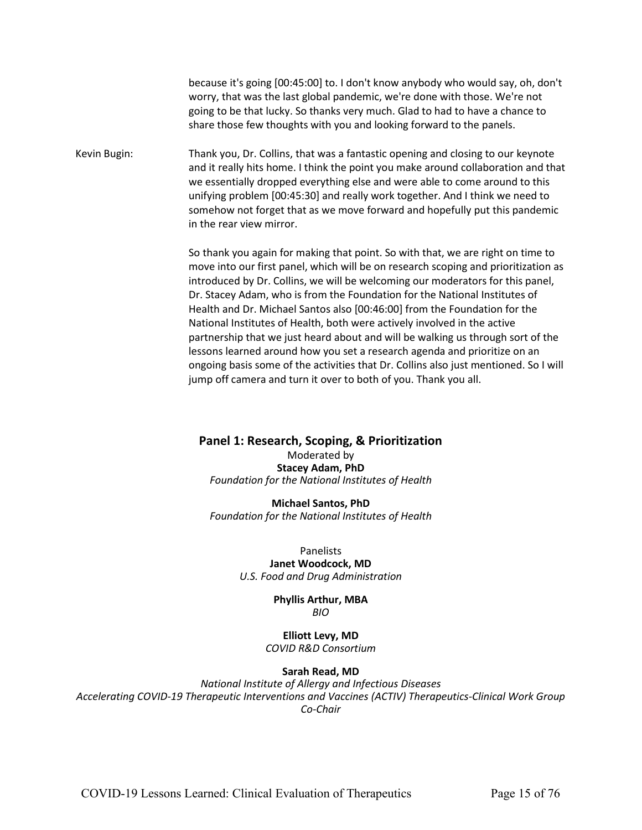because it's going [00:45:00] to. I don't know anybody who would say, oh, don't worry, that was the last global pandemic, we're done with those. We're not going to be that lucky. So thanks very much. Glad to had to have a chance to share those few thoughts with you and looking forward to the panels.

Kevin Bugin: Thank you, Dr. Collins, that was a fantastic opening and closing to our keynote and it really hits home. I think the point you make around collaboration and that we essentially dropped everything else and were able to come around to this unifying problem [00:45:30] and really work together. And I think we need to somehow not forget that as we move forward and hopefully put this pandemic in the rear view mirror.

> So thank you again for making that point. So with that, we are right on time to move into our first panel, which will be on research scoping and prioritization as introduced by Dr. Collins, we will be welcoming our moderators for this panel, Dr. Stacey Adam, who is from the Foundation for the National Institutes of Health and Dr. Michael Santos also [00:46:00] from the Foundation for the National Institutes of Health, both were actively involved in the active partnership that we just heard about and will be walking us through sort of the lessons learned around how you set a research agenda and prioritize on an ongoing basis some of the activities that Dr. Collins also just mentioned. So I will jump off camera and turn it over to both of you. Thank you all.

**Panel 1: Research, Scoping, & Prioritization** Moderated by

**Stacey Adam, PhD** *Foundation for the National Institutes of Health*

**Michael Santos, PhD** *Foundation for the National Institutes of Health*

> Panelists **Janet Woodcock, MD** *U.S. Food and Drug Administration*

> > **Phyllis Arthur, MBA** *BIO*

**Elliott Levy, MD** *COVID R&D Consortium*

#### **Sarah Read, MD**

*National Institute of Allergy and Infectious Diseases Accelerating COVID-19 Therapeutic Interventions and Vaccines (ACTIV) Therapeutics-Clinical Work Group Co-Chair*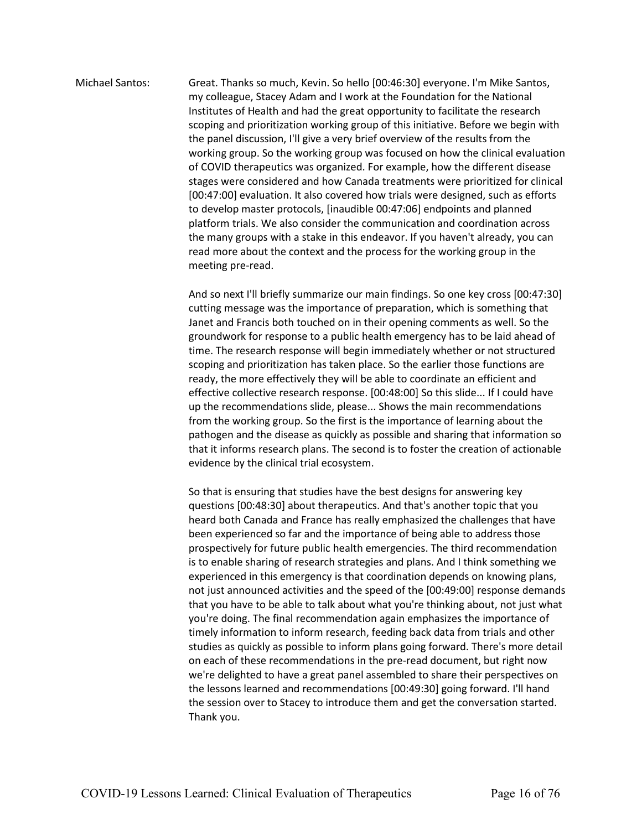Michael Santos: Great. Thanks so much, Kevin. So hello [00:46:30] everyone. I'm Mike Santos, my colleague, Stacey Adam and I work at the Foundation for the National Institutes of Health and had the great opportunity to facilitate the research scoping and prioritization working group of this initiative. Before we begin with the panel discussion, I'll give a very brief overview of the results from the working group. So the working group was focused on how the clinical evaluation of COVID therapeutics was organized. For example, how the different disease stages were considered and how Canada treatments were prioritized for clinical [00:47:00] evaluation. It also covered how trials were designed, such as efforts to develop master protocols, [inaudible 00:47:06] endpoints and planned platform trials. We also consider the communication and coordination across the many groups with a stake in this endeavor. If you haven't already, you can read more about the context and the process for the working group in the meeting pre-read.

> And so next I'll briefly summarize our main findings. So one key cross [00:47:30] cutting message was the importance of preparation, which is something that Janet and Francis both touched on in their opening comments as well. So the groundwork for response to a public health emergency has to be laid ahead of time. The research response will begin immediately whether or not structured scoping and prioritization has taken place. So the earlier those functions are ready, the more effectively they will be able to coordinate an efficient and effective collective research response. [00:48:00] So this slide... If I could have up the recommendations slide, please... Shows the main recommendations from the working group. So the first is the importance of learning about the pathogen and the disease as quickly as possible and sharing that information so that it informs research plans. The second is to foster the creation of actionable evidence by the clinical trial ecosystem.

> So that is ensuring that studies have the best designs for answering key questions [00:48:30] about therapeutics. And that's another topic that you heard both Canada and France has really emphasized the challenges that have been experienced so far and the importance of being able to address those prospectively for future public health emergencies. The third recommendation is to enable sharing of research strategies and plans. And I think something we experienced in this emergency is that coordination depends on knowing plans, not just announced activities and the speed of the [00:49:00] response demands that you have to be able to talk about what you're thinking about, not just what you're doing. The final recommendation again emphasizes the importance of timely information to inform research, feeding back data from trials and other studies as quickly as possible to inform plans going forward. There's more detail on each of these recommendations in the pre-read document, but right now we're delighted to have a great panel assembled to share their perspectives on the lessons learned and recommendations [00:49:30] going forward. I'll hand the session over to Stacey to introduce them and get the conversation started. Thank you.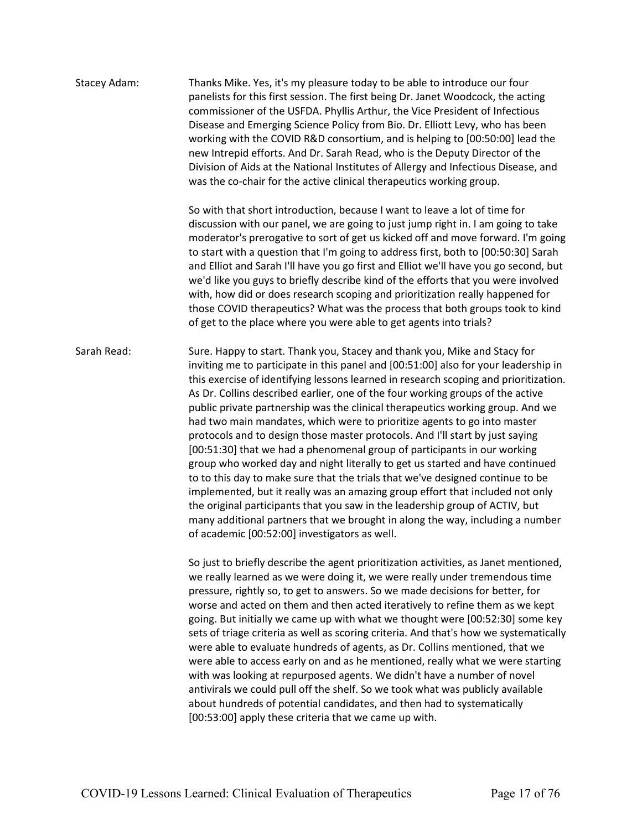| Stacey Adam: | Thanks Mike. Yes, it's my pleasure today to be able to introduce our four<br>panelists for this first session. The first being Dr. Janet Woodcock, the acting<br>commissioner of the USFDA. Phyllis Arthur, the Vice President of Infectious<br>Disease and Emerging Science Policy from Bio. Dr. Elliott Levy, who has been<br>working with the COVID R&D consortium, and is helping to [00:50:00] lead the<br>new Intrepid efforts. And Dr. Sarah Read, who is the Deputy Director of the<br>Division of Aids at the National Institutes of Allergy and Infectious Disease, and<br>was the co-chair for the active clinical therapeutics working group.                                                                                                                                                                                                                                                                                                                                                                                                                                                                                   |
|--------------|---------------------------------------------------------------------------------------------------------------------------------------------------------------------------------------------------------------------------------------------------------------------------------------------------------------------------------------------------------------------------------------------------------------------------------------------------------------------------------------------------------------------------------------------------------------------------------------------------------------------------------------------------------------------------------------------------------------------------------------------------------------------------------------------------------------------------------------------------------------------------------------------------------------------------------------------------------------------------------------------------------------------------------------------------------------------------------------------------------------------------------------------|
|              | So with that short introduction, because I want to leave a lot of time for<br>discussion with our panel, we are going to just jump right in. I am going to take<br>moderator's prerogative to sort of get us kicked off and move forward. I'm going<br>to start with a question that I'm going to address first, both to [00:50:30] Sarah<br>and Elliot and Sarah I'll have you go first and Elliot we'll have you go second, but<br>we'd like you guys to briefly describe kind of the efforts that you were involved<br>with, how did or does research scoping and prioritization really happened for<br>those COVID therapeutics? What was the process that both groups took to kind<br>of get to the place where you were able to get agents into trials?                                                                                                                                                                                                                                                                                                                                                                               |
| Sarah Read:  | Sure. Happy to start. Thank you, Stacey and thank you, Mike and Stacy for<br>inviting me to participate in this panel and [00:51:00] also for your leadership in<br>this exercise of identifying lessons learned in research scoping and prioritization.<br>As Dr. Collins described earlier, one of the four working groups of the active<br>public private partnership was the clinical therapeutics working group. And we<br>had two main mandates, which were to prioritize agents to go into master<br>protocols and to design those master protocols. And I'll start by just saying<br>[00:51:30] that we had a phenomenal group of participants in our working<br>group who worked day and night literally to get us started and have continued<br>to to this day to make sure that the trials that we've designed continue to be<br>implemented, but it really was an amazing group effort that included not only<br>the original participants that you saw in the leadership group of ACTIV, but<br>many additional partners that we brought in along the way, including a number<br>of academic [00:52:00] investigators as well. |
|              | So just to briefly describe the agent prioritization activities, as Janet mentioned,<br>we really learned as we were doing it, we were really under tremendous time<br>pressure, rightly so, to get to answers. So we made decisions for better, for<br>worse and acted on them and then acted iteratively to refine them as we kept<br>going. But initially we came up with what we thought were [00:52:30] some key<br>sets of triage criteria as well as scoring criteria. And that's how we systematically<br>were able to evaluate hundreds of agents, as Dr. Collins mentioned, that we<br>were able to access early on and as he mentioned, really what we were starting<br>with was looking at repurposed agents. We didn't have a number of novel<br>antivirals we could pull off the shelf. So we took what was publicly available                                                                                                                                                                                                                                                                                                |

about hundreds of potential candidates, and then had to systematically

[00:53:00] apply these criteria that we came up with.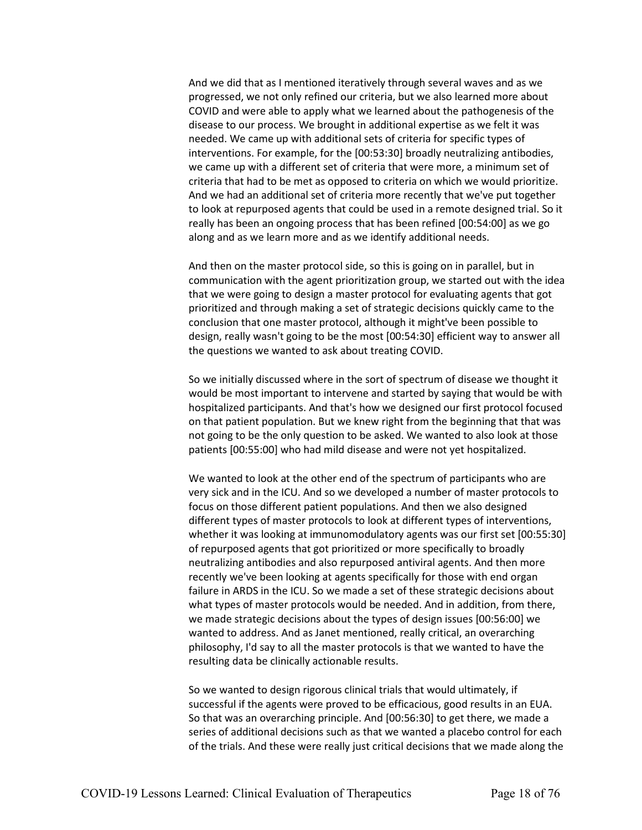And we did that as I mentioned iteratively through several waves and as we progressed, we not only refined our criteria, but we also learned more about COVID and were able to apply what we learned about the pathogenesis of the disease to our process. We brought in additional expertise as we felt it was needed. We came up with additional sets of criteria for specific types of interventions. For example, for the [00:53:30] broadly neutralizing antibodies, we came up with a different set of criteria that were more, a minimum set of criteria that had to be met as opposed to criteria on which we would prioritize. And we had an additional set of criteria more recently that we've put together to look at repurposed agents that could be used in a remote designed trial. So it really has been an ongoing process that has been refined [00:54:00] as we go along and as we learn more and as we identify additional needs.

And then on the master protocol side, so this is going on in parallel, but in communication with the agent prioritization group, we started out with the idea that we were going to design a master protocol for evaluating agents that got prioritized and through making a set of strategic decisions quickly came to the conclusion that one master protocol, although it might've been possible to design, really wasn't going to be the most [00:54:30] efficient way to answer all the questions we wanted to ask about treating COVID.

So we initially discussed where in the sort of spectrum of disease we thought it would be most important to intervene and started by saying that would be with hospitalized participants. And that's how we designed our first protocol focused on that patient population. But we knew right from the beginning that that was not going to be the only question to be asked. We wanted to also look at those patients [00:55:00] who had mild disease and were not yet hospitalized.

We wanted to look at the other end of the spectrum of participants who are very sick and in the ICU. And so we developed a number of master protocols to focus on those different patient populations. And then we also designed different types of master protocols to look at different types of interventions, whether it was looking at immunomodulatory agents was our first set [00:55:30] of repurposed agents that got prioritized or more specifically to broadly neutralizing antibodies and also repurposed antiviral agents. And then more recently we've been looking at agents specifically for those with end organ failure in ARDS in the ICU. So we made a set of these strategic decisions about what types of master protocols would be needed. And in addition, from there, we made strategic decisions about the types of design issues [00:56:00] we wanted to address. And as Janet mentioned, really critical, an overarching philosophy, I'd say to all the master protocols is that we wanted to have the resulting data be clinically actionable results.

So we wanted to design rigorous clinical trials that would ultimately, if successful if the agents were proved to be efficacious, good results in an EUA. So that was an overarching principle. And [00:56:30] to get there, we made a series of additional decisions such as that we wanted a placebo control for each of the trials. And these were really just critical decisions that we made along the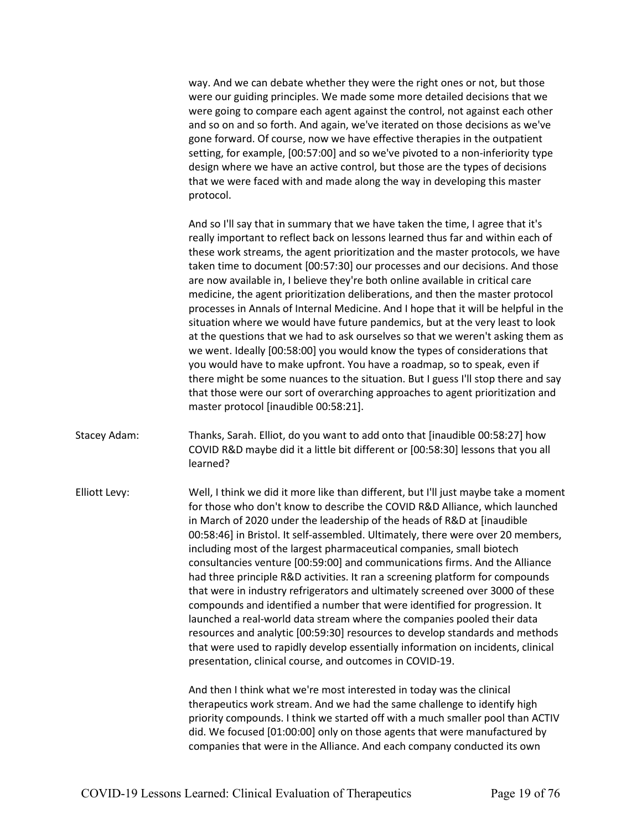way. And we can debate whether they were the right ones or not, but those were our guiding principles. We made some more detailed decisions that we were going to compare each agent against the control, not against each other and so on and so forth. And again, we've iterated on those decisions as we've gone forward. Of course, now we have effective therapies in the outpatient setting, for example, [00:57:00] and so we've pivoted to a non-inferiority type design where we have an active control, but those are the types of decisions that we were faced with and made along the way in developing this master protocol.

And so I'll say that in summary that we have taken the time, I agree that it's really important to reflect back on lessons learned thus far and within each of these work streams, the agent prioritization and the master protocols, we have taken time to document [00:57:30] our processes and our decisions. And those are now available in, I believe they're both online available in critical care medicine, the agent prioritization deliberations, and then the master protocol processes in Annals of Internal Medicine. And I hope that it will be helpful in the situation where we would have future pandemics, but at the very least to look at the questions that we had to ask ourselves so that we weren't asking them as we went. Ideally [00:58:00] you would know the types of considerations that you would have to make upfront. You have a roadmap, so to speak, even if there might be some nuances to the situation. But I guess I'll stop there and say that those were our sort of overarching approaches to agent prioritization and master protocol [inaudible 00:58:21].

Stacey Adam: Thanks, Sarah. Elliot, do you want to add onto that [inaudible 00:58:27] how COVID R&D maybe did it a little bit different or [00:58:30] lessons that you all learned?

Elliott Levy: Well, I think we did it more like than different, but I'll just maybe take a moment for those who don't know to describe the COVID R&D Alliance, which launched in March of 2020 under the leadership of the heads of R&D at [inaudible 00:58:46] in Bristol. It self-assembled. Ultimately, there were over 20 members, including most of the largest pharmaceutical companies, small biotech consultancies venture [00:59:00] and communications firms. And the Alliance had three principle R&D activities. It ran a screening platform for compounds that were in industry refrigerators and ultimately screened over 3000 of these compounds and identified a number that were identified for progression. It launched a real-world data stream where the companies pooled their data resources and analytic [00:59:30] resources to develop standards and methods that were used to rapidly develop essentially information on incidents, clinical presentation, clinical course, and outcomes in COVID-19.

> And then I think what we're most interested in today was the clinical therapeutics work stream. And we had the same challenge to identify high priority compounds. I think we started off with a much smaller pool than ACTIV did. We focused [01:00:00] only on those agents that were manufactured by companies that were in the Alliance. And each company conducted its own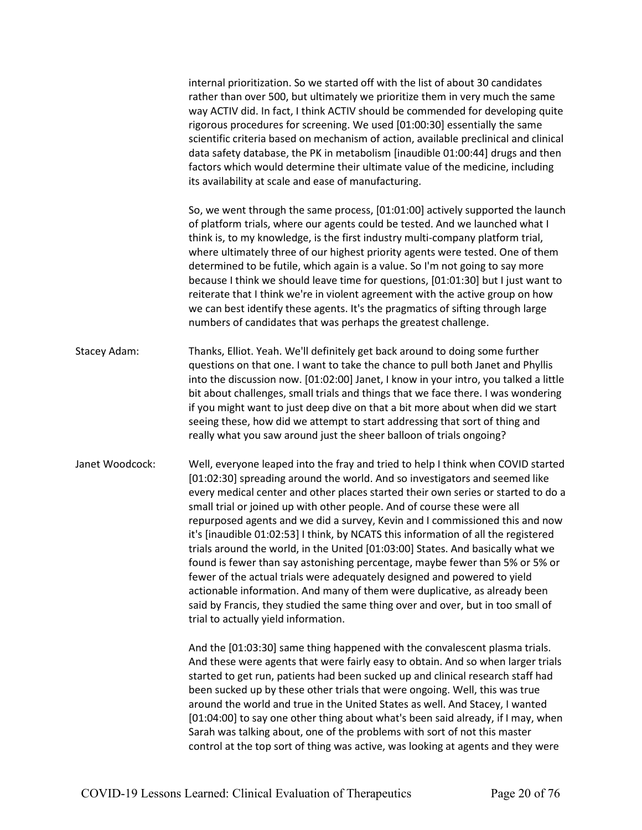internal prioritization. So we started off with the list of about 30 candidates rather than over 500, but ultimately we prioritize them in very much the same way ACTIV did. In fact, I think ACTIV should be commended for developing quite rigorous procedures for screening. We used [01:00:30] essentially the same scientific criteria based on mechanism of action, available preclinical and clinical data safety database, the PK in metabolism [inaudible 01:00:44] drugs and then factors which would determine their ultimate value of the medicine, including its availability at scale and ease of manufacturing.

So, we went through the same process, [01:01:00] actively supported the launch of platform trials, where our agents could be tested. And we launched what I think is, to my knowledge, is the first industry multi-company platform trial, where ultimately three of our highest priority agents were tested. One of them determined to be futile, which again is a value. So I'm not going to say more because I think we should leave time for questions, [01:01:30] but I just want to reiterate that I think we're in violent agreement with the active group on how we can best identify these agents. It's the pragmatics of sifting through large numbers of candidates that was perhaps the greatest challenge.

- Stacey Adam: Thanks, Elliot. Yeah. We'll definitely get back around to doing some further questions on that one. I want to take the chance to pull both Janet and Phyllis into the discussion now. [01:02:00] Janet, I know in your intro, you talked a little bit about challenges, small trials and things that we face there. I was wondering if you might want to just deep dive on that a bit more about when did we start seeing these, how did we attempt to start addressing that sort of thing and really what you saw around just the sheer balloon of trials ongoing?
- Janet Woodcock: Well, everyone leaped into the fray and tried to help I think when COVID started [01:02:30] spreading around the world. And so investigators and seemed like every medical center and other places started their own series or started to do a small trial or joined up with other people. And of course these were all repurposed agents and we did a survey, Kevin and I commissioned this and now it's [inaudible 01:02:53] I think, by NCATS this information of all the registered trials around the world, in the United [01:03:00] States. And basically what we found is fewer than say astonishing percentage, maybe fewer than 5% or 5% or fewer of the actual trials were adequately designed and powered to yield actionable information. And many of them were duplicative, as already been said by Francis, they studied the same thing over and over, but in too small of trial to actually yield information.

And the [01:03:30] same thing happened with the convalescent plasma trials. And these were agents that were fairly easy to obtain. And so when larger trials started to get run, patients had been sucked up and clinical research staff had been sucked up by these other trials that were ongoing. Well, this was true around the world and true in the United States as well. And Stacey, I wanted [01:04:00] to say one other thing about what's been said already, if I may, when Sarah was talking about, one of the problems with sort of not this master control at the top sort of thing was active, was looking at agents and they were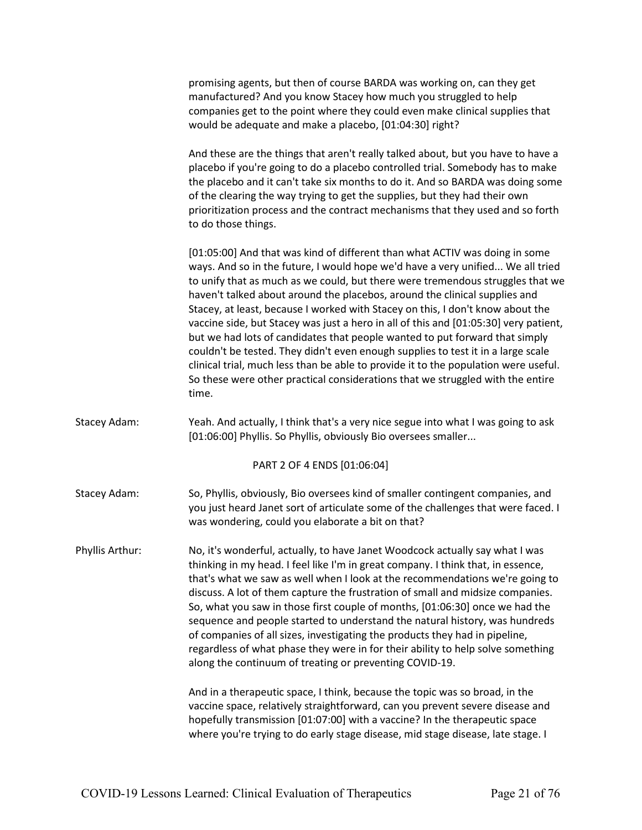promising agents, but then of course BARDA was working on, can they get manufactured? And you know Stacey how much you struggled to help companies get to the point where they could even make clinical supplies that would be adequate and make a placebo, [01:04:30] right?

And these are the things that aren't really talked about, but you have to have a placebo if you're going to do a placebo controlled trial. Somebody has to make the placebo and it can't take six months to do it. And so BARDA was doing some of the clearing the way trying to get the supplies, but they had their own prioritization process and the contract mechanisms that they used and so forth to do those things.

[01:05:00] And that was kind of different than what ACTIV was doing in some ways. And so in the future, I would hope we'd have a very unified... We all tried to unify that as much as we could, but there were tremendous struggles that we haven't talked about around the placebos, around the clinical supplies and Stacey, at least, because I worked with Stacey on this, I don't know about the vaccine side, but Stacey was just a hero in all of this and [01:05:30] very patient, but we had lots of candidates that people wanted to put forward that simply couldn't be tested. They didn't even enough supplies to test it in a large scale clinical trial, much less than be able to provide it to the population were useful. So these were other practical considerations that we struggled with the entire time.

Stacey Adam: Yeah. And actually, I think that's a very nice segue into what I was going to ask [01:06:00] Phyllis. So Phyllis, obviously Bio oversees smaller...

#### PART 2 OF 4 ENDS [01:06:04]

Stacey Adam: So, Phyllis, obviously, Bio oversees kind of smaller contingent companies, and you just heard Janet sort of articulate some of the challenges that were faced. I was wondering, could you elaborate a bit on that?

Phyllis Arthur: No, it's wonderful, actually, to have Janet Woodcock actually say what I was thinking in my head. I feel like I'm in great company. I think that, in essence, that's what we saw as well when I look at the recommendations we're going to discuss. A lot of them capture the frustration of small and midsize companies. So, what you saw in those first couple of months, [01:06:30] once we had the sequence and people started to understand the natural history, was hundreds of companies of all sizes, investigating the products they had in pipeline, regardless of what phase they were in for their ability to help solve something along the continuum of treating or preventing COVID-19.

> And in a therapeutic space, I think, because the topic was so broad, in the vaccine space, relatively straightforward, can you prevent severe disease and hopefully transmission [01:07:00] with a vaccine? In the therapeutic space where you're trying to do early stage disease, mid stage disease, late stage. I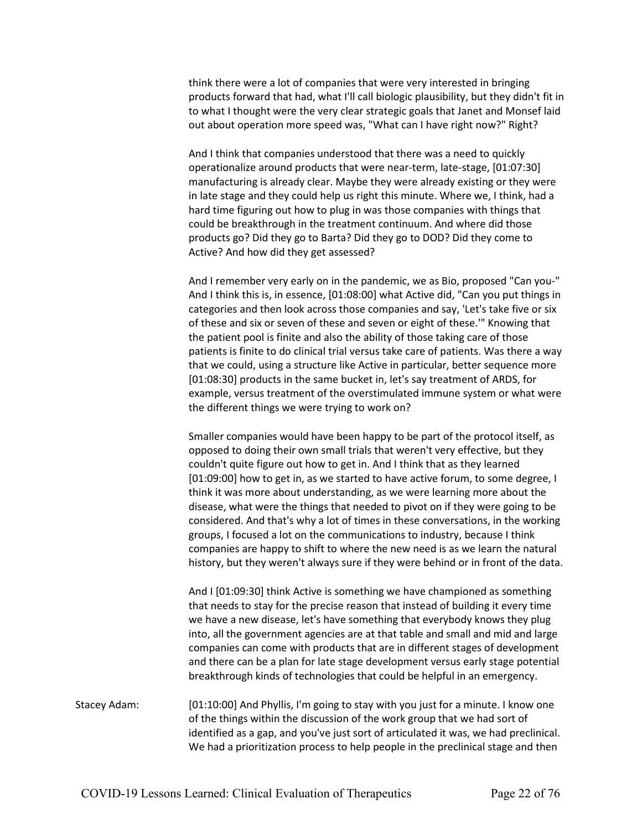think there were a lot of companies that were very interested in bringing products forward that had, what I'll call biologic plausibility, but they didn't fit in to what I thought were the very clear strategic goals that Janet and Monsef laid out about operation more speed was, "What can I have right now?" Right?

And I think that companies understood that there was a need to quickly operationalize around products that were near-term, late-stage, [01:07:30] manufacturing is already clear. Maybe they were already existing or they were in late stage and they could help us right this minute. Where we, I think, had a hard time figuring out how to plug in was those companies with things that could be breakthrough in the treatment continuum. And where did those products go? Did they go to Barta? Did they go to DOD? Did they come to Active? And how did they get assessed?

And I remember very early on in the pandemic, we as Bio, proposed "Can you-" And I think this is, in essence, [01:08:00] what Active did, "Can you put things in categories and then look across those companies and say, 'Let's take five or six of these and six or seven of these and seven or eight of these.'" Knowing that the patient pool is finite and also the ability of those taking care of those patients is finite to do clinical trial versus take care of patients. Was there a way that we could, using a structure like Active in particular, better sequence more [01:08:30] products in the same bucket in, let's say treatment of ARDS, for example, versus treatment of the overstimulated immune system or what were the different things we were trying to work on?

Smaller companies would have been happy to be part of the protocol itself, as opposed to doing their own small trials that weren't very effective, but they couldn't quite figure out how to get in. And I think that as they learned [01:09:00] how to get in, as we started to have active forum, to some degree, I think it was more about understanding, as we were learning more about the disease, what were the things that needed to pivot on if they were going to be considered. And that's why a lot of times in these conversations, in the working groups, I focused a lot on the communications to industry, because I think companies are happy to shift to where the new need is as we learn the natural history, but they weren't always sure if they were behind or in front of the data.

And I [01:09:30] think Active is something we have championed as something that needs to stay for the precise reason that instead of building it every time we have a new disease, let's have something that everybody knows they plug into, all the government agencies are at that table and small and mid and large companies can come with products that are in different stages of development and there can be a plan for late stage development versus early stage potential breakthrough kinds of technologies that could be helpful in an emergency.

Stacey Adam: [01:10:00] And Phyllis, I'm going to stay with you just for a minute. I know one of the things within the discussion of the work group that we had sort of identified as a gap, and you've just sort of articulated it was, we had preclinical. We had a prioritization process to help people in the preclinical stage and then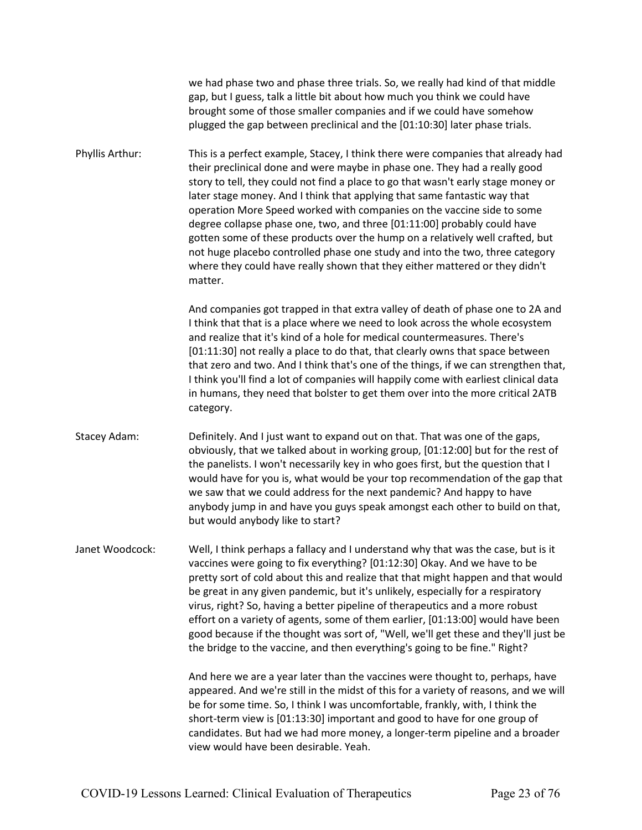we had phase two and phase three trials. So, we really had kind of that middle gap, but I guess, talk a little bit about how much you think we could have brought some of those smaller companies and if we could have somehow plugged the gap between preclinical and the [01:10:30] later phase trials.

Phyllis Arthur: This is a perfect example, Stacey, I think there were companies that already had their preclinical done and were maybe in phase one. They had a really good story to tell, they could not find a place to go that wasn't early stage money or later stage money. And I think that applying that same fantastic way that operation More Speed worked with companies on the vaccine side to some degree collapse phase one, two, and three [01:11:00] probably could have gotten some of these products over the hump on a relatively well crafted, but not huge placebo controlled phase one study and into the two, three category where they could have really shown that they either mattered or they didn't matter.

> And companies got trapped in that extra valley of death of phase one to 2A and I think that that is a place where we need to look across the whole ecosystem and realize that it's kind of a hole for medical countermeasures. There's [01:11:30] not really a place to do that, that clearly owns that space between that zero and two. And I think that's one of the things, if we can strengthen that, I think you'll find a lot of companies will happily come with earliest clinical data in humans, they need that bolster to get them over into the more critical 2ATB category.

Stacey Adam: Definitely. And I just want to expand out on that. That was one of the gaps, obviously, that we talked about in working group, [01:12:00] but for the rest of the panelists. I won't necessarily key in who goes first, but the question that I would have for you is, what would be your top recommendation of the gap that we saw that we could address for the next pandemic? And happy to have anybody jump in and have you guys speak amongst each other to build on that, but would anybody like to start?

Janet Woodcock: Well, I think perhaps a fallacy and I understand why that was the case, but is it vaccines were going to fix everything? [01:12:30] Okay. And we have to be pretty sort of cold about this and realize that that might happen and that would be great in any given pandemic, but it's unlikely, especially for a respiratory virus, right? So, having a better pipeline of therapeutics and a more robust effort on a variety of agents, some of them earlier, [01:13:00] would have been good because if the thought was sort of, "Well, we'll get these and they'll just be the bridge to the vaccine, and then everything's going to be fine." Right?

> And here we are a year later than the vaccines were thought to, perhaps, have appeared. And we're still in the midst of this for a variety of reasons, and we will be for some time. So, I think I was uncomfortable, frankly, with, I think the short-term view is [01:13:30] important and good to have for one group of candidates. But had we had more money, a longer-term pipeline and a broader view would have been desirable. Yeah.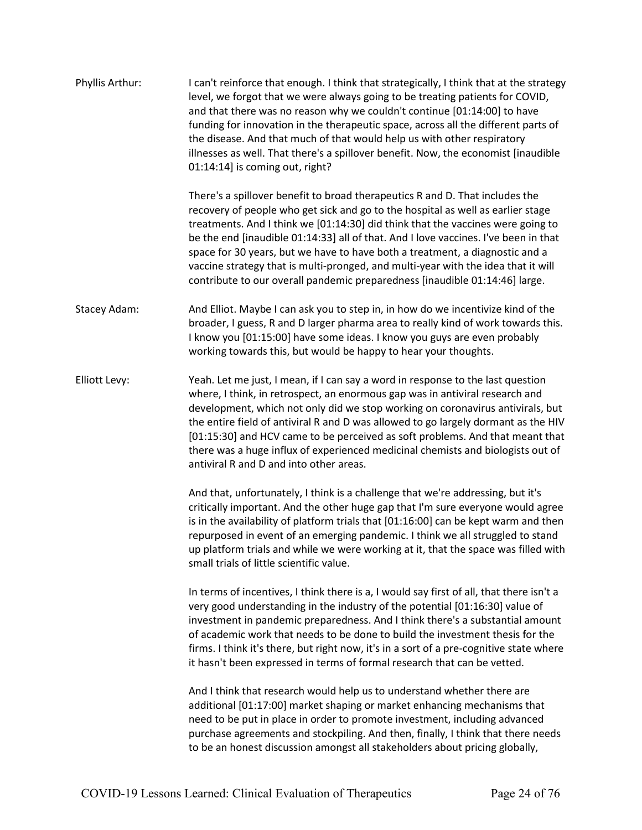| Phyllis Arthur: | I can't reinforce that enough. I think that strategically, I think that at the strategy<br>level, we forgot that we were always going to be treating patients for COVID,<br>and that there was no reason why we couldn't continue [01:14:00] to have<br>funding for innovation in the therapeutic space, across all the different parts of<br>the disease. And that much of that would help us with other respiratory<br>illnesses as well. That there's a spillover benefit. Now, the economist [inaudible]<br>01:14:14] is coming out, right?                                               |
|-----------------|-----------------------------------------------------------------------------------------------------------------------------------------------------------------------------------------------------------------------------------------------------------------------------------------------------------------------------------------------------------------------------------------------------------------------------------------------------------------------------------------------------------------------------------------------------------------------------------------------|
|                 | There's a spillover benefit to broad therapeutics R and D. That includes the<br>recovery of people who get sick and go to the hospital as well as earlier stage<br>treatments. And I think we [01:14:30] did think that the vaccines were going to<br>be the end [inaudible 01:14:33] all of that. And I love vaccines. I've been in that<br>space for 30 years, but we have to have both a treatment, a diagnostic and a<br>vaccine strategy that is multi-pronged, and multi-year with the idea that it will<br>contribute to our overall pandemic preparedness [inaudible 01:14:46] large. |
| Stacey Adam:    | And Elliot. Maybe I can ask you to step in, in how do we incentivize kind of the<br>broader, I guess, R and D larger pharma area to really kind of work towards this.<br>I know you [01:15:00] have some ideas. I know you guys are even probably<br>working towards this, but would be happy to hear your thoughts.                                                                                                                                                                                                                                                                          |
| Elliott Levy:   | Yeah. Let me just, I mean, if I can say a word in response to the last question<br>where, I think, in retrospect, an enormous gap was in antiviral research and<br>development, which not only did we stop working on coronavirus antivirals, but<br>the entire field of antiviral R and D was allowed to go largely dormant as the HIV<br>[01:15:30] and HCV came to be perceived as soft problems. And that meant that<br>there was a huge influx of experienced medicinal chemists and biologists out of<br>antiviral R and D and into other areas.                                        |
|                 | And that, unfortunately, I think is a challenge that we're addressing, but it's<br>critically important. And the other huge gap that I'm sure everyone would agree<br>is in the availability of platform trials that [01:16:00] can be kept warm and then<br>repurposed in event of an emerging pandemic. I think we all struggled to stand<br>up platform trials and while we were working at it, that the space was filled with<br>small trials of little scientific value.                                                                                                                 |
|                 | In terms of incentives, I think there is a, I would say first of all, that there isn't a<br>very good understanding in the industry of the potential [01:16:30] value of<br>investment in pandemic preparedness. And I think there's a substantial amount<br>of academic work that needs to be done to build the investment thesis for the<br>firms. I think it's there, but right now, it's in a sort of a pre-cognitive state where<br>it hasn't been expressed in terms of formal research that can be vetted.                                                                             |
|                 | And I think that research would help us to understand whether there are<br>additional [01:17:00] market shaping or market enhancing mechanisms that<br>need to be put in place in order to promote investment, including advanced<br>purchase agreements and stockpiling. And then, finally, I think that there needs<br>to be an honest discussion amongst all stakeholders about pricing globally,                                                                                                                                                                                          |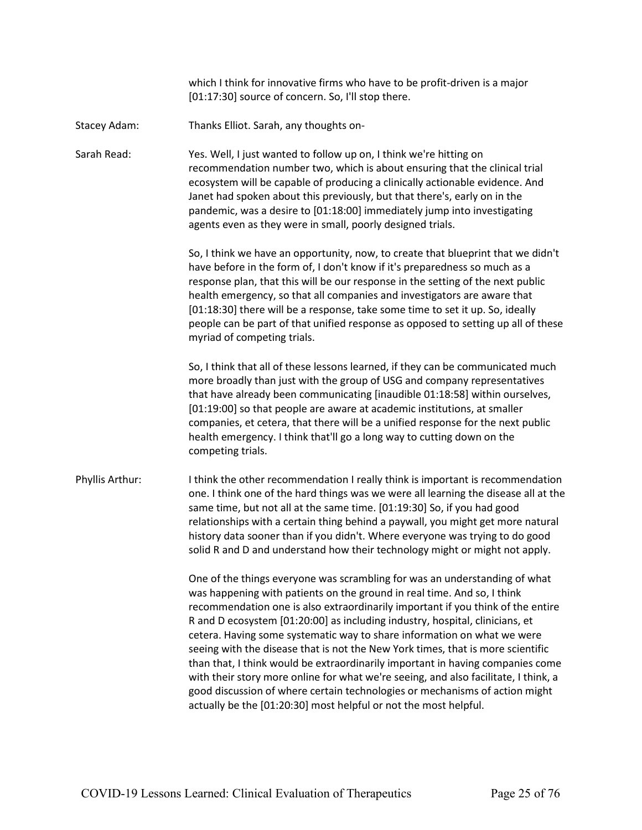|                 | which I think for innovative firms who have to be profit-driven is a major<br>[01:17:30] source of concern. So, I'll stop there.                                                                                                                                                                                                                                                                                                                                                                                                                                                                                                                                                                                                                                                                                   |
|-----------------|--------------------------------------------------------------------------------------------------------------------------------------------------------------------------------------------------------------------------------------------------------------------------------------------------------------------------------------------------------------------------------------------------------------------------------------------------------------------------------------------------------------------------------------------------------------------------------------------------------------------------------------------------------------------------------------------------------------------------------------------------------------------------------------------------------------------|
| Stacey Adam:    | Thanks Elliot. Sarah, any thoughts on-                                                                                                                                                                                                                                                                                                                                                                                                                                                                                                                                                                                                                                                                                                                                                                             |
| Sarah Read:     | Yes. Well, I just wanted to follow up on, I think we're hitting on<br>recommendation number two, which is about ensuring that the clinical trial<br>ecosystem will be capable of producing a clinically actionable evidence. And<br>Janet had spoken about this previously, but that there's, early on in the<br>pandemic, was a desire to [01:18:00] immediately jump into investigating<br>agents even as they were in small, poorly designed trials.                                                                                                                                                                                                                                                                                                                                                            |
|                 | So, I think we have an opportunity, now, to create that blueprint that we didn't<br>have before in the form of, I don't know if it's preparedness so much as a<br>response plan, that this will be our response in the setting of the next public<br>health emergency, so that all companies and investigators are aware that<br>[01:18:30] there will be a response, take some time to set it up. So, ideally<br>people can be part of that unified response as opposed to setting up all of these<br>myriad of competing trials.                                                                                                                                                                                                                                                                                 |
|                 | So, I think that all of these lessons learned, if they can be communicated much<br>more broadly than just with the group of USG and company representatives<br>that have already been communicating [inaudible 01:18:58] within ourselves,<br>[01:19:00] so that people are aware at academic institutions, at smaller<br>companies, et cetera, that there will be a unified response for the next public<br>health emergency. I think that'll go a long way to cutting down on the<br>competing trials.                                                                                                                                                                                                                                                                                                           |
| Phyllis Arthur: | I think the other recommendation I really think is important is recommendation<br>one. I think one of the hard things was we were all learning the disease all at the<br>same time, but not all at the same time. [01:19:30] So, if you had good<br>relationships with a certain thing behind a paywall, you might get more natural<br>history data sooner than if you didn't. Where everyone was trying to do good<br>solid R and D and understand how their technology might or might not apply.                                                                                                                                                                                                                                                                                                                 |
|                 | One of the things everyone was scrambling for was an understanding of what<br>was happening with patients on the ground in real time. And so, I think<br>recommendation one is also extraordinarily important if you think of the entire<br>R and D ecosystem [01:20:00] as including industry, hospital, clinicians, et<br>cetera. Having some systematic way to share information on what we were<br>seeing with the disease that is not the New York times, that is more scientific<br>than that, I think would be extraordinarily important in having companies come<br>with their story more online for what we're seeing, and also facilitate, I think, a<br>good discussion of where certain technologies or mechanisms of action might<br>actually be the [01:20:30] most helpful or not the most helpful. |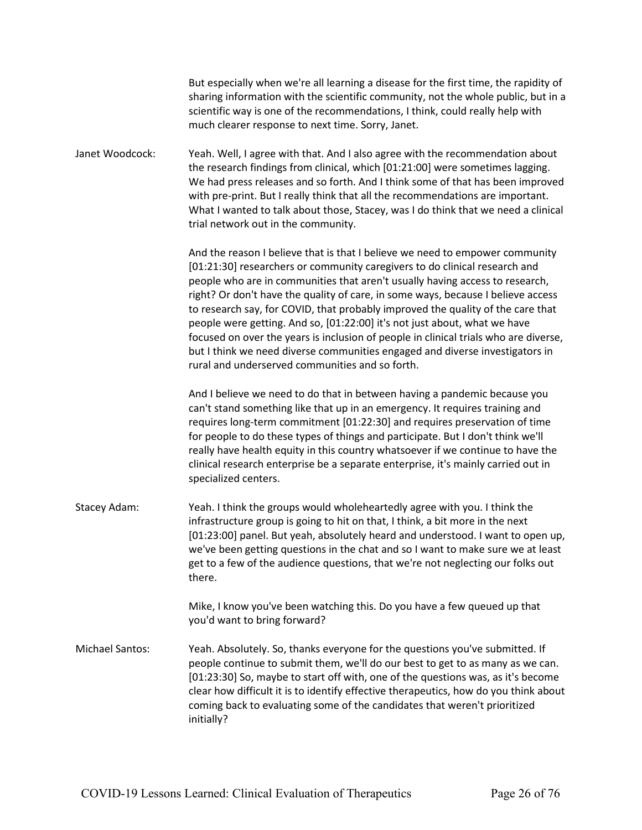|                        | But especially when we're all learning a disease for the first time, the rapidity of<br>sharing information with the scientific community, not the whole public, but in a<br>scientific way is one of the recommendations, I think, could really help with<br>much clearer response to next time. Sorry, Janet.                                                                                                                                                                                                                                                                                                                                                                                                           |
|------------------------|---------------------------------------------------------------------------------------------------------------------------------------------------------------------------------------------------------------------------------------------------------------------------------------------------------------------------------------------------------------------------------------------------------------------------------------------------------------------------------------------------------------------------------------------------------------------------------------------------------------------------------------------------------------------------------------------------------------------------|
| Janet Woodcock:        | Yeah. Well, I agree with that. And I also agree with the recommendation about<br>the research findings from clinical, which [01:21:00] were sometimes lagging.<br>We had press releases and so forth. And I think some of that has been improved<br>with pre-print. But I really think that all the recommendations are important.<br>What I wanted to talk about those, Stacey, was I do think that we need a clinical<br>trial network out in the community.                                                                                                                                                                                                                                                            |
|                        | And the reason I believe that is that I believe we need to empower community<br>[01:21:30] researchers or community caregivers to do clinical research and<br>people who are in communities that aren't usually having access to research,<br>right? Or don't have the quality of care, in some ways, because I believe access<br>to research say, for COVID, that probably improved the quality of the care that<br>people were getting. And so, [01:22:00] it's not just about, what we have<br>focused on over the years is inclusion of people in clinical trials who are diverse,<br>but I think we need diverse communities engaged and diverse investigators in<br>rural and underserved communities and so forth. |
|                        | And I believe we need to do that in between having a pandemic because you<br>can't stand something like that up in an emergency. It requires training and<br>requires long-term commitment [01:22:30] and requires preservation of time<br>for people to do these types of things and participate. But I don't think we'll<br>really have health equity in this country whatsoever if we continue to have the<br>clinical research enterprise be a separate enterprise, it's mainly carried out in<br>specialized centers.                                                                                                                                                                                                |
| Stacey Adam:           | Yeah. I think the groups would wholeheartedly agree with you. I think the<br>infrastructure group is going to hit on that, I think, a bit more in the next<br>[01:23:00] panel. But yeah, absolutely heard and understood. I want to open up,<br>we've been getting questions in the chat and so I want to make sure we at least<br>get to a few of the audience questions, that we're not neglecting our folks out<br>there.                                                                                                                                                                                                                                                                                             |
|                        | Mike, I know you've been watching this. Do you have a few queued up that<br>you'd want to bring forward?                                                                                                                                                                                                                                                                                                                                                                                                                                                                                                                                                                                                                  |
| <b>Michael Santos:</b> | Yeah. Absolutely. So, thanks everyone for the questions you've submitted. If<br>people continue to submit them, we'll do our best to get to as many as we can.<br>[01:23:30] So, maybe to start off with, one of the questions was, as it's become<br>clear how difficult it is to identify effective therapeutics, how do you think about<br>coming back to evaluating some of the candidates that weren't prioritized<br>initially?                                                                                                                                                                                                                                                                                     |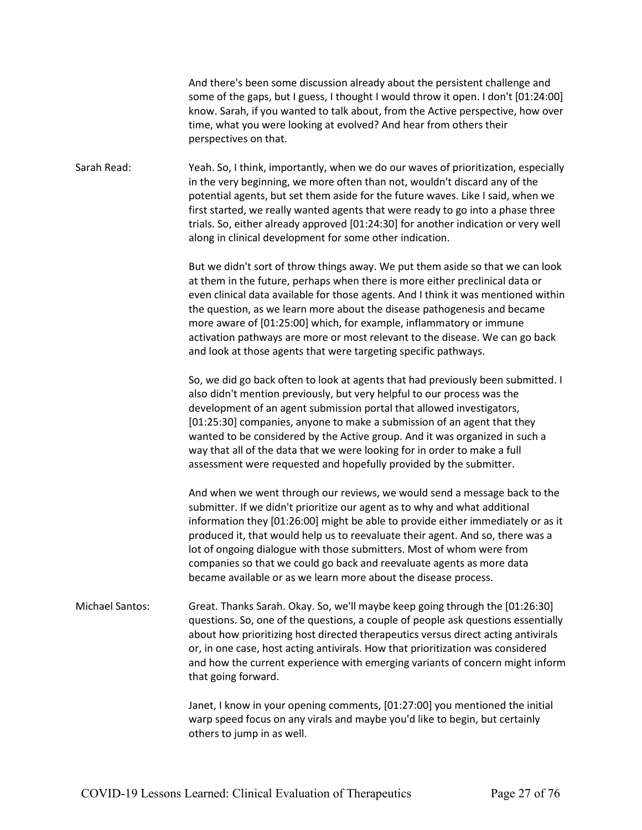And there's been some discussion already about the persistent challenge and some of the gaps, but I guess, I thought I would throw it open. I don't [01:24:00] know. Sarah, if you wanted to talk about, from the Active perspective, how over time, what you were looking at evolved? And hear from others their perspectives on that. Sarah Read: Yeah. So, I think, importantly, when we do our waves of prioritization, especially in the very beginning, we more often than not, wouldn't discard any of the potential agents, but set them aside for the future waves. Like I said, when we first started, we really wanted agents that were ready to go into a phase three trials. So, either already approved [01:24:30] for another indication or very well along in clinical development for some other indication. But we didn't sort of throw things away. We put them aside so that we can look at them in the future, perhaps when there is more either preclinical data or even clinical data available for those agents. And I think it was mentioned within the question, as we learn more about the disease pathogenesis and became more aware of [01:25:00] which, for example, inflammatory or immune activation pathways are more or most relevant to the disease. We can go back and look at those agents that were targeting specific pathways. So, we did go back often to look at agents that had previously been submitted. I also didn't mention previously, but very helpful to our process was the development of an agent submission portal that allowed investigators, [01:25:30] companies, anyone to make a submission of an agent that they wanted to be considered by the Active group. And it was organized in such a way that all of the data that we were looking for in order to make a full assessment were requested and hopefully provided by the submitter. And when we went through our reviews, we would send a message back to the submitter. If we didn't prioritize our agent as to why and what additional information they [01:26:00] might be able to provide either immediately or as it produced it, that would help us to reevaluate their agent. And so, there was a lot of ongoing dialogue with those submitters. Most of whom were from companies so that we could go back and reevaluate agents as more data became available or as we learn more about the disease process. Michael Santos: Great. Thanks Sarah. Okay. So, we'll maybe keep going through the [01:26:30]

questions. So, one of the questions, a couple of people ask questions essentially about how prioritizing host directed therapeutics versus direct acting antivirals or, in one case, host acting antivirals. How that prioritization was considered and how the current experience with emerging variants of concern might inform that going forward.

> Janet, I know in your opening comments, [01:27:00] you mentioned the initial warp speed focus on any virals and maybe you'd like to begin, but certainly others to jump in as well.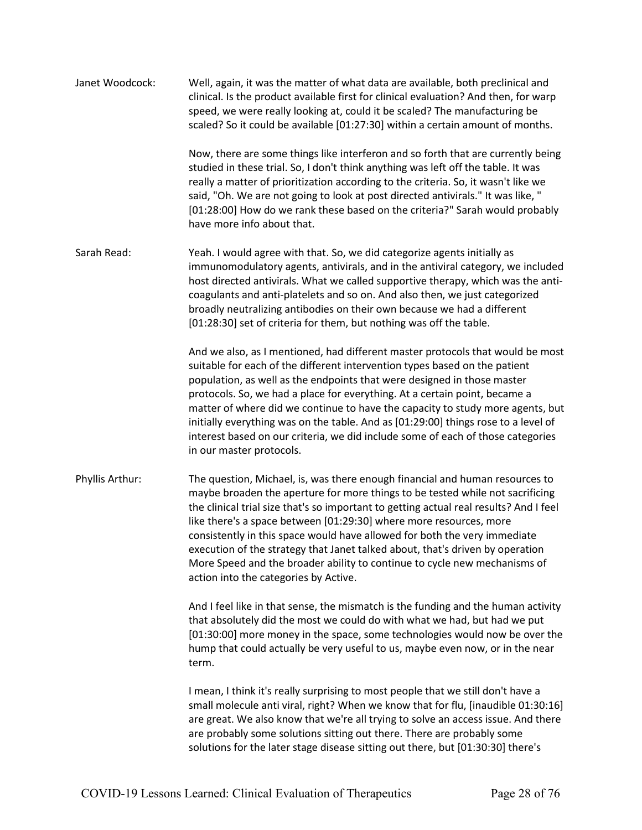| Janet Woodcock: | Well, again, it was the matter of what data are available, both preclinical and<br>clinical. Is the product available first for clinical evaluation? And then, for warp<br>speed, we were really looking at, could it be scaled? The manufacturing be<br>scaled? So it could be available [01:27:30] within a certain amount of months.                                                                                                                                                                                                                                                                           |
|-----------------|-------------------------------------------------------------------------------------------------------------------------------------------------------------------------------------------------------------------------------------------------------------------------------------------------------------------------------------------------------------------------------------------------------------------------------------------------------------------------------------------------------------------------------------------------------------------------------------------------------------------|
|                 | Now, there are some things like interferon and so forth that are currently being<br>studied in these trial. So, I don't think anything was left off the table. It was<br>really a matter of prioritization according to the criteria. So, it wasn't like we<br>said, "Oh. We are not going to look at post directed antivirals." It was like, "<br>[01:28:00] How do we rank these based on the criteria?" Sarah would probably<br>have more info about that.                                                                                                                                                     |
| Sarah Read:     | Yeah. I would agree with that. So, we did categorize agents initially as<br>immunomodulatory agents, antivirals, and in the antiviral category, we included<br>host directed antivirals. What we called supportive therapy, which was the anti-<br>coagulants and anti-platelets and so on. And also then, we just categorized<br>broadly neutralizing antibodies on their own because we had a different<br>[01:28:30] set of criteria for them, but nothing was off the table.                                                                                                                                  |
|                 | And we also, as I mentioned, had different master protocols that would be most<br>suitable for each of the different intervention types based on the patient<br>population, as well as the endpoints that were designed in those master<br>protocols. So, we had a place for everything. At a certain point, became a<br>matter of where did we continue to have the capacity to study more agents, but<br>initially everything was on the table. And as [01:29:00] things rose to a level of<br>interest based on our criteria, we did include some of each of those categories<br>in our master protocols.      |
| Phyllis Arthur: | The question, Michael, is, was there enough financial and human resources to<br>maybe broaden the aperture for more things to be tested while not sacrificing<br>the clinical trial size that's so important to getting actual real results? And I feel<br>like there's a space between [01:29:30] where more resources, more<br>consistently in this space would have allowed for both the very immediate<br>execution of the strategy that Janet talked about, that's driven by operation<br>More Speed and the broader ability to continue to cycle new mechanisms of<br>action into the categories by Active. |
|                 | And I feel like in that sense, the mismatch is the funding and the human activity<br>that absolutely did the most we could do with what we had, but had we put<br>[01:30:00] more money in the space, some technologies would now be over the<br>hump that could actually be very useful to us, maybe even now, or in the near<br>term.                                                                                                                                                                                                                                                                           |
|                 | I mean, I think it's really surprising to most people that we still don't have a<br>small molecule anti viral, right? When we know that for flu, [inaudible 01:30:16]<br>are great. We also know that we're all trying to solve an access issue. And there<br>are probably some solutions sitting out there. There are probably some<br>solutions for the later stage disease sitting out there, but [01:30:30] there's                                                                                                                                                                                           |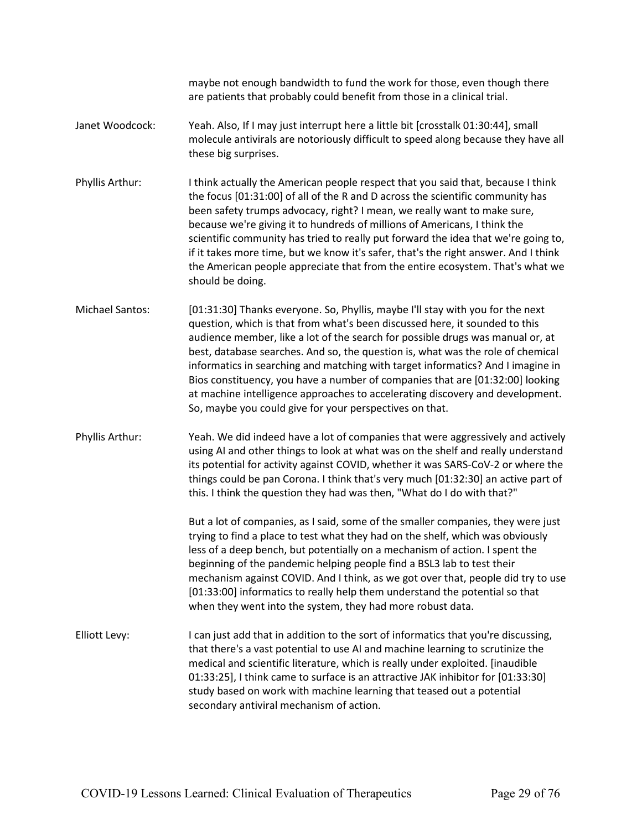maybe not enough bandwidth to fund the work for those, even though there are patients that probably could benefit from those in a clinical trial.

- Janet Woodcock: Yeah. Also, If I may just interrupt here a little bit [crosstalk 01:30:44], small molecule antivirals are notoriously difficult to speed along because they have all these big surprises.
- Phyllis Arthur: I think actually the American people respect that you said that, because I think the focus [01:31:00] of all of the R and D across the scientific community has been safety trumps advocacy, right? I mean, we really want to make sure, because we're giving it to hundreds of millions of Americans, I think the scientific community has tried to really put forward the idea that we're going to, if it takes more time, but we know it's safer, that's the right answer. And I think the American people appreciate that from the entire ecosystem. That's what we should be doing.
- Michael Santos: [01:31:30] Thanks everyone. So, Phyllis, maybe I'll stay with you for the next question, which is that from what's been discussed here, it sounded to this audience member, like a lot of the search for possible drugs was manual or, at best, database searches. And so, the question is, what was the role of chemical informatics in searching and matching with target informatics? And I imagine in Bios constituency, you have a number of companies that are [01:32:00] looking at machine intelligence approaches to accelerating discovery and development. So, maybe you could give for your perspectives on that.
- Phyllis Arthur: Yeah. We did indeed have a lot of companies that were aggressively and actively using AI and other things to look at what was on the shelf and really understand its potential for activity against COVID, whether it was SARS-CoV-2 or where the things could be pan Corona. I think that's very much [01:32:30] an active part of this. I think the question they had was then, "What do I do with that?"

But a lot of companies, as I said, some of the smaller companies, they were just trying to find a place to test what they had on the shelf, which was obviously less of a deep bench, but potentially on a mechanism of action. I spent the beginning of the pandemic helping people find a BSL3 lab to test their mechanism against COVID. And I think, as we got over that, people did try to use [01:33:00] informatics to really help them understand the potential so that when they went into the system, they had more robust data.

Elliott Levy: I can just add that in addition to the sort of informatics that you're discussing, that there's a vast potential to use AI and machine learning to scrutinize the medical and scientific literature, which is really under exploited. [inaudible 01:33:25], I think came to surface is an attractive JAK inhibitor for [01:33:30] study based on work with machine learning that teased out a potential secondary antiviral mechanism of action.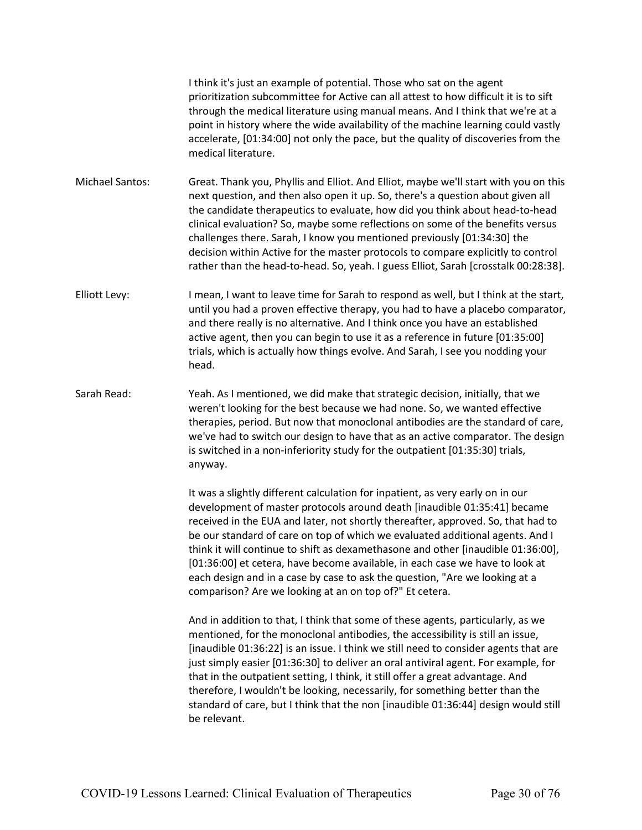I think it's just an example of potential. Those who sat on the agent prioritization subcommittee for Active can all attest to how difficult it is to sift through the medical literature using manual means. And I think that we're at a point in history where the wide availability of the machine learning could vastly accelerate, [01:34:00] not only the pace, but the quality of discoveries from the medical literature.

Michael Santos: Great. Thank you, Phyllis and Elliot. And Elliot, maybe we'll start with you on this next question, and then also open it up. So, there's a question about given all the candidate therapeutics to evaluate, how did you think about head-to-head clinical evaluation? So, maybe some reflections on some of the benefits versus challenges there. Sarah, I know you mentioned previously [01:34:30] the decision within Active for the master protocols to compare explicitly to control rather than the head-to-head. So, yeah. I guess Elliot, Sarah [crosstalk 00:28:38].

Elliott Levy: I mean, I want to leave time for Sarah to respond as well, but I think at the start, until you had a proven effective therapy, you had to have a placebo comparator, and there really is no alternative. And I think once you have an established active agent, then you can begin to use it as a reference in future [01:35:00] trials, which is actually how things evolve. And Sarah, I see you nodding your head.

Sarah Read: Yeah. As I mentioned, we did make that strategic decision, initially, that we weren't looking for the best because we had none. So, we wanted effective therapies, period. But now that monoclonal antibodies are the standard of care, we've had to switch our design to have that as an active comparator. The design is switched in a non-inferiority study for the outpatient [01:35:30] trials, anyway.

> It was a slightly different calculation for inpatient, as very early on in our development of master protocols around death [inaudible 01:35:41] became received in the EUA and later, not shortly thereafter, approved. So, that had to be our standard of care on top of which we evaluated additional agents. And I think it will continue to shift as dexamethasone and other [inaudible 01:36:00], [01:36:00] et cetera, have become available, in each case we have to look at each design and in a case by case to ask the question, "Are we looking at a comparison? Are we looking at an on top of?" Et cetera.

> And in addition to that, I think that some of these agents, particularly, as we mentioned, for the monoclonal antibodies, the accessibility is still an issue, [inaudible 01:36:22] is an issue. I think we still need to consider agents that are just simply easier [01:36:30] to deliver an oral antiviral agent. For example, for that in the outpatient setting, I think, it still offer a great advantage. And therefore, I wouldn't be looking, necessarily, for something better than the standard of care, but I think that the non [inaudible 01:36:44] design would still be relevant.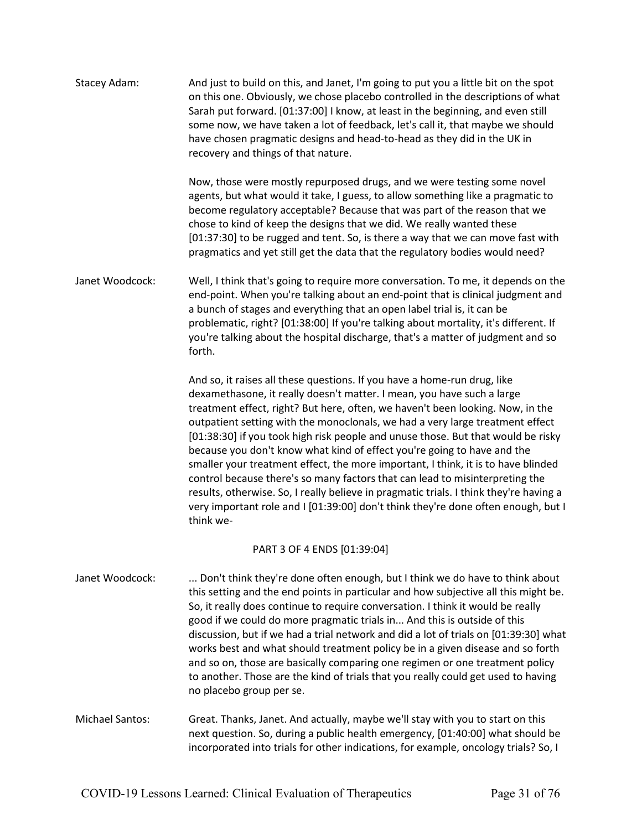| Stacey Adam:           | And just to build on this, and Janet, I'm going to put you a little bit on the spot<br>on this one. Obviously, we chose placebo controlled in the descriptions of what<br>Sarah put forward. [01:37:00] I know, at least in the beginning, and even still<br>some now, we have taken a lot of feedback, let's call it, that maybe we should<br>have chosen pragmatic designs and head-to-head as they did in the UK in<br>recovery and things of that nature.                                                                                                                                                                                                                                                                                                                                                                                         |
|------------------------|-------------------------------------------------------------------------------------------------------------------------------------------------------------------------------------------------------------------------------------------------------------------------------------------------------------------------------------------------------------------------------------------------------------------------------------------------------------------------------------------------------------------------------------------------------------------------------------------------------------------------------------------------------------------------------------------------------------------------------------------------------------------------------------------------------------------------------------------------------|
|                        | Now, those were mostly repurposed drugs, and we were testing some novel<br>agents, but what would it take, I guess, to allow something like a pragmatic to<br>become regulatory acceptable? Because that was part of the reason that we<br>chose to kind of keep the designs that we did. We really wanted these<br>[01:37:30] to be rugged and tent. So, is there a way that we can move fast with<br>pragmatics and yet still get the data that the regulatory bodies would need?                                                                                                                                                                                                                                                                                                                                                                   |
| Janet Woodcock:        | Well, I think that's going to require more conversation. To me, it depends on the<br>end-point. When you're talking about an end-point that is clinical judgment and<br>a bunch of stages and everything that an open label trial is, it can be<br>problematic, right? [01:38:00] If you're talking about mortality, it's different. If<br>you're talking about the hospital discharge, that's a matter of judgment and so<br>forth.                                                                                                                                                                                                                                                                                                                                                                                                                  |
|                        | And so, it raises all these questions. If you have a home-run drug, like<br>dexamethasone, it really doesn't matter. I mean, you have such a large<br>treatment effect, right? But here, often, we haven't been looking. Now, in the<br>outpatient setting with the monoclonals, we had a very large treatment effect<br>[01:38:30] if you took high risk people and unuse those. But that would be risky<br>because you don't know what kind of effect you're going to have and the<br>smaller your treatment effect, the more important, I think, it is to have blinded<br>control because there's so many factors that can lead to misinterpreting the<br>results, otherwise. So, I really believe in pragmatic trials. I think they're having a<br>very important role and I [01:39:00] don't think they're done often enough, but I<br>think we- |
|                        | PART 3 OF 4 ENDS [01:39:04]                                                                                                                                                                                                                                                                                                                                                                                                                                                                                                                                                                                                                                                                                                                                                                                                                           |
| Janet Woodcock:        | Don't think they're done often enough, but I think we do have to think about<br>this setting and the end points in particular and how subjective all this might be.<br>So, it really does continue to require conversation. I think it would be really<br>good if we could do more pragmatic trials in And this is outside of this<br>discussion, but if we had a trial network and did a lot of trials on [01:39:30] what<br>works best and what should treatment policy be in a given disease and so forth<br>and so on, those are basically comparing one regimen or one treatment policy<br>to another. Those are the kind of trials that you really could get used to having<br>no placebo group per se.                                                                                                                                         |
| <b>Michael Santos:</b> | Great. Thanks, Janet. And actually, maybe we'll stay with you to start on this<br>next question. So, during a public health emergency, [01:40:00] what should be<br>incorporated into trials for other indications, for example, oncology trials? So, I                                                                                                                                                                                                                                                                                                                                                                                                                                                                                                                                                                                               |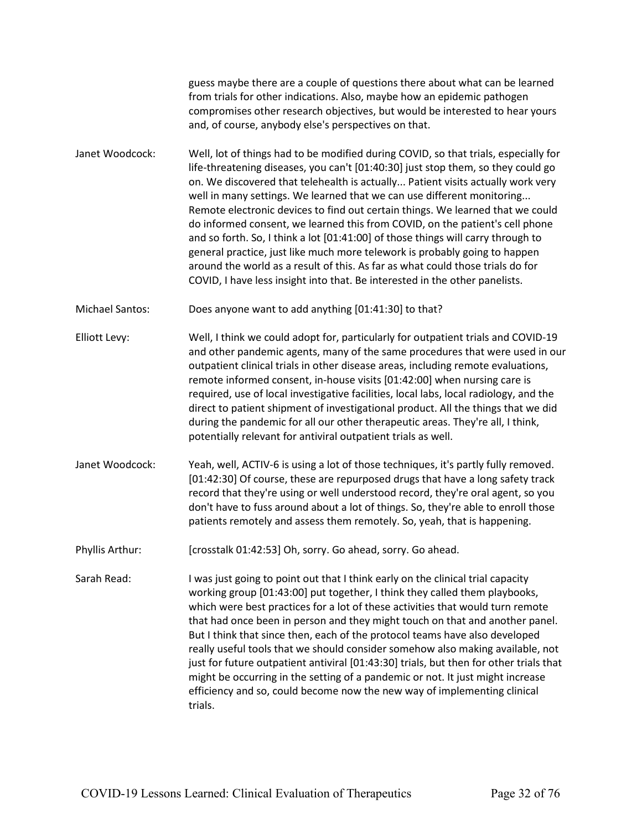guess maybe there are a couple of questions there about what can be learned from trials for other indications. Also, maybe how an epidemic pathogen compromises other research objectives, but would be interested to hear yours and, of course, anybody else's perspectives on that.

Janet Woodcock: Well, lot of things had to be modified during COVID, so that trials, especially for life-threatening diseases, you can't [01:40:30] just stop them, so they could go on. We discovered that telehealth is actually... Patient visits actually work very well in many settings. We learned that we can use different monitoring... Remote electronic devices to find out certain things. We learned that we could do informed consent, we learned this from COVID, on the patient's cell phone and so forth. So, I think a lot [01:41:00] of those things will carry through to general practice, just like much more telework is probably going to happen around the world as a result of this. As far as what could those trials do for COVID, I have less insight into that. Be interested in the other panelists.

Michael Santos: Does anyone want to add anything [01:41:30] to that?

Elliott Levy: Well, I think we could adopt for, particularly for outpatient trials and COVID-19 and other pandemic agents, many of the same procedures that were used in our outpatient clinical trials in other disease areas, including remote evaluations, remote informed consent, in-house visits [01:42:00] when nursing care is required, use of local investigative facilities, local labs, local radiology, and the direct to patient shipment of investigational product. All the things that we did during the pandemic for all our other therapeutic areas. They're all, I think, potentially relevant for antiviral outpatient trials as well.

Janet Woodcock: Yeah, well, ACTIV-6 is using a lot of those techniques, it's partly fully removed. [01:42:30] Of course, these are repurposed drugs that have a long safety track record that they're using or well understood record, they're oral agent, so you don't have to fuss around about a lot of things. So, they're able to enroll those patients remotely and assess them remotely. So, yeah, that is happening.

Phyllis Arthur: [crosstalk 01:42:53] Oh, sorry. Go ahead, sorry. Go ahead.

Sarah Read: I was just going to point out that I think early on the clinical trial capacity working group [01:43:00] put together, I think they called them playbooks, which were best practices for a lot of these activities that would turn remote that had once been in person and they might touch on that and another panel. But I think that since then, each of the protocol teams have also developed really useful tools that we should consider somehow also making available, not just for future outpatient antiviral [01:43:30] trials, but then for other trials that might be occurring in the setting of a pandemic or not. It just might increase efficiency and so, could become now the new way of implementing clinical trials.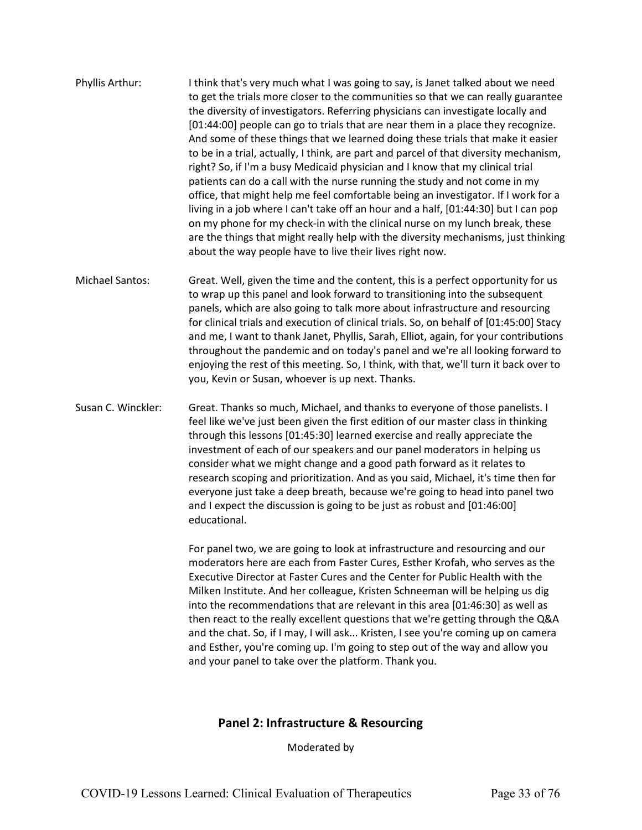- Phyllis Arthur: I think that's very much what I was going to say, is Janet talked about we need to get the trials more closer to the communities so that we can really guarantee the diversity of investigators. Referring physicians can investigate locally and [01:44:00] people can go to trials that are near them in a place they recognize. And some of these things that we learned doing these trials that make it easier to be in a trial, actually, I think, are part and parcel of that diversity mechanism, right? So, if I'm a busy Medicaid physician and I know that my clinical trial patients can do a call with the nurse running the study and not come in my office, that might help me feel comfortable being an investigator. If I work for a living in a job where I can't take off an hour and a half, [01:44:30] but I can pop on my phone for my check-in with the clinical nurse on my lunch break, these are the things that might really help with the diversity mechanisms, just thinking about the way people have to live their lives right now.
- Michael Santos: Great. Well, given the time and the content, this is a perfect opportunity for us to wrap up this panel and look forward to transitioning into the subsequent panels, which are also going to talk more about infrastructure and resourcing for clinical trials and execution of clinical trials. So, on behalf of [01:45:00] Stacy and me, I want to thank Janet, Phyllis, Sarah, Elliot, again, for your contributions throughout the pandemic and on today's panel and we're all looking forward to enjoying the rest of this meeting. So, I think, with that, we'll turn it back over to you, Kevin or Susan, whoever is up next. Thanks.
- Susan C. Winckler: Great. Thanks so much, Michael, and thanks to everyone of those panelists. I feel like we've just been given the first edition of our master class in thinking through this lessons [01:45:30] learned exercise and really appreciate the investment of each of our speakers and our panel moderators in helping us consider what we might change and a good path forward as it relates to research scoping and prioritization. And as you said, Michael, it's time then for everyone just take a deep breath, because we're going to head into panel two and I expect the discussion is going to be just as robust and [01:46:00] educational.

For panel two, we are going to look at infrastructure and resourcing and our moderators here are each from Faster Cures, Esther Krofah, who serves as the Executive Director at Faster Cures and the Center for Public Health with the Milken Institute. And her colleague, Kristen Schneeman will be helping us dig into the recommendations that are relevant in this area [01:46:30] as well as then react to the really excellent questions that we're getting through the Q&A and the chat. So, if I may, I will ask... Kristen, I see you're coming up on camera and Esther, you're coming up. I'm going to step out of the way and allow you and your panel to take over the platform. Thank you.

## **Panel 2: Infrastructure & Resourcing**

Moderated by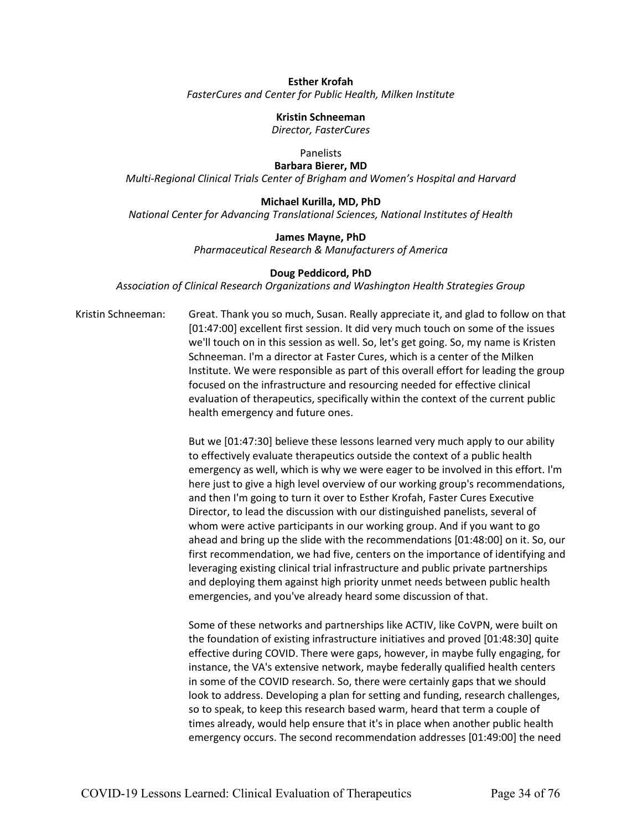#### **Esther Krofah** *FasterCures and Center for Public Health, Milken Institute*

**Kristin Schneeman** *Director, FasterCures*

Panelists

**Barbara Bierer, MD** *Multi-Regional Clinical Trials Center of Brigham and Women's Hospital and Harvard*

## **Michael Kurilla, MD, PhD**

*National Center for Advancing Translational Sciences, National Institutes of Health*

## **James Mayne, PhD**

*Pharmaceutical Research & Manufacturers of America*

## **Doug Peddicord, PhD**

*Association of Clinical Research Organizations and Washington Health Strategies Group*

Kristin Schneeman: Great. Thank you so much, Susan. Really appreciate it, and glad to follow on that [01:47:00] excellent first session. It did very much touch on some of the issues we'll touch on in this session as well. So, let's get going. So, my name is Kristen Schneeman. I'm a director at Faster Cures, which is a center of the Milken Institute. We were responsible as part of this overall effort for leading the group focused on the infrastructure and resourcing needed for effective clinical evaluation of therapeutics, specifically within the context of the current public health emergency and future ones.

> But we [01:47:30] believe these lessons learned very much apply to our ability to effectively evaluate therapeutics outside the context of a public health emergency as well, which is why we were eager to be involved in this effort. I'm here just to give a high level overview of our working group's recommendations, and then I'm going to turn it over to Esther Krofah, Faster Cures Executive Director, to lead the discussion with our distinguished panelists, several of whom were active participants in our working group. And if you want to go ahead and bring up the slide with the recommendations [01:48:00] on it. So, our first recommendation, we had five, centers on the importance of identifying and leveraging existing clinical trial infrastructure and public private partnerships and deploying them against high priority unmet needs between public health emergencies, and you've already heard some discussion of that.

> Some of these networks and partnerships like ACTIV, like CoVPN, were built on the foundation of existing infrastructure initiatives and proved [01:48:30] quite effective during COVID. There were gaps, however, in maybe fully engaging, for instance, the VA's extensive network, maybe federally qualified health centers in some of the COVID research. So, there were certainly gaps that we should look to address. Developing a plan for setting and funding, research challenges, so to speak, to keep this research based warm, heard that term a couple of times already, would help ensure that it's in place when another public health emergency occurs. The second recommendation addresses [01:49:00] the need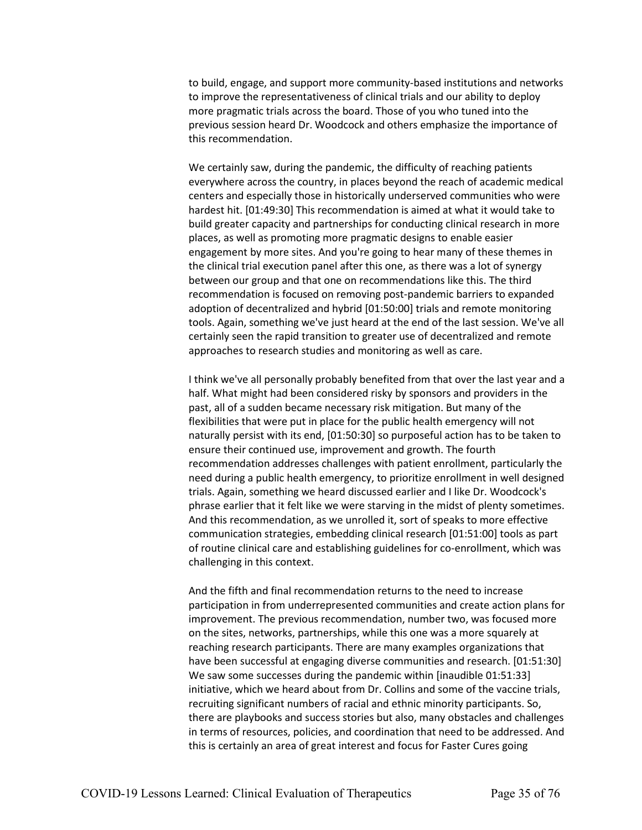to build, engage, and support more community-based institutions and networks to improve the representativeness of clinical trials and our ability to deploy more pragmatic trials across the board. Those of you who tuned into the previous session heard Dr. Woodcock and others emphasize the importance of this recommendation.

We certainly saw, during the pandemic, the difficulty of reaching patients everywhere across the country, in places beyond the reach of academic medical centers and especially those in historically underserved communities who were hardest hit. [01:49:30] This recommendation is aimed at what it would take to build greater capacity and partnerships for conducting clinical research in more places, as well as promoting more pragmatic designs to enable easier engagement by more sites. And you're going to hear many of these themes in the clinical trial execution panel after this one, as there was a lot of synergy between our group and that one on recommendations like this. The third recommendation is focused on removing post-pandemic barriers to expanded adoption of decentralized and hybrid [01:50:00] trials and remote monitoring tools. Again, something we've just heard at the end of the last session. We've all certainly seen the rapid transition to greater use of decentralized and remote approaches to research studies and monitoring as well as care.

I think we've all personally probably benefited from that over the last year and a half. What might had been considered risky by sponsors and providers in the past, all of a sudden became necessary risk mitigation. But many of the flexibilities that were put in place for the public health emergency will not naturally persist with its end, [01:50:30] so purposeful action has to be taken to ensure their continued use, improvement and growth. The fourth recommendation addresses challenges with patient enrollment, particularly the need during a public health emergency, to prioritize enrollment in well designed trials. Again, something we heard discussed earlier and I like Dr. Woodcock's phrase earlier that it felt like we were starving in the midst of plenty sometimes. And this recommendation, as we unrolled it, sort of speaks to more effective communication strategies, embedding clinical research [01:51:00] tools as part of routine clinical care and establishing guidelines for co-enrollment, which was challenging in this context.

And the fifth and final recommendation returns to the need to increase participation in from underrepresented communities and create action plans for improvement. The previous recommendation, number two, was focused more on the sites, networks, partnerships, while this one was a more squarely at reaching research participants. There are many examples organizations that have been successful at engaging diverse communities and research. [01:51:30] We saw some successes during the pandemic within [inaudible 01:51:33] initiative, which we heard about from Dr. Collins and some of the vaccine trials, recruiting significant numbers of racial and ethnic minority participants. So, there are playbooks and success stories but also, many obstacles and challenges in terms of resources, policies, and coordination that need to be addressed. And this is certainly an area of great interest and focus for Faster Cures going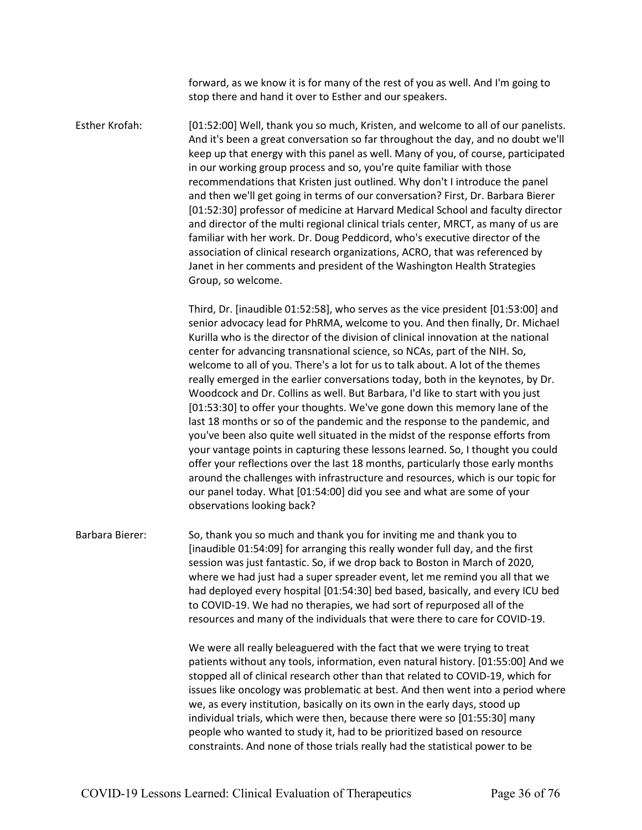forward, as we know it is for many of the rest of you as well. And I'm going to stop there and hand it over to Esther and our speakers.

Esther Krofah: [01:52:00] Well, thank you so much, Kristen, and welcome to all of our panelists. And it's been a great conversation so far throughout the day, and no doubt we'll keep up that energy with this panel as well. Many of you, of course, participated in our working group process and so, you're quite familiar with those recommendations that Kristen just outlined. Why don't I introduce the panel and then we'll get going in terms of our conversation? First, Dr. Barbara Bierer [01:52:30] professor of medicine at Harvard Medical School and faculty director and director of the multi regional clinical trials center, MRCT, as many of us are familiar with her work. Dr. Doug Peddicord, who's executive director of the association of clinical research organizations, ACRO, that was referenced by Janet in her comments and president of the Washington Health Strategies Group, so welcome.

> Third, Dr. [inaudible 01:52:58], who serves as the vice president [01:53:00] and senior advocacy lead for PhRMA, welcome to you. And then finally, Dr. Michael Kurilla who is the director of the division of clinical innovation at the national center for advancing transnational science, so NCAs, part of the NIH. So, welcome to all of you. There's a lot for us to talk about. A lot of the themes really emerged in the earlier conversations today, both in the keynotes, by Dr. Woodcock and Dr. Collins as well. But Barbara, I'd like to start with you just [01:53:30] to offer your thoughts. We've gone down this memory lane of the last 18 months or so of the pandemic and the response to the pandemic, and you've been also quite well situated in the midst of the response efforts from your vantage points in capturing these lessons learned. So, I thought you could offer your reflections over the last 18 months, particularly those early months around the challenges with infrastructure and resources, which is our topic for our panel today. What [01:54:00] did you see and what are some of your observations looking back?

Barbara Bierer: So, thank you so much and thank you for inviting me and thank you to [inaudible 01:54:09] for arranging this really wonder full day, and the first session was just fantastic. So, if we drop back to Boston in March of 2020, where we had just had a super spreader event, let me remind you all that we had deployed every hospital [01:54:30] bed based, basically, and every ICU bed to COVID-19. We had no therapies, we had sort of repurposed all of the resources and many of the individuals that were there to care for COVID-19.

> We were all really beleaguered with the fact that we were trying to treat patients without any tools, information, even natural history. [01:55:00] And we stopped all of clinical research other than that related to COVID-19, which for issues like oncology was problematic at best. And then went into a period where we, as every institution, basically on its own in the early days, stood up individual trials, which were then, because there were so [01:55:30] many people who wanted to study it, had to be prioritized based on resource constraints. And none of those trials really had the statistical power to be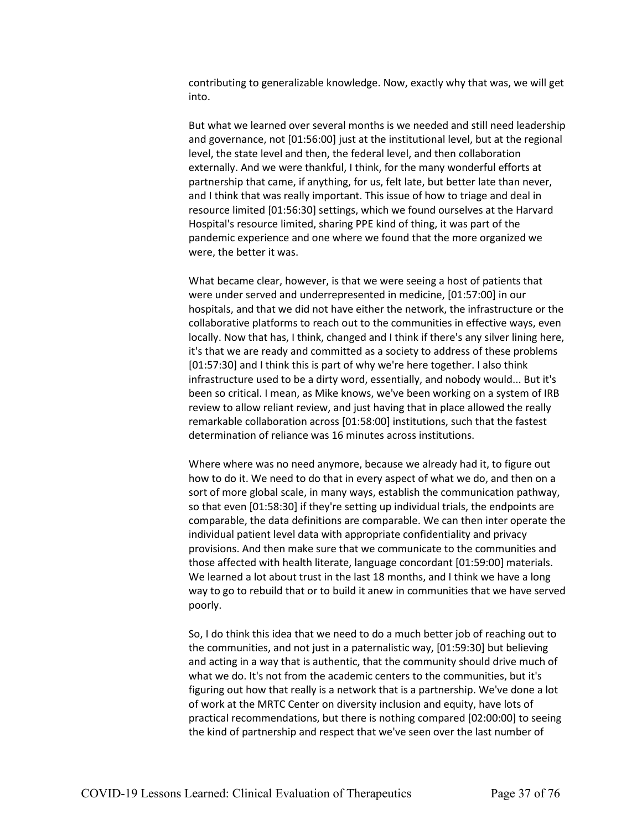contributing to generalizable knowledge. Now, exactly why that was, we will get into.

But what we learned over several months is we needed and still need leadership and governance, not [01:56:00] just at the institutional level, but at the regional level, the state level and then, the federal level, and then collaboration externally. And we were thankful, I think, for the many wonderful efforts at partnership that came, if anything, for us, felt late, but better late than never, and I think that was really important. This issue of how to triage and deal in resource limited [01:56:30] settings, which we found ourselves at the Harvard Hospital's resource limited, sharing PPE kind of thing, it was part of the pandemic experience and one where we found that the more organized we were, the better it was.

What became clear, however, is that we were seeing a host of patients that were under served and underrepresented in medicine, [01:57:00] in our hospitals, and that we did not have either the network, the infrastructure or the collaborative platforms to reach out to the communities in effective ways, even locally. Now that has, I think, changed and I think if there's any silver lining here, it's that we are ready and committed as a society to address of these problems [01:57:30] and I think this is part of why we're here together. I also think infrastructure used to be a dirty word, essentially, and nobody would... But it's been so critical. I mean, as Mike knows, we've been working on a system of IRB review to allow reliant review, and just having that in place allowed the really remarkable collaboration across [01:58:00] institutions, such that the fastest determination of reliance was 16 minutes across institutions.

Where where was no need anymore, because we already had it, to figure out how to do it. We need to do that in every aspect of what we do, and then on a sort of more global scale, in many ways, establish the communication pathway, so that even [01:58:30] if they're setting up individual trials, the endpoints are comparable, the data definitions are comparable. We can then inter operate the individual patient level data with appropriate confidentiality and privacy provisions. And then make sure that we communicate to the communities and those affected with health literate, language concordant [01:59:00] materials. We learned a lot about trust in the last 18 months, and I think we have a long way to go to rebuild that or to build it anew in communities that we have served poorly.

So, I do think this idea that we need to do a much better job of reaching out to the communities, and not just in a paternalistic way, [01:59:30] but believing and acting in a way that is authentic, that the community should drive much of what we do. It's not from the academic centers to the communities, but it's figuring out how that really is a network that is a partnership. We've done a lot of work at the MRTC Center on diversity inclusion and equity, have lots of practical recommendations, but there is nothing compared [02:00:00] to seeing the kind of partnership and respect that we've seen over the last number of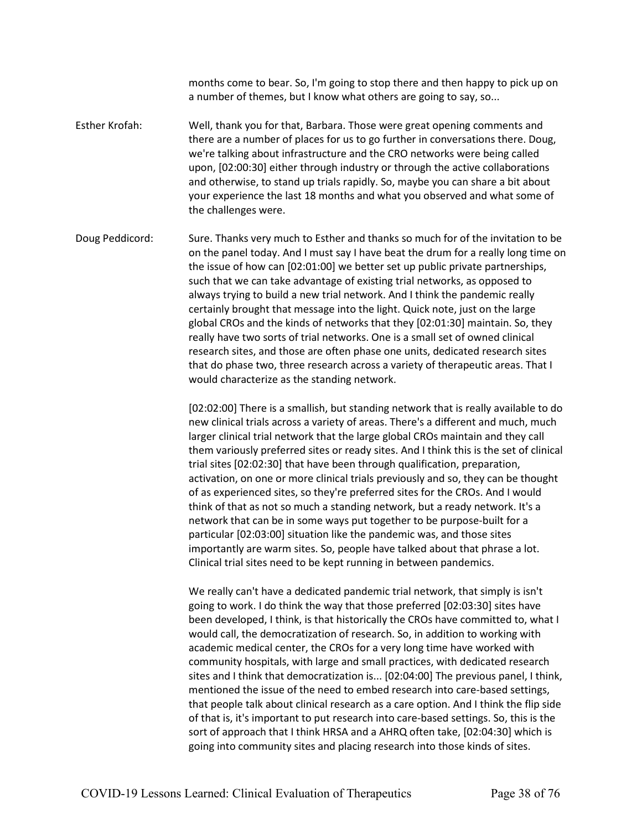months come to bear. So, I'm going to stop there and then happy to pick up on a number of themes, but I know what others are going to say, so...

Esther Krofah: Well, thank you for that, Barbara. Those were great opening comments and there are a number of places for us to go further in conversations there. Doug, we're talking about infrastructure and the CRO networks were being called upon, [02:00:30] either through industry or through the active collaborations and otherwise, to stand up trials rapidly. So, maybe you can share a bit about your experience the last 18 months and what you observed and what some of the challenges were.

Doug Peddicord: Sure. Thanks very much to Esther and thanks so much for of the invitation to be on the panel today. And I must say I have beat the drum for a really long time on the issue of how can [02:01:00] we better set up public private partnerships, such that we can take advantage of existing trial networks, as opposed to always trying to build a new trial network. And I think the pandemic really certainly brought that message into the light. Quick note, just on the large global CROs and the kinds of networks that they [02:01:30] maintain. So, they really have two sorts of trial networks. One is a small set of owned clinical research sites, and those are often phase one units, dedicated research sites that do phase two, three research across a variety of therapeutic areas. That I would characterize as the standing network.

> [02:02:00] There is a smallish, but standing network that is really available to do new clinical trials across a variety of areas. There's a different and much, much larger clinical trial network that the large global CROs maintain and they call them variously preferred sites or ready sites. And I think this is the set of clinical trial sites [02:02:30] that have been through qualification, preparation, activation, on one or more clinical trials previously and so, they can be thought of as experienced sites, so they're preferred sites for the CROs. And I would think of that as not so much a standing network, but a ready network. It's a network that can be in some ways put together to be purpose-built for a particular [02:03:00] situation like the pandemic was, and those sites importantly are warm sites. So, people have talked about that phrase a lot. Clinical trial sites need to be kept running in between pandemics.

> We really can't have a dedicated pandemic trial network, that simply is isn't going to work. I do think the way that those preferred [02:03:30] sites have been developed, I think, is that historically the CROs have committed to, what I would call, the democratization of research. So, in addition to working with academic medical center, the CROs for a very long time have worked with community hospitals, with large and small practices, with dedicated research sites and I think that democratization is... [02:04:00] The previous panel, I think, mentioned the issue of the need to embed research into care-based settings, that people talk about clinical research as a care option. And I think the flip side of that is, it's important to put research into care-based settings. So, this is the sort of approach that I think HRSA and a AHRQ often take, [02:04:30] which is going into community sites and placing research into those kinds of sites.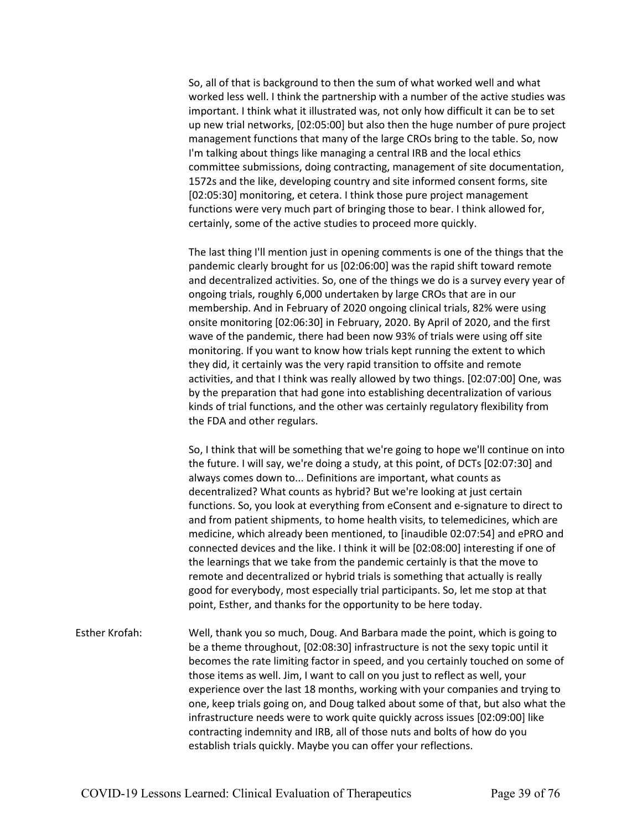So, all of that is background to then the sum of what worked well and what worked less well. I think the partnership with a number of the active studies was important. I think what it illustrated was, not only how difficult it can be to set up new trial networks, [02:05:00] but also then the huge number of pure project management functions that many of the large CROs bring to the table. So, now I'm talking about things like managing a central IRB and the local ethics committee submissions, doing contracting, management of site documentation, 1572s and the like, developing country and site informed consent forms, site [02:05:30] monitoring, et cetera. I think those pure project management functions were very much part of bringing those to bear. I think allowed for, certainly, some of the active studies to proceed more quickly.

The last thing I'll mention just in opening comments is one of the things that the pandemic clearly brought for us [02:06:00] was the rapid shift toward remote and decentralized activities. So, one of the things we do is a survey every year of ongoing trials, roughly 6,000 undertaken by large CROs that are in our membership. And in February of 2020 ongoing clinical trials, 82% were using onsite monitoring [02:06:30] in February, 2020. By April of 2020, and the first wave of the pandemic, there had been now 93% of trials were using off site monitoring. If you want to know how trials kept running the extent to which they did, it certainly was the very rapid transition to offsite and remote activities, and that I think was really allowed by two things. [02:07:00] One, was by the preparation that had gone into establishing decentralization of various kinds of trial functions, and the other was certainly regulatory flexibility from the FDA and other regulars.

So, I think that will be something that we're going to hope we'll continue on into the future. I will say, we're doing a study, at this point, of DCTs [02:07:30] and always comes down to... Definitions are important, what counts as decentralized? What counts as hybrid? But we're looking at just certain functions. So, you look at everything from eConsent and e-signature to direct to and from patient shipments, to home health visits, to telemedicines, which are medicine, which already been mentioned, to [inaudible 02:07:54] and ePRO and connected devices and the like. I think it will be [02:08:00] interesting if one of the learnings that we take from the pandemic certainly is that the move to remote and decentralized or hybrid trials is something that actually is really good for everybody, most especially trial participants. So, let me stop at that point, Esther, and thanks for the opportunity to be here today.

Esther Krofah: Well, thank you so much, Doug. And Barbara made the point, which is going to be a theme throughout, [02:08:30] infrastructure is not the sexy topic until it becomes the rate limiting factor in speed, and you certainly touched on some of those items as well. Jim, I want to call on you just to reflect as well, your experience over the last 18 months, working with your companies and trying to one, keep trials going on, and Doug talked about some of that, but also what the infrastructure needs were to work quite quickly across issues [02:09:00] like contracting indemnity and IRB, all of those nuts and bolts of how do you establish trials quickly. Maybe you can offer your reflections.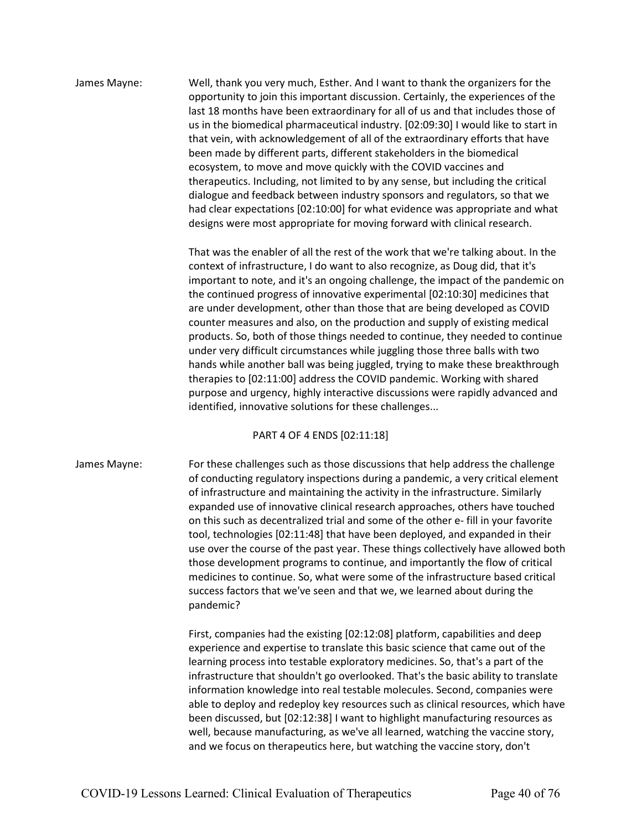James Mayne: Well, thank you very much, Esther. And I want to thank the organizers for the opportunity to join this important discussion. Certainly, the experiences of the last 18 months have been extraordinary for all of us and that includes those of us in the biomedical pharmaceutical industry. [02:09:30] I would like to start in that vein, with acknowledgement of all of the extraordinary efforts that have been made by different parts, different stakeholders in the biomedical ecosystem, to move and move quickly with the COVID vaccines and therapeutics. Including, not limited to by any sense, but including the critical dialogue and feedback between industry sponsors and regulators, so that we had clear expectations [02:10:00] for what evidence was appropriate and what designs were most appropriate for moving forward with clinical research.

> That was the enabler of all the rest of the work that we're talking about. In the context of infrastructure, I do want to also recognize, as Doug did, that it's important to note, and it's an ongoing challenge, the impact of the pandemic on the continued progress of innovative experimental [02:10:30] medicines that are under development, other than those that are being developed as COVID counter measures and also, on the production and supply of existing medical products. So, both of those things needed to continue, they needed to continue under very difficult circumstances while juggling those three balls with two hands while another ball was being juggled, trying to make these breakthrough therapies to [02:11:00] address the COVID pandemic. Working with shared purpose and urgency, highly interactive discussions were rapidly advanced and identified, innovative solutions for these challenges...

#### PART 4 OF 4 ENDS [02:11:18]

James Mayne: For these challenges such as those discussions that help address the challenge of conducting regulatory inspections during a pandemic, a very critical element of infrastructure and maintaining the activity in the infrastructure. Similarly expanded use of innovative clinical research approaches, others have touched on this such as decentralized trial and some of the other e- fill in your favorite tool, technologies [02:11:48] that have been deployed, and expanded in their use over the course of the past year. These things collectively have allowed both those development programs to continue, and importantly the flow of critical medicines to continue. So, what were some of the infrastructure based critical success factors that we've seen and that we, we learned about during the pandemic?

> First, companies had the existing [02:12:08] platform, capabilities and deep experience and expertise to translate this basic science that came out of the learning process into testable exploratory medicines. So, that's a part of the infrastructure that shouldn't go overlooked. That's the basic ability to translate information knowledge into real testable molecules. Second, companies were able to deploy and redeploy key resources such as clinical resources, which have been discussed, but [02:12:38] I want to highlight manufacturing resources as well, because manufacturing, as we've all learned, watching the vaccine story, and we focus on therapeutics here, but watching the vaccine story, don't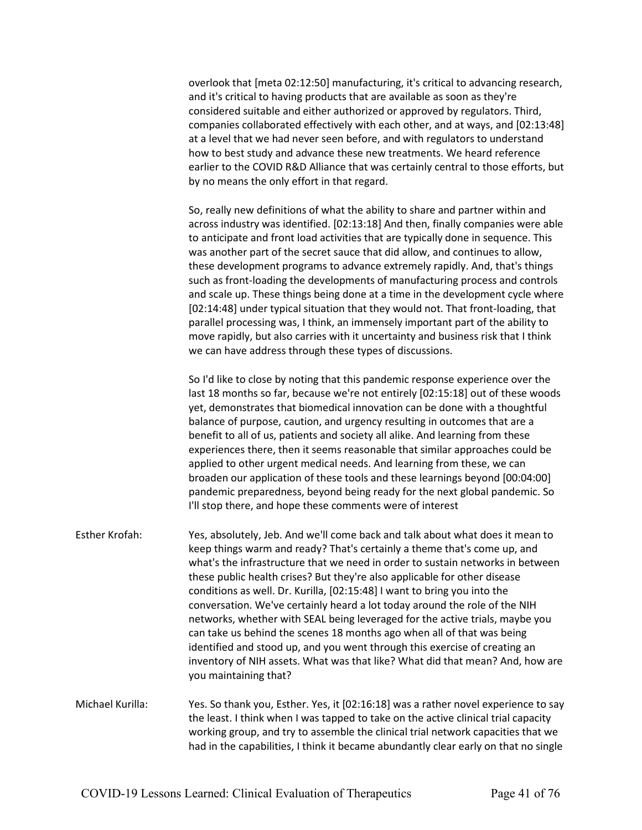overlook that [meta 02:12:50] manufacturing, it's critical to advancing research, and it's critical to having products that are available as soon as they're considered suitable and either authorized or approved by regulators. Third, companies collaborated effectively with each other, and at ways, and [02:13:48] at a level that we had never seen before, and with regulators to understand how to best study and advance these new treatments. We heard reference earlier to the COVID R&D Alliance that was certainly central to those efforts, but by no means the only effort in that regard.

So, really new definitions of what the ability to share and partner within and across industry was identified. [02:13:18] And then, finally companies were able to anticipate and front load activities that are typically done in sequence. This was another part of the secret sauce that did allow, and continues to allow, these development programs to advance extremely rapidly. And, that's things such as front-loading the developments of manufacturing process and controls and scale up. These things being done at a time in the development cycle where [02:14:48] under typical situation that they would not. That front-loading, that parallel processing was, I think, an immensely important part of the ability to move rapidly, but also carries with it uncertainty and business risk that I think we can have address through these types of discussions.

So I'd like to close by noting that this pandemic response experience over the last 18 months so far, because we're not entirely [02:15:18] out of these woods yet, demonstrates that biomedical innovation can be done with a thoughtful balance of purpose, caution, and urgency resulting in outcomes that are a benefit to all of us, patients and society all alike. And learning from these experiences there, then it seems reasonable that similar approaches could be applied to other urgent medical needs. And learning from these, we can broaden our application of these tools and these learnings beyond [00:04:00] pandemic preparedness, beyond being ready for the next global pandemic. So I'll stop there, and hope these comments were of interest

- Esther Krofah: Yes, absolutely, Jeb. And we'll come back and talk about what does it mean to keep things warm and ready? That's certainly a theme that's come up, and what's the infrastructure that we need in order to sustain networks in between these public health crises? But they're also applicable for other disease conditions as well. Dr. Kurilla, [02:15:48] I want to bring you into the conversation. We've certainly heard a lot today around the role of the NIH networks, whether with SEAL being leveraged for the active trials, maybe you can take us behind the scenes 18 months ago when all of that was being identified and stood up, and you went through this exercise of creating an inventory of NIH assets. What was that like? What did that mean? And, how are you maintaining that?
- Michael Kurilla: Yes. So thank you, Esther. Yes, it [02:16:18] was a rather novel experience to say the least. I think when I was tapped to take on the active clinical trial capacity working group, and try to assemble the clinical trial network capacities that we had in the capabilities, I think it became abundantly clear early on that no single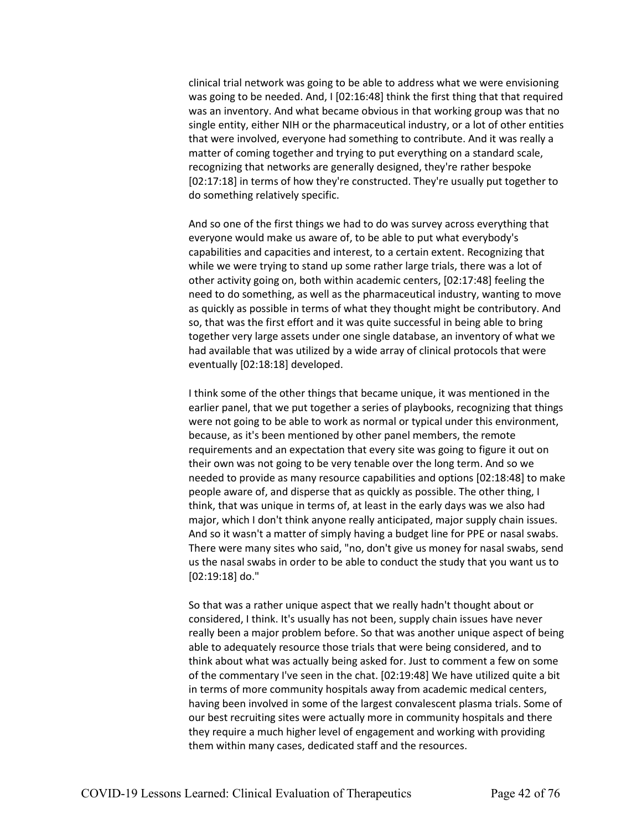clinical trial network was going to be able to address what we were envisioning was going to be needed. And, I [02:16:48] think the first thing that that required was an inventory. And what became obvious in that working group was that no single entity, either NIH or the pharmaceutical industry, or a lot of other entities that were involved, everyone had something to contribute. And it was really a matter of coming together and trying to put everything on a standard scale, recognizing that networks are generally designed, they're rather bespoke [02:17:18] in terms of how they're constructed. They're usually put together to do something relatively specific.

And so one of the first things we had to do was survey across everything that everyone would make us aware of, to be able to put what everybody's capabilities and capacities and interest, to a certain extent. Recognizing that while we were trying to stand up some rather large trials, there was a lot of other activity going on, both within academic centers, [02:17:48] feeling the need to do something, as well as the pharmaceutical industry, wanting to move as quickly as possible in terms of what they thought might be contributory. And so, that was the first effort and it was quite successful in being able to bring together very large assets under one single database, an inventory of what we had available that was utilized by a wide array of clinical protocols that were eventually [02:18:18] developed.

I think some of the other things that became unique, it was mentioned in the earlier panel, that we put together a series of playbooks, recognizing that things were not going to be able to work as normal or typical under this environment, because, as it's been mentioned by other panel members, the remote requirements and an expectation that every site was going to figure it out on their own was not going to be very tenable over the long term. And so we needed to provide as many resource capabilities and options [02:18:48] to make people aware of, and disperse that as quickly as possible. The other thing, I think, that was unique in terms of, at least in the early days was we also had major, which I don't think anyone really anticipated, major supply chain issues. And so it wasn't a matter of simply having a budget line for PPE or nasal swabs. There were many sites who said, "no, don't give us money for nasal swabs, send us the nasal swabs in order to be able to conduct the study that you want us to [02:19:18] do."

So that was a rather unique aspect that we really hadn't thought about or considered, I think. It's usually has not been, supply chain issues have never really been a major problem before. So that was another unique aspect of being able to adequately resource those trials that were being considered, and to think about what was actually being asked for. Just to comment a few on some of the commentary I've seen in the chat. [02:19:48] We have utilized quite a bit in terms of more community hospitals away from academic medical centers, having been involved in some of the largest convalescent plasma trials. Some of our best recruiting sites were actually more in community hospitals and there they require a much higher level of engagement and working with providing them within many cases, dedicated staff and the resources.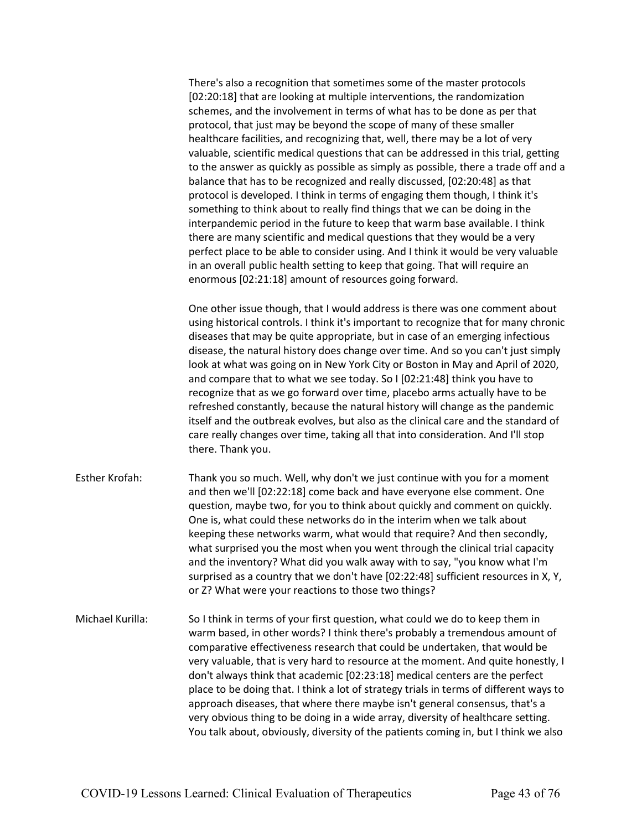There's also a recognition that sometimes some of the master protocols [02:20:18] that are looking at multiple interventions, the randomization schemes, and the involvement in terms of what has to be done as per that protocol, that just may be beyond the scope of many of these smaller healthcare facilities, and recognizing that, well, there may be a lot of very valuable, scientific medical questions that can be addressed in this trial, getting to the answer as quickly as possible as simply as possible, there a trade off and a balance that has to be recognized and really discussed, [02:20:48] as that protocol is developed. I think in terms of engaging them though, I think it's something to think about to really find things that we can be doing in the interpandemic period in the future to keep that warm base available. I think there are many scientific and medical questions that they would be a very perfect place to be able to consider using. And I think it would be very valuable in an overall public health setting to keep that going. That will require an enormous [02:21:18] amount of resources going forward.

One other issue though, that I would address is there was one comment about using historical controls. I think it's important to recognize that for many chronic diseases that may be quite appropriate, but in case of an emerging infectious disease, the natural history does change over time. And so you can't just simply look at what was going on in New York City or Boston in May and April of 2020, and compare that to what we see today. So I [02:21:48] think you have to recognize that as we go forward over time, placebo arms actually have to be refreshed constantly, because the natural history will change as the pandemic itself and the outbreak evolves, but also as the clinical care and the standard of care really changes over time, taking all that into consideration. And I'll stop there. Thank you.

- Esther Krofah: Thank you so much. Well, why don't we just continue with you for a moment and then we'll [02:22:18] come back and have everyone else comment. One question, maybe two, for you to think about quickly and comment on quickly. One is, what could these networks do in the interim when we talk about keeping these networks warm, what would that require? And then secondly, what surprised you the most when you went through the clinical trial capacity and the inventory? What did you walk away with to say, "you know what I'm surprised as a country that we don't have [02:22:48] sufficient resources in X, Y, or Z? What were your reactions to those two things?
- Michael Kurilla: So I think in terms of your first question, what could we do to keep them in warm based, in other words? I think there's probably a tremendous amount of comparative effectiveness research that could be undertaken, that would be very valuable, that is very hard to resource at the moment. And quite honestly, I don't always think that academic [02:23:18] medical centers are the perfect place to be doing that. I think a lot of strategy trials in terms of different ways to approach diseases, that where there maybe isn't general consensus, that's a very obvious thing to be doing in a wide array, diversity of healthcare setting. You talk about, obviously, diversity of the patients coming in, but I think we also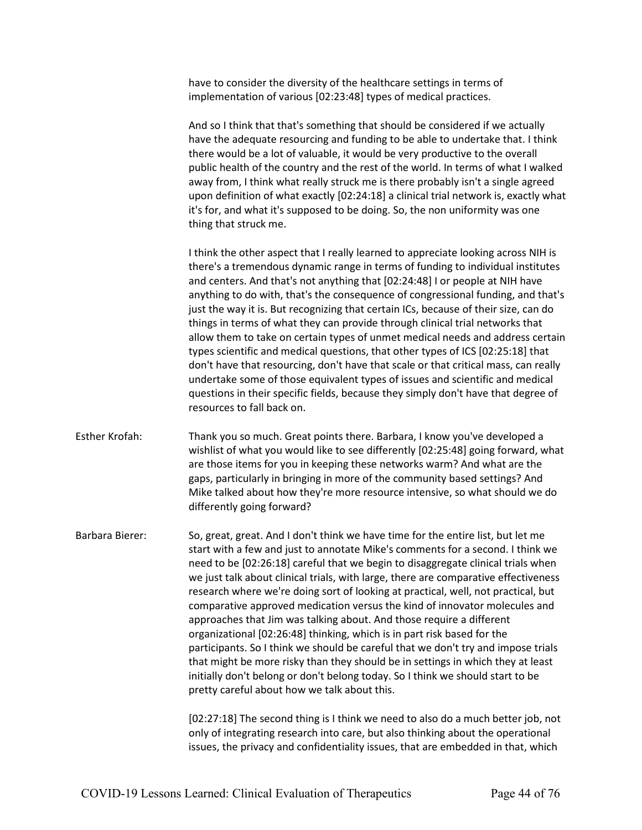have to consider the diversity of the healthcare settings in terms of implementation of various [02:23:48] types of medical practices.

And so I think that that's something that should be considered if we actually have the adequate resourcing and funding to be able to undertake that. I think there would be a lot of valuable, it would be very productive to the overall public health of the country and the rest of the world. In terms of what I walked away from, I think what really struck me is there probably isn't a single agreed upon definition of what exactly [02:24:18] a clinical trial network is, exactly what it's for, and what it's supposed to be doing. So, the non uniformity was one thing that struck me.

I think the other aspect that I really learned to appreciate looking across NIH is there's a tremendous dynamic range in terms of funding to individual institutes and centers. And that's not anything that [02:24:48] I or people at NIH have anything to do with, that's the consequence of congressional funding, and that's just the way it is. But recognizing that certain ICs, because of their size, can do things in terms of what they can provide through clinical trial networks that allow them to take on certain types of unmet medical needs and address certain types scientific and medical questions, that other types of ICS [02:25:18] that don't have that resourcing, don't have that scale or that critical mass, can really undertake some of those equivalent types of issues and scientific and medical questions in their specific fields, because they simply don't have that degree of resources to fall back on.

Esther Krofah: Thank you so much. Great points there. Barbara, I know you've developed a wishlist of what you would like to see differently [02:25:48] going forward, what are those items for you in keeping these networks warm? And what are the gaps, particularly in bringing in more of the community based settings? And Mike talked about how they're more resource intensive, so what should we do differently going forward?

Barbara Bierer: So, great, great. And I don't think we have time for the entire list, but let me start with a few and just to annotate Mike's comments for a second. I think we need to be [02:26:18] careful that we begin to disaggregate clinical trials when we just talk about clinical trials, with large, there are comparative effectiveness research where we're doing sort of looking at practical, well, not practical, but comparative approved medication versus the kind of innovator molecules and approaches that Jim was talking about. And those require a different organizational [02:26:48] thinking, which is in part risk based for the participants. So I think we should be careful that we don't try and impose trials that might be more risky than they should be in settings in which they at least initially don't belong or don't belong today. So I think we should start to be pretty careful about how we talk about this.

> [02:27:18] The second thing is I think we need to also do a much better job, not only of integrating research into care, but also thinking about the operational issues, the privacy and confidentiality issues, that are embedded in that, which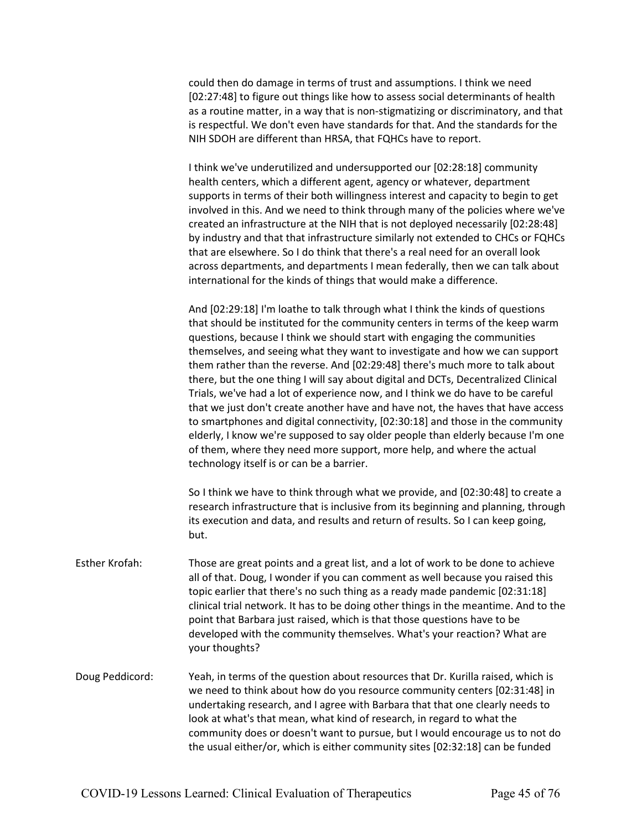could then do damage in terms of trust and assumptions. I think we need [02:27:48] to figure out things like how to assess social determinants of health as a routine matter, in a way that is non-stigmatizing or discriminatory, and that is respectful. We don't even have standards for that. And the standards for the NIH SDOH are different than HRSA, that FQHCs have to report.

I think we've underutilized and undersupported our [02:28:18] community health centers, which a different agent, agency or whatever, department supports in terms of their both willingness interest and capacity to begin to get involved in this. And we need to think through many of the policies where we've created an infrastructure at the NIH that is not deployed necessarily [02:28:48] by industry and that that infrastructure similarly not extended to CHCs or FQHCs that are elsewhere. So I do think that there's a real need for an overall look across departments, and departments I mean federally, then we can talk about international for the kinds of things that would make a difference.

And [02:29:18] I'm loathe to talk through what I think the kinds of questions that should be instituted for the community centers in terms of the keep warm questions, because I think we should start with engaging the communities themselves, and seeing what they want to investigate and how we can support them rather than the reverse. And [02:29:48] there's much more to talk about there, but the one thing I will say about digital and DCTs, Decentralized Clinical Trials, we've had a lot of experience now, and I think we do have to be careful that we just don't create another have and have not, the haves that have access to smartphones and digital connectivity, [02:30:18] and those in the community elderly, I know we're supposed to say older people than elderly because I'm one of them, where they need more support, more help, and where the actual technology itself is or can be a barrier.

So I think we have to think through what we provide, and [02:30:48] to create a research infrastructure that is inclusive from its beginning and planning, through its execution and data, and results and return of results. So I can keep going, but.

- Esther Krofah: Those are great points and a great list, and a lot of work to be done to achieve all of that. Doug, I wonder if you can comment as well because you raised this topic earlier that there's no such thing as a ready made pandemic [02:31:18] clinical trial network. It has to be doing other things in the meantime. And to the point that Barbara just raised, which is that those questions have to be developed with the community themselves. What's your reaction? What are your thoughts?
- Doug Peddicord: Yeah, in terms of the question about resources that Dr. Kurilla raised, which is we need to think about how do you resource community centers [02:31:48] in undertaking research, and I agree with Barbara that that one clearly needs to look at what's that mean, what kind of research, in regard to what the community does or doesn't want to pursue, but I would encourage us to not do the usual either/or, which is either community sites [02:32:18] can be funded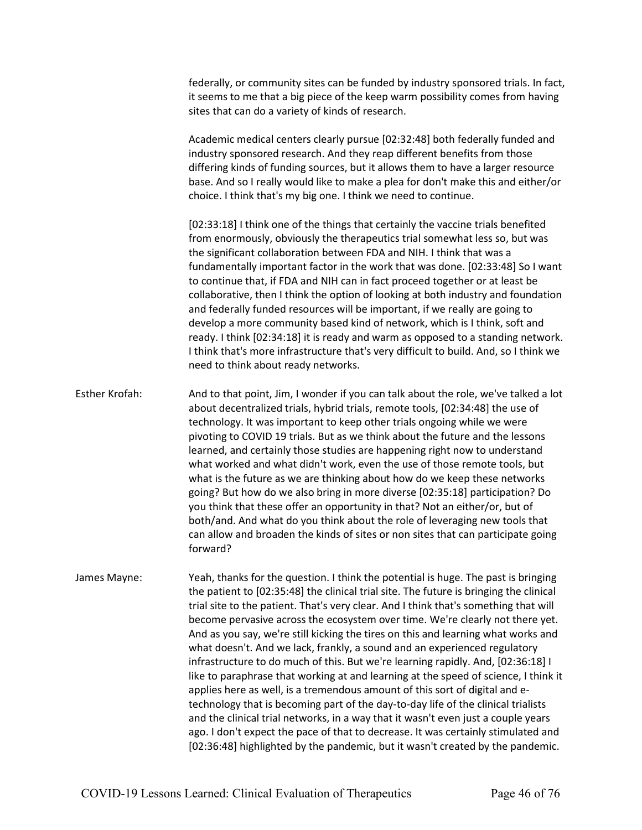federally, or community sites can be funded by industry sponsored trials. In fact, it seems to me that a big piece of the keep warm possibility comes from having sites that can do a variety of kinds of research.

Academic medical centers clearly pursue [02:32:48] both federally funded and industry sponsored research. And they reap different benefits from those differing kinds of funding sources, but it allows them to have a larger resource base. And so I really would like to make a plea for don't make this and either/or choice. I think that's my big one. I think we need to continue.

[02:33:18] I think one of the things that certainly the vaccine trials benefited from enormously, obviously the therapeutics trial somewhat less so, but was the significant collaboration between FDA and NIH. I think that was a fundamentally important factor in the work that was done. [02:33:48] So I want to continue that, if FDA and NIH can in fact proceed together or at least be collaborative, then I think the option of looking at both industry and foundation and federally funded resources will be important, if we really are going to develop a more community based kind of network, which is I think, soft and ready. I think [02:34:18] it is ready and warm as opposed to a standing network. I think that's more infrastructure that's very difficult to build. And, so I think we need to think about ready networks.

Esther Krofah: And to that point, Jim, I wonder if you can talk about the role, we've talked a lot about decentralized trials, hybrid trials, remote tools, [02:34:48] the use of technology. It was important to keep other trials ongoing while we were pivoting to COVID 19 trials. But as we think about the future and the lessons learned, and certainly those studies are happening right now to understand what worked and what didn't work, even the use of those remote tools, but what is the future as we are thinking about how do we keep these networks going? But how do we also bring in more diverse [02:35:18] participation? Do you think that these offer an opportunity in that? Not an either/or, but of both/and. And what do you think about the role of leveraging new tools that can allow and broaden the kinds of sites or non sites that can participate going forward?

James Mayne: Yeah, thanks for the question. I think the potential is huge. The past is bringing the patient to [02:35:48] the clinical trial site. The future is bringing the clinical trial site to the patient. That's very clear. And I think that's something that will become pervasive across the ecosystem over time. We're clearly not there yet. And as you say, we're still kicking the tires on this and learning what works and what doesn't. And we lack, frankly, a sound and an experienced regulatory infrastructure to do much of this. But we're learning rapidly. And, [02:36:18] I like to paraphrase that working at and learning at the speed of science, I think it applies here as well, is a tremendous amount of this sort of digital and etechnology that is becoming part of the day-to-day life of the clinical trialists and the clinical trial networks, in a way that it wasn't even just a couple years ago. I don't expect the pace of that to decrease. It was certainly stimulated and [02:36:48] highlighted by the pandemic, but it wasn't created by the pandemic.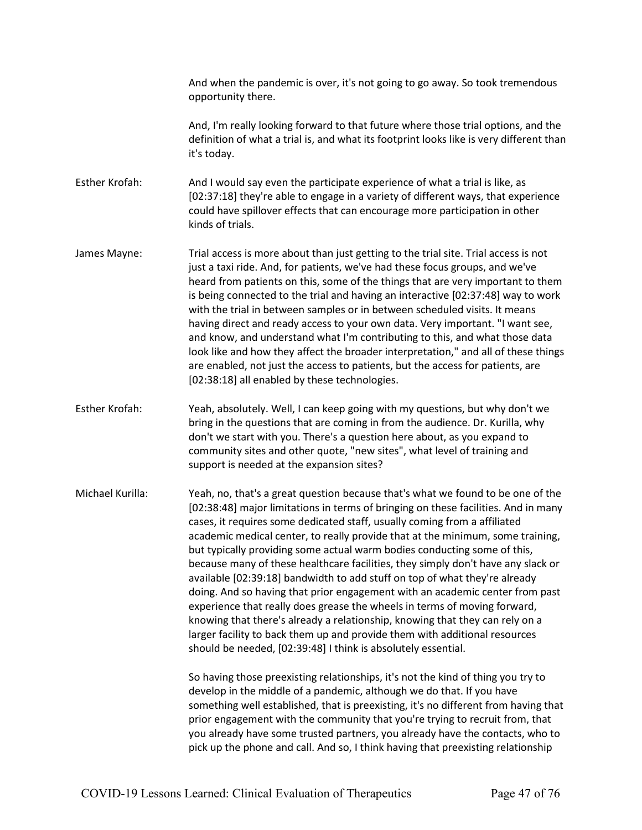And when the pandemic is over, it's not going to go away. So took tremendous opportunity there.

And, I'm really looking forward to that future where those trial options, and the definition of what a trial is, and what its footprint looks like is very different than it's today.

Esther Krofah: And I would say even the participate experience of what a trial is like, as [02:37:18] they're able to engage in a variety of different ways, that experience could have spillover effects that can encourage more participation in other kinds of trials.

- James Mayne: Trial access is more about than just getting to the trial site. Trial access is not just a taxi ride. And, for patients, we've had these focus groups, and we've heard from patients on this, some of the things that are very important to them is being connected to the trial and having an interactive [02:37:48] way to work with the trial in between samples or in between scheduled visits. It means having direct and ready access to your own data. Very important. "I want see, and know, and understand what I'm contributing to this, and what those data look like and how they affect the broader interpretation," and all of these things are enabled, not just the access to patients, but the access for patients, are [02:38:18] all enabled by these technologies.
- Esther Krofah: Yeah, absolutely. Well, I can keep going with my questions, but why don't we bring in the questions that are coming in from the audience. Dr. Kurilla, why don't we start with you. There's a question here about, as you expand to community sites and other quote, "new sites", what level of training and support is needed at the expansion sites?

Michael Kurilla: Yeah, no, that's a great question because that's what we found to be one of the [02:38:48] major limitations in terms of bringing on these facilities. And in many cases, it requires some dedicated staff, usually coming from a affiliated academic medical center, to really provide that at the minimum, some training, but typically providing some actual warm bodies conducting some of this, because many of these healthcare facilities, they simply don't have any slack or available [02:39:18] bandwidth to add stuff on top of what they're already doing. And so having that prior engagement with an academic center from past experience that really does grease the wheels in terms of moving forward, knowing that there's already a relationship, knowing that they can rely on a larger facility to back them up and provide them with additional resources should be needed, [02:39:48] I think is absolutely essential.

> So having those preexisting relationships, it's not the kind of thing you try to develop in the middle of a pandemic, although we do that. If you have something well established, that is preexisting, it's no different from having that prior engagement with the community that you're trying to recruit from, that you already have some trusted partners, you already have the contacts, who to pick up the phone and call. And so, I think having that preexisting relationship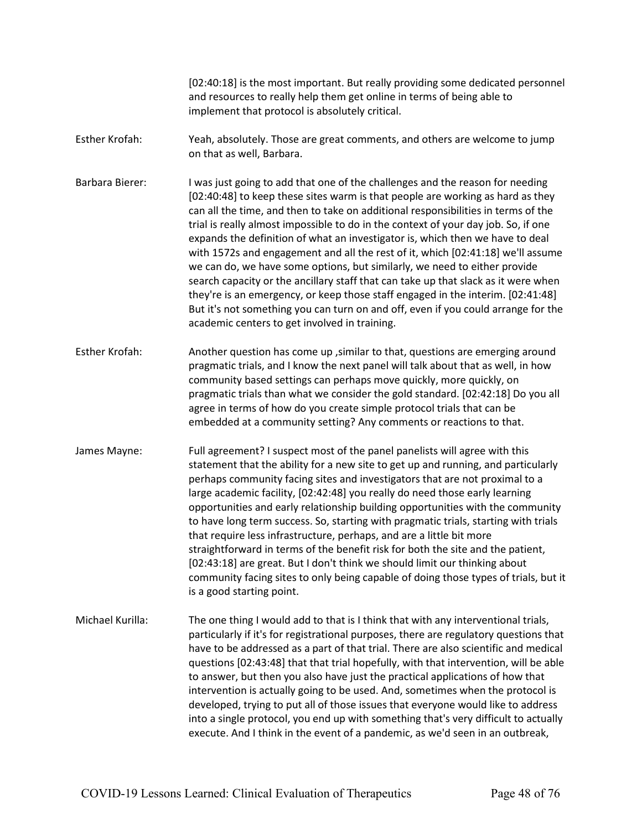[02:40:18] is the most important. But really providing some dedicated personnel and resources to really help them get online in terms of being able to implement that protocol is absolutely critical. Esther Krofah: Yeah, absolutely. Those are great comments, and others are welcome to jump on that as well, Barbara. Barbara Bierer: I was just going to add that one of the challenges and the reason for needing [02:40:48] to keep these sites warm is that people are working as hard as they can all the time, and then to take on additional responsibilities in terms of the trial is really almost impossible to do in the context of your day job. So, if one expands the definition of what an investigator is, which then we have to deal with 1572s and engagement and all the rest of it, which [02:41:18] we'll assume we can do, we have some options, but similarly, we need to either provide search capacity or the ancillary staff that can take up that slack as it were when they're is an emergency, or keep those staff engaged in the interim. [02:41:48] But it's not something you can turn on and off, even if you could arrange for the academic centers to get involved in training. Esther Krofah: Another question has come up ,similar to that, questions are emerging around pragmatic trials, and I know the next panel will talk about that as well, in how community based settings can perhaps move quickly, more quickly, on pragmatic trials than what we consider the gold standard. [02:42:18] Do you all agree in terms of how do you create simple protocol trials that can be embedded at a community setting? Any comments or reactions to that. James Mayne: Full agreement? I suspect most of the panel panelists will agree with this statement that the ability for a new site to get up and running, and particularly perhaps community facing sites and investigators that are not proximal to a large academic facility, [02:42:48] you really do need those early learning opportunities and early relationship building opportunities with the community to have long term success. So, starting with pragmatic trials, starting with trials that require less infrastructure, perhaps, and are a little bit more straightforward in terms of the benefit risk for both the site and the patient, [02:43:18] are great. But I don't think we should limit our thinking about community facing sites to only being capable of doing those types of trials, but it is a good starting point. Michael Kurilla: The one thing I would add to that is I think that with any interventional trials, particularly if it's for registrational purposes, there are regulatory questions that have to be addressed as a part of that trial. There are also scientific and medical questions [02:43:48] that that trial hopefully, with that intervention, will be able to answer, but then you also have just the practical applications of how that intervention is actually going to be used. And, sometimes when the protocol is developed, trying to put all of those issues that everyone would like to address into a single protocol, you end up with something that's very difficult to actually execute. And I think in the event of a pandemic, as we'd seen in an outbreak,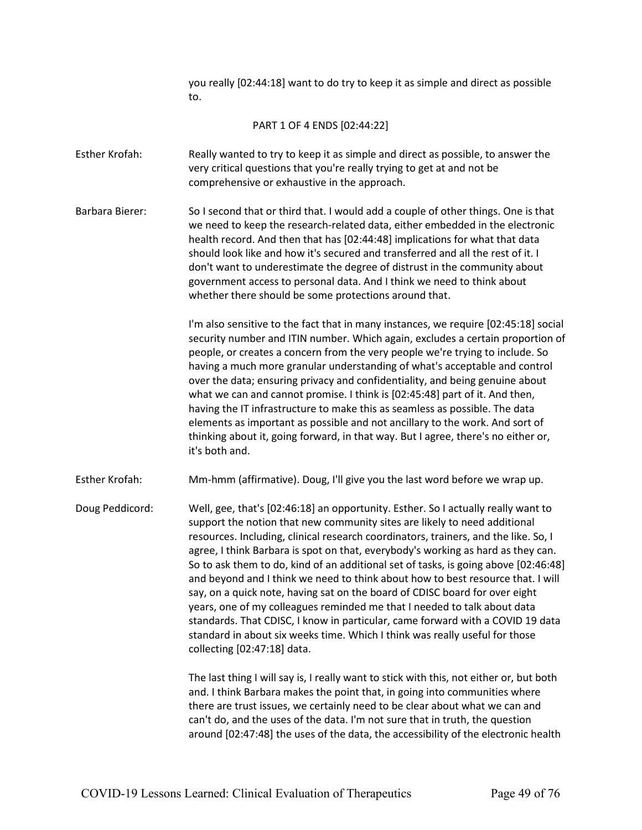you really [02:44:18] want to do try to keep it as simple and direct as possible to.

PART 1 OF 4 ENDS [02:44:22]

- Esther Krofah: Really wanted to try to keep it as simple and direct as possible, to answer the very critical questions that you're really trying to get at and not be comprehensive or exhaustive in the approach.
- Barbara Bierer: So I second that or third that. I would add a couple of other things. One is that we need to keep the research-related data, either embedded in the electronic health record. And then that has [02:44:48] implications for what that data should look like and how it's secured and transferred and all the rest of it. I don't want to underestimate the degree of distrust in the community about government access to personal data. And I think we need to think about whether there should be some protections around that.

I'm also sensitive to the fact that in many instances, we require [02:45:18] social security number and ITIN number. Which again, excludes a certain proportion of people, or creates a concern from the very people we're trying to include. So having a much more granular understanding of what's acceptable and control over the data; ensuring privacy and confidentiality, and being genuine about what we can and cannot promise. I think is [02:45:48] part of it. And then, having the IT infrastructure to make this as seamless as possible. The data elements as important as possible and not ancillary to the work. And sort of thinking about it, going forward, in that way. But I agree, there's no either or, it's both and.

Esther Krofah: Mm-hmm (affirmative). Doug, I'll give you the last word before we wrap up.

Doug Peddicord: Well, gee, that's [02:46:18] an opportunity. Esther. So I actually really want to support the notion that new community sites are likely to need additional resources. Including, clinical research coordinators, trainers, and the like. So, I agree, I think Barbara is spot on that, everybody's working as hard as they can. So to ask them to do, kind of an additional set of tasks, is going above [02:46:48] and beyond and I think we need to think about how to best resource that. I will say, on a quick note, having sat on the board of CDISC board for over eight years, one of my colleagues reminded me that I needed to talk about data standards. That CDISC, I know in particular, came forward with a COVID 19 data standard in about six weeks time. Which I think was really useful for those collecting [02:47:18] data.

> The last thing I will say is, I really want to stick with this, not either or, but both and. I think Barbara makes the point that, in going into communities where there are trust issues, we certainly need to be clear about what we can and can't do, and the uses of the data. I'm not sure that in truth, the question around [02:47:48] the uses of the data, the accessibility of the electronic health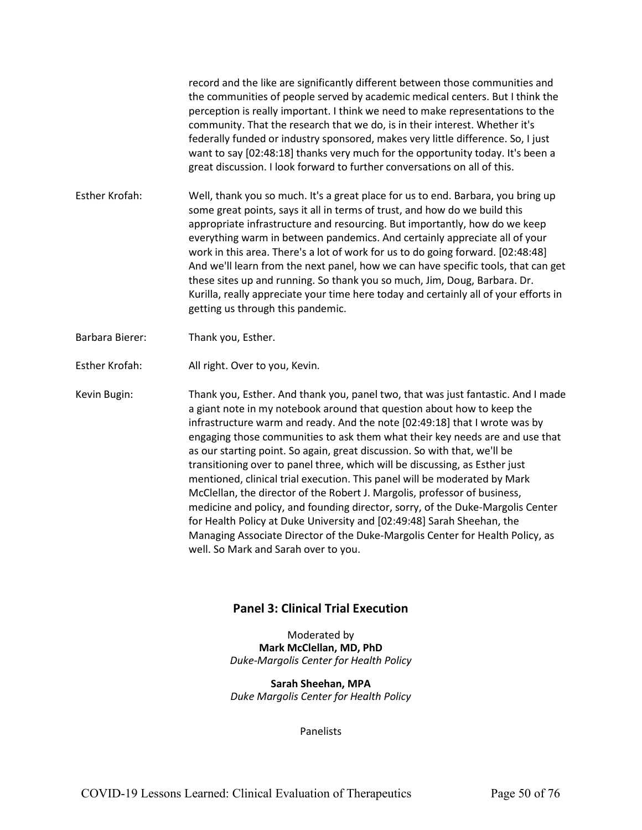record and the like are significantly different between those communities and the communities of people served by academic medical centers. But I think the perception is really important. I think we need to make representations to the community. That the research that we do, is in their interest. Whether it's federally funded or industry sponsored, makes very little difference. So, I just want to say [02:48:18] thanks very much for the opportunity today. It's been a great discussion. I look forward to further conversations on all of this.

- Esther Krofah: Well, thank you so much. It's a great place for us to end. Barbara, you bring up some great points, says it all in terms of trust, and how do we build this appropriate infrastructure and resourcing. But importantly, how do we keep everything warm in between pandemics. And certainly appreciate all of your work in this area. There's a lot of work for us to do going forward. [02:48:48] And we'll learn from the next panel, how we can have specific tools, that can get these sites up and running. So thank you so much, Jim, Doug, Barbara. Dr. Kurilla, really appreciate your time here today and certainly all of your efforts in getting us through this pandemic.
- Barbara Bierer: Thank you, Esther.
- Esther Krofah: All right. Over to you, Kevin.

Kevin Bugin: Thank you, Esther. And thank you, panel two, that was just fantastic. And I made a giant note in my notebook around that question about how to keep the infrastructure warm and ready. And the note [02:49:18] that I wrote was by engaging those communities to ask them what their key needs are and use that as our starting point. So again, great discussion. So with that, we'll be transitioning over to panel three, which will be discussing, as Esther just mentioned, clinical trial execution. This panel will be moderated by Mark McClellan, the director of the Robert J. Margolis, professor of business, medicine and policy, and founding director, sorry, of the Duke-Margolis Center for Health Policy at Duke University and [02:49:48] Sarah Sheehan, the Managing Associate Director of the Duke-Margolis Center for Health Policy, as well. So Mark and Sarah over to you.

## **Panel 3: Clinical Trial Execution**

Moderated by **Mark McClellan, MD, PhD** *Duke-Margolis Center for Health Policy*

**Sarah Sheehan, MPA** *Duke Margolis Center for Health Policy*

**Panelists**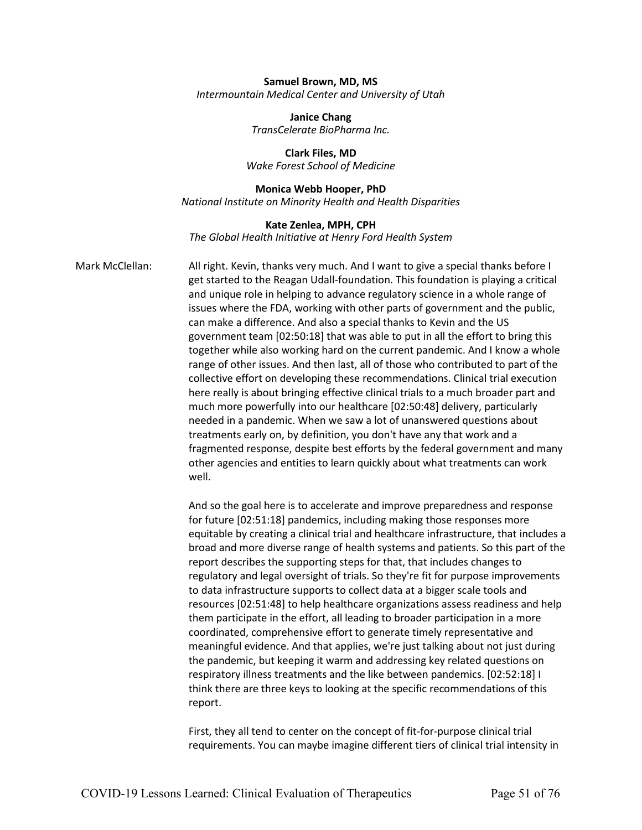#### **Samuel Brown, MD, MS** *Intermountain Medical Center and University of Utah*

**Janice Chang** *TransCelerate BioPharma Inc.* 

**Clark Files, MD**  *Wake Forest School of Medicine*

#### **Monica Webb Hooper, PhD**

*National Institute on Minority Health and Health Disparities*

## **Kate Zenlea, MPH, CPH** *The Global Health Initiative at Henry Ford Health System*

Mark McClellan: All right. Kevin, thanks very much. And I want to give a special thanks before I get started to the Reagan Udall-foundation. This foundation is playing a critical and unique role in helping to advance regulatory science in a whole range of issues where the FDA, working with other parts of government and the public, can make a difference. And also a special thanks to Kevin and the US government team [02:50:18] that was able to put in all the effort to bring this together while also working hard on the current pandemic. And I know a whole range of other issues. And then last, all of those who contributed to part of the collective effort on developing these recommendations. Clinical trial execution here really is about bringing effective clinical trials to a much broader part and much more powerfully into our healthcare [02:50:48] delivery, particularly needed in a pandemic. When we saw a lot of unanswered questions about treatments early on, by definition, you don't have any that work and a fragmented response, despite best efforts by the federal government and many other agencies and entities to learn quickly about what treatments can work well.

> And so the goal here is to accelerate and improve preparedness and response for future [02:51:18] pandemics, including making those responses more equitable by creating a clinical trial and healthcare infrastructure, that includes a broad and more diverse range of health systems and patients. So this part of the report describes the supporting steps for that, that includes changes to regulatory and legal oversight of trials. So they're fit for purpose improvements to data infrastructure supports to collect data at a bigger scale tools and resources [02:51:48] to help healthcare organizations assess readiness and help them participate in the effort, all leading to broader participation in a more coordinated, comprehensive effort to generate timely representative and meaningful evidence. And that applies, we're just talking about not just during the pandemic, but keeping it warm and addressing key related questions on respiratory illness treatments and the like between pandemics. [02:52:18] I think there are three keys to looking at the specific recommendations of this report.

First, they all tend to center on the concept of fit-for-purpose clinical trial requirements. You can maybe imagine different tiers of clinical trial intensity in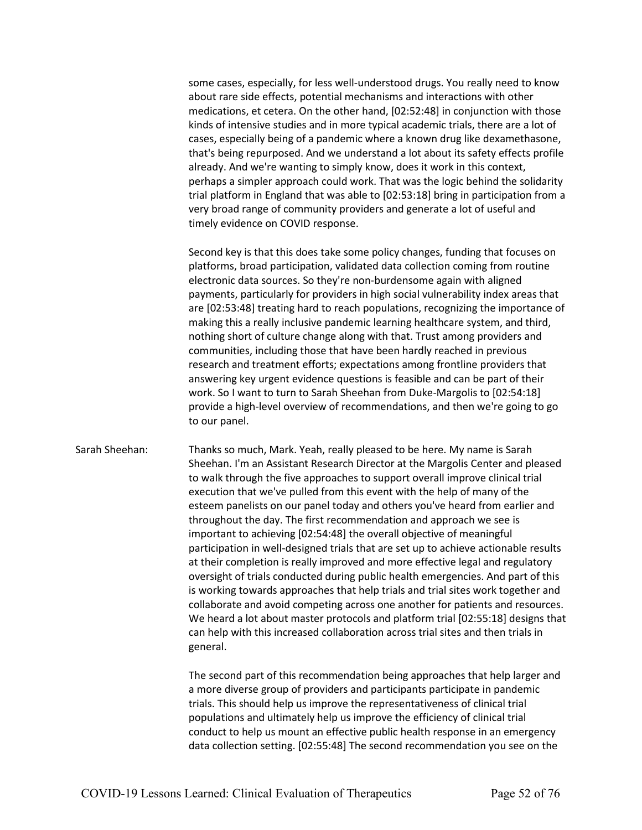some cases, especially, for less well-understood drugs. You really need to know about rare side effects, potential mechanisms and interactions with other medications, et cetera. On the other hand, [02:52:48] in conjunction with those kinds of intensive studies and in more typical academic trials, there are a lot of cases, especially being of a pandemic where a known drug like dexamethasone, that's being repurposed. And we understand a lot about its safety effects profile already. And we're wanting to simply know, does it work in this context, perhaps a simpler approach could work. That was the logic behind the solidarity trial platform in England that was able to [02:53:18] bring in participation from a very broad range of community providers and generate a lot of useful and timely evidence on COVID response.

Second key is that this does take some policy changes, funding that focuses on platforms, broad participation, validated data collection coming from routine electronic data sources. So they're non-burdensome again with aligned payments, particularly for providers in high social vulnerability index areas that are [02:53:48] treating hard to reach populations, recognizing the importance of making this a really inclusive pandemic learning healthcare system, and third, nothing short of culture change along with that. Trust among providers and communities, including those that have been hardly reached in previous research and treatment efforts; expectations among frontline providers that answering key urgent evidence questions is feasible and can be part of their work. So I want to turn to Sarah Sheehan from Duke-Margolis to [02:54:18] provide a high-level overview of recommendations, and then we're going to go to our panel.

Sarah Sheehan: Thanks so much, Mark. Yeah, really pleased to be here. My name is Sarah Sheehan. I'm an Assistant Research Director at the Margolis Center and pleased to walk through the five approaches to support overall improve clinical trial execution that we've pulled from this event with the help of many of the esteem panelists on our panel today and others you've heard from earlier and throughout the day. The first recommendation and approach we see is important to achieving [02:54:48] the overall objective of meaningful participation in well-designed trials that are set up to achieve actionable results at their completion is really improved and more effective legal and regulatory oversight of trials conducted during public health emergencies. And part of this is working towards approaches that help trials and trial sites work together and collaborate and avoid competing across one another for patients and resources. We heard a lot about master protocols and platform trial [02:55:18] designs that can help with this increased collaboration across trial sites and then trials in general.

> The second part of this recommendation being approaches that help larger and a more diverse group of providers and participants participate in pandemic trials. This should help us improve the representativeness of clinical trial populations and ultimately help us improve the efficiency of clinical trial conduct to help us mount an effective public health response in an emergency data collection setting. [02:55:48] The second recommendation you see on the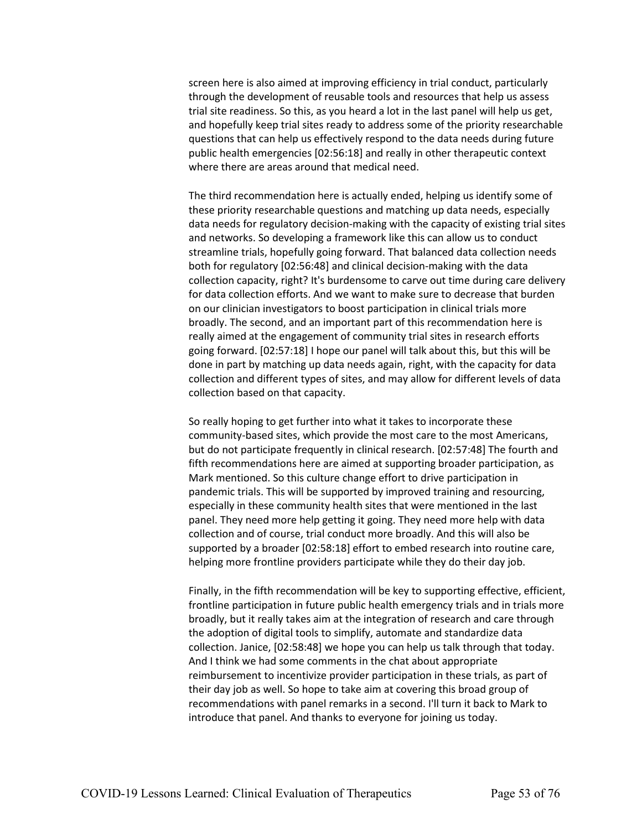screen here is also aimed at improving efficiency in trial conduct, particularly through the development of reusable tools and resources that help us assess trial site readiness. So this, as you heard a lot in the last panel will help us get, and hopefully keep trial sites ready to address some of the priority researchable questions that can help us effectively respond to the data needs during future public health emergencies [02:56:18] and really in other therapeutic context where there are areas around that medical need.

The third recommendation here is actually ended, helping us identify some of these priority researchable questions and matching up data needs, especially data needs for regulatory decision-making with the capacity of existing trial sites and networks. So developing a framework like this can allow us to conduct streamline trials, hopefully going forward. That balanced data collection needs both for regulatory [02:56:48] and clinical decision-making with the data collection capacity, right? It's burdensome to carve out time during care delivery for data collection efforts. And we want to make sure to decrease that burden on our clinician investigators to boost participation in clinical trials more broadly. The second, and an important part of this recommendation here is really aimed at the engagement of community trial sites in research efforts going forward. [02:57:18] I hope our panel will talk about this, but this will be done in part by matching up data needs again, right, with the capacity for data collection and different types of sites, and may allow for different levels of data collection based on that capacity.

So really hoping to get further into what it takes to incorporate these community-based sites, which provide the most care to the most Americans, but do not participate frequently in clinical research. [02:57:48] The fourth and fifth recommendations here are aimed at supporting broader participation, as Mark mentioned. So this culture change effort to drive participation in pandemic trials. This will be supported by improved training and resourcing, especially in these community health sites that were mentioned in the last panel. They need more help getting it going. They need more help with data collection and of course, trial conduct more broadly. And this will also be supported by a broader [02:58:18] effort to embed research into routine care, helping more frontline providers participate while they do their day job.

Finally, in the fifth recommendation will be key to supporting effective, efficient, frontline participation in future public health emergency trials and in trials more broadly, but it really takes aim at the integration of research and care through the adoption of digital tools to simplify, automate and standardize data collection. Janice, [02:58:48] we hope you can help us talk through that today. And I think we had some comments in the chat about appropriate reimbursement to incentivize provider participation in these trials, as part of their day job as well. So hope to take aim at covering this broad group of recommendations with panel remarks in a second. I'll turn it back to Mark to introduce that panel. And thanks to everyone for joining us today.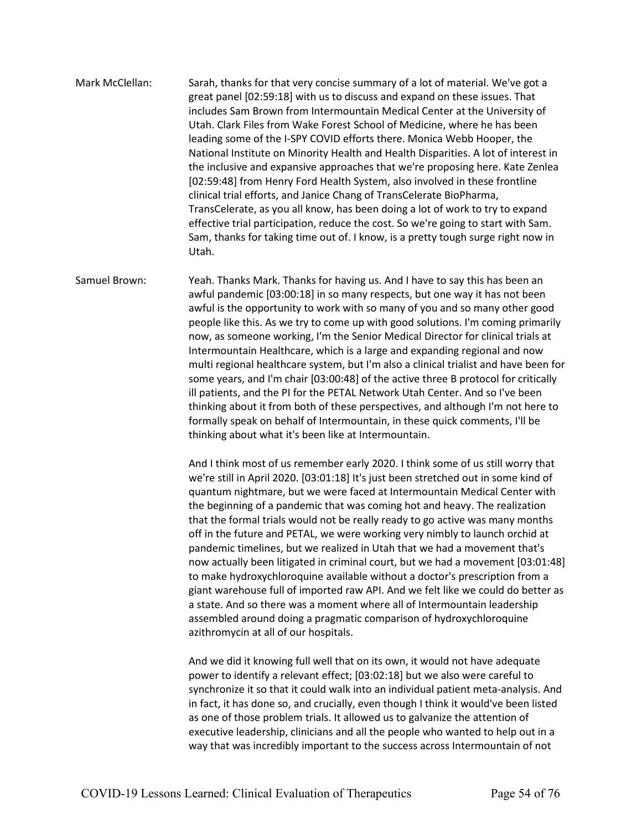Mark McClellan: Sarah, thanks for that very concise summary of a lot of material. We've got a great panel [02:59:18] with us to discuss and expand on these issues. That includes Sam Brown from Intermountain Medical Center at the University of Utah. Clark Files from Wake Forest School of Medicine, where he has been leading some of the I-SPY COVID efforts there. Monica Webb Hooper, the National Institute on Minority Health and Health Disparities. A lot of interest in the inclusive and expansive approaches that we're proposing here. Kate Zenlea [02:59:48] from Henry Ford Health System, also involved in these frontline clinical trial efforts, and Janice Chang of TransCelerate BioPharma, TransCelerate, as you all know, has been doing a lot of work to try to expand effective trial participation, reduce the cost. So we're going to start with Sam. Sam, thanks for taking time out of. I know, is a pretty tough surge right now in Utah.

Samuel Brown: Yeah. Thanks Mark. Thanks for having us. And I have to say this has been an awful pandemic [03:00:18] in so many respects, but one way it has not been awful is the opportunity to work with so many of you and so many other good people like this. As we try to come up with good solutions. I'm coming primarily now, as someone working, I'm the Senior Medical Director for clinical trials at Intermountain Healthcare, which is a large and expanding regional and now multi regional healthcare system, but I'm also a clinical trialist and have been for some years, and I'm chair [03:00:48] of the active three B protocol for critically ill patients, and the PI for the PETAL Network Utah Center. And so I've been thinking about it from both of these perspectives, and although I'm not here to formally speak on behalf of Intermountain, in these quick comments, I'll be thinking about what it's been like at Intermountain.

> And I think most of us remember early 2020. I think some of us still worry that we're still in April 2020. [03:01:18] It's just been stretched out in some kind of quantum nightmare, but we were faced at Intermountain Medical Center with the beginning of a pandemic that was coming hot and heavy. The realization that the formal trials would not be really ready to go active was many months off in the future and PETAL, we were working very nimbly to launch orchid at pandemic timelines, but we realized in Utah that we had a movement that's now actually been litigated in criminal court, but we had a movement [03:01:48] to make hydroxychloroquine available without a doctor's prescription from a giant warehouse full of imported raw API. And we felt like we could do better as a state. And so there was a moment where all of Intermountain leadership assembled around doing a pragmatic comparison of hydroxychloroquine azithromycin at all of our hospitals.

And we did it knowing full well that on its own, it would not have adequate power to identify a relevant effect; [03:02:18] but we also were careful to synchronize it so that it could walk into an individual patient meta-analysis. And in fact, it has done so, and crucially, even though I think it would've been listed as one of those problem trials. It allowed us to galvanize the attention of executive leadership, clinicians and all the people who wanted to help out in a way that was incredibly important to the success across Intermountain of not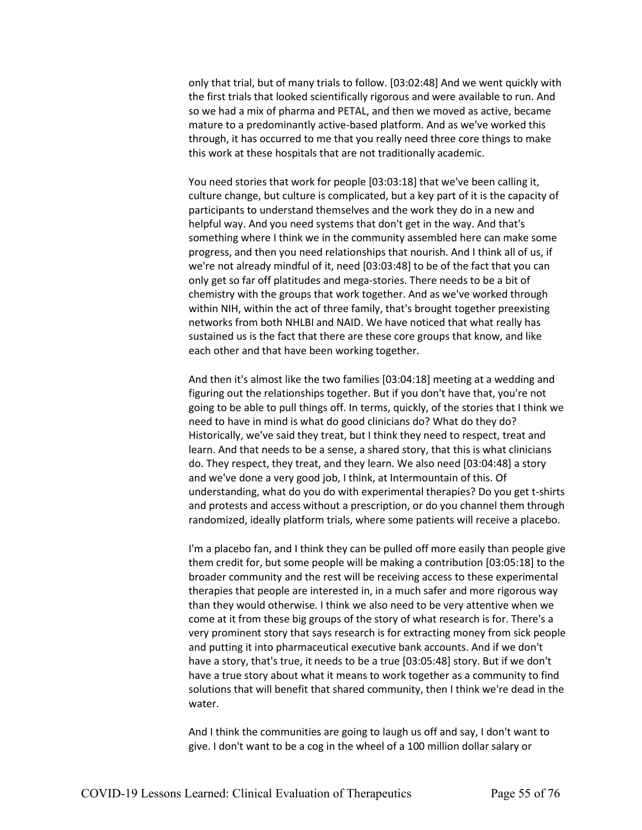only that trial, but of many trials to follow. [03:02:48] And we went quickly with the first trials that looked scientifically rigorous and were available to run. And so we had a mix of pharma and PETAL, and then we moved as active, became mature to a predominantly active-based platform. And as we've worked this through, it has occurred to me that you really need three core things to make this work at these hospitals that are not traditionally academic.

You need stories that work for people [03:03:18] that we've been calling it, culture change, but culture is complicated, but a key part of it is the capacity of participants to understand themselves and the work they do in a new and helpful way. And you need systems that don't get in the way. And that's something where I think we in the community assembled here can make some progress, and then you need relationships that nourish. And I think all of us, if we're not already mindful of it, need [03:03:48] to be of the fact that you can only get so far off platitudes and mega-stories. There needs to be a bit of chemistry with the groups that work together. And as we've worked through within NIH, within the act of three family, that's brought together preexisting networks from both NHLBI and NAID. We have noticed that what really has sustained us is the fact that there are these core groups that know, and like each other and that have been working together.

And then it's almost like the two families [03:04:18] meeting at a wedding and figuring out the relationships together. But if you don't have that, you're not going to be able to pull things off. In terms, quickly, of the stories that I think we need to have in mind is what do good clinicians do? What do they do? Historically, we've said they treat, but I think they need to respect, treat and learn. And that needs to be a sense, a shared story, that this is what clinicians do. They respect, they treat, and they learn. We also need [03:04:48] a story and we've done a very good job, I think, at Intermountain of this. Of understanding, what do you do with experimental therapies? Do you get t-shirts and protests and access without a prescription, or do you channel them through randomized, ideally platform trials, where some patients will receive a placebo.

I'm a placebo fan, and I think they can be pulled off more easily than people give them credit for, but some people will be making a contribution [03:05:18] to the broader community and the rest will be receiving access to these experimental therapies that people are interested in, in a much safer and more rigorous way than they would otherwise. I think we also need to be very attentive when we come at it from these big groups of the story of what research is for. There's a very prominent story that says research is for extracting money from sick people and putting it into pharmaceutical executive bank accounts. And if we don't have a story, that's true, it needs to be a true [03:05:48] story. But if we don't have a true story about what it means to work together as a community to find solutions that will benefit that shared community, then I think we're dead in the water.

And I think the communities are going to laugh us off and say, I don't want to give. I don't want to be a cog in the wheel of a 100 million dollar salary or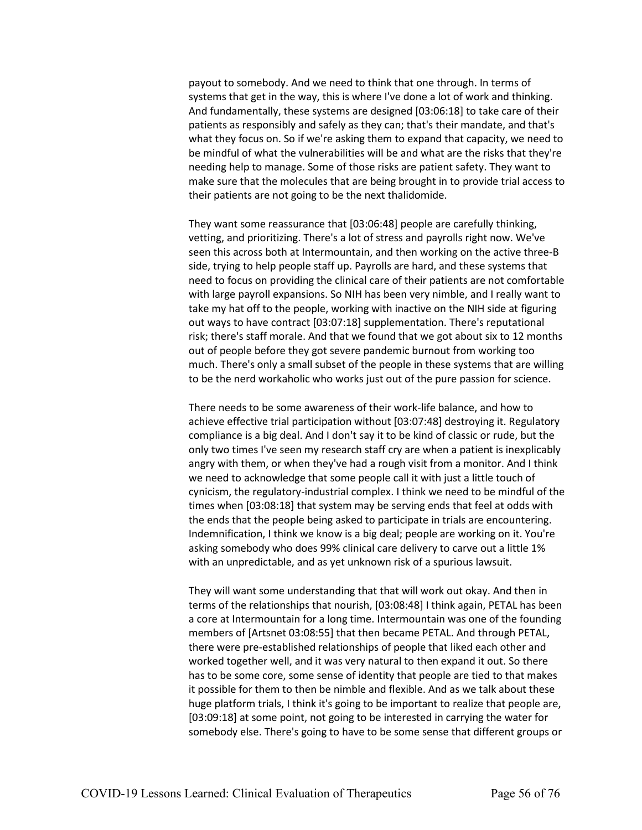payout to somebody. And we need to think that one through. In terms of systems that get in the way, this is where I've done a lot of work and thinking. And fundamentally, these systems are designed [03:06:18] to take care of their patients as responsibly and safely as they can; that's their mandate, and that's what they focus on. So if we're asking them to expand that capacity, we need to be mindful of what the vulnerabilities will be and what are the risks that they're needing help to manage. Some of those risks are patient safety. They want to make sure that the molecules that are being brought in to provide trial access to their patients are not going to be the next thalidomide.

They want some reassurance that [03:06:48] people are carefully thinking, vetting, and prioritizing. There's a lot of stress and payrolls right now. We've seen this across both at Intermountain, and then working on the active three-B side, trying to help people staff up. Payrolls are hard, and these systems that need to focus on providing the clinical care of their patients are not comfortable with large payroll expansions. So NIH has been very nimble, and I really want to take my hat off to the people, working with inactive on the NIH side at figuring out ways to have contract [03:07:18] supplementation. There's reputational risk; there's staff morale. And that we found that we got about six to 12 months out of people before they got severe pandemic burnout from working too much. There's only a small subset of the people in these systems that are willing to be the nerd workaholic who works just out of the pure passion for science.

There needs to be some awareness of their work-life balance, and how to achieve effective trial participation without [03:07:48] destroying it. Regulatory compliance is a big deal. And I don't say it to be kind of classic or rude, but the only two times I've seen my research staff cry are when a patient is inexplicably angry with them, or when they've had a rough visit from a monitor. And I think we need to acknowledge that some people call it with just a little touch of cynicism, the regulatory-industrial complex. I think we need to be mindful of the times when [03:08:18] that system may be serving ends that feel at odds with the ends that the people being asked to participate in trials are encountering. Indemnification, I think we know is a big deal; people are working on it. You're asking somebody who does 99% clinical care delivery to carve out a little 1% with an unpredictable, and as yet unknown risk of a spurious lawsuit.

They will want some understanding that that will work out okay. And then in terms of the relationships that nourish, [03:08:48] I think again, PETAL has been a core at Intermountain for a long time. Intermountain was one of the founding members of [Artsnet 03:08:55] that then became PETAL. And through PETAL, there were pre-established relationships of people that liked each other and worked together well, and it was very natural to then expand it out. So there has to be some core, some sense of identity that people are tied to that makes it possible for them to then be nimble and flexible. And as we talk about these huge platform trials, I think it's going to be important to realize that people are, [03:09:18] at some point, not going to be interested in carrying the water for somebody else. There's going to have to be some sense that different groups or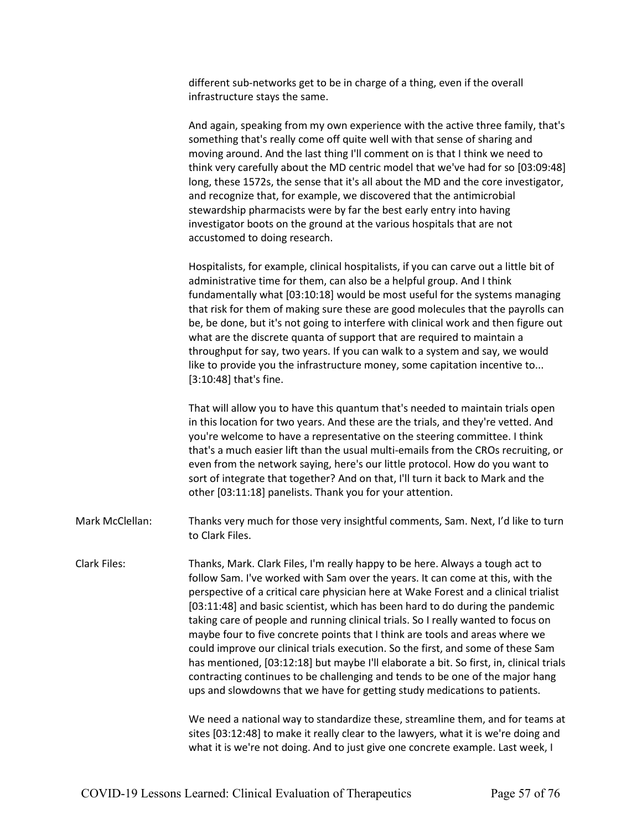different sub-networks get to be in charge of a thing, even if the overall infrastructure stays the same.

And again, speaking from my own experience with the active three family, that's something that's really come off quite well with that sense of sharing and moving around. And the last thing I'll comment on is that I think we need to think very carefully about the MD centric model that we've had for so [03:09:48] long, these 1572s, the sense that it's all about the MD and the core investigator, and recognize that, for example, we discovered that the antimicrobial stewardship pharmacists were by far the best early entry into having investigator boots on the ground at the various hospitals that are not accustomed to doing research.

Hospitalists, for example, clinical hospitalists, if you can carve out a little bit of administrative time for them, can also be a helpful group. And I think fundamentally what [03:10:18] would be most useful for the systems managing that risk for them of making sure these are good molecules that the payrolls can be, be done, but it's not going to interfere with clinical work and then figure out what are the discrete quanta of support that are required to maintain a throughput for say, two years. If you can walk to a system and say, we would like to provide you the infrastructure money, some capitation incentive to... [3:10:48] that's fine.

That will allow you to have this quantum that's needed to maintain trials open in this location for two years. And these are the trials, and they're vetted. And you're welcome to have a representative on the steering committee. I think that's a much easier lift than the usual multi-emails from the CROs recruiting, or even from the network saying, here's our little protocol. How do you want to sort of integrate that together? And on that, I'll turn it back to Mark and the other [03:11:18] panelists. Thank you for your attention.

- Mark McClellan: Thanks very much for those very insightful comments, Sam. Next, I'd like to turn to Clark Files.
- Clark Files: Thanks, Mark. Clark Files, I'm really happy to be here. Always a tough act to follow Sam. I've worked with Sam over the years. It can come at this, with the perspective of a critical care physician here at Wake Forest and a clinical trialist [03:11:48] and basic scientist, which has been hard to do during the pandemic taking care of people and running clinical trials. So I really wanted to focus on maybe four to five concrete points that I think are tools and areas where we could improve our clinical trials execution. So the first, and some of these Sam has mentioned, [03:12:18] but maybe I'll elaborate a bit. So first, in, clinical trials contracting continues to be challenging and tends to be one of the major hang ups and slowdowns that we have for getting study medications to patients.

We need a national way to standardize these, streamline them, and for teams at sites [03:12:48] to make it really clear to the lawyers, what it is we're doing and what it is we're not doing. And to just give one concrete example. Last week, I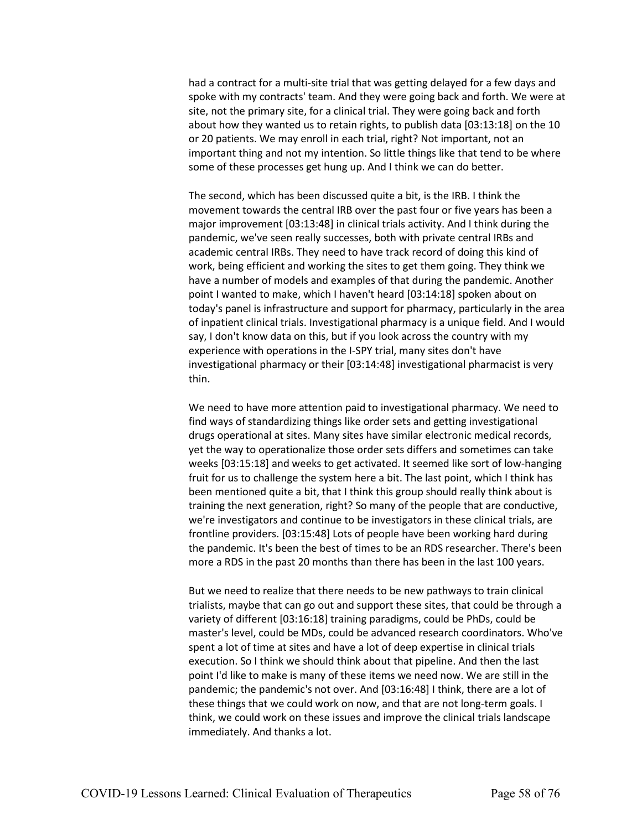had a contract for a multi-site trial that was getting delayed for a few days and spoke with my contracts' team. And they were going back and forth. We were at site, not the primary site, for a clinical trial. They were going back and forth about how they wanted us to retain rights, to publish data [03:13:18] on the 10 or 20 patients. We may enroll in each trial, right? Not important, not an important thing and not my intention. So little things like that tend to be where some of these processes get hung up. And I think we can do better.

The second, which has been discussed quite a bit, is the IRB. I think the movement towards the central IRB over the past four or five years has been a major improvement [03:13:48] in clinical trials activity. And I think during the pandemic, we've seen really successes, both with private central IRBs and academic central IRBs. They need to have track record of doing this kind of work, being efficient and working the sites to get them going. They think we have a number of models and examples of that during the pandemic. Another point I wanted to make, which I haven't heard [03:14:18] spoken about on today's panel is infrastructure and support for pharmacy, particularly in the area of inpatient clinical trials. Investigational pharmacy is a unique field. And I would say, I don't know data on this, but if you look across the country with my experience with operations in the I-SPY trial, many sites don't have investigational pharmacy or their [03:14:48] investigational pharmacist is very thin.

We need to have more attention paid to investigational pharmacy. We need to find ways of standardizing things like order sets and getting investigational drugs operational at sites. Many sites have similar electronic medical records, yet the way to operationalize those order sets differs and sometimes can take weeks [03:15:18] and weeks to get activated. It seemed like sort of low-hanging fruit for us to challenge the system here a bit. The last point, which I think has been mentioned quite a bit, that I think this group should really think about is training the next generation, right? So many of the people that are conductive, we're investigators and continue to be investigators in these clinical trials, are frontline providers. [03:15:48] Lots of people have been working hard during the pandemic. It's been the best of times to be an RDS researcher. There's been more a RDS in the past 20 months than there has been in the last 100 years.

But we need to realize that there needs to be new pathways to train clinical trialists, maybe that can go out and support these sites, that could be through a variety of different [03:16:18] training paradigms, could be PhDs, could be master's level, could be MDs, could be advanced research coordinators. Who've spent a lot of time at sites and have a lot of deep expertise in clinical trials execution. So I think we should think about that pipeline. And then the last point I'd like to make is many of these items we need now. We are still in the pandemic; the pandemic's not over. And [03:16:48] I think, there are a lot of these things that we could work on now, and that are not long-term goals. I think, we could work on these issues and improve the clinical trials landscape immediately. And thanks a lot.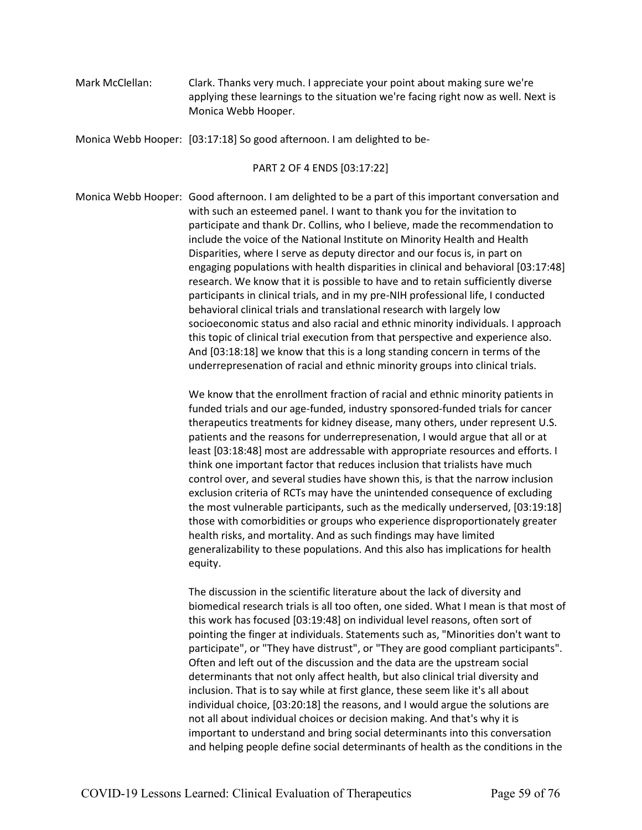Mark McClellan: Clark. Thanks very much. I appreciate your point about making sure we're applying these learnings to the situation we're facing right now as well. Next is Monica Webb Hooper.

Monica Webb Hooper: [03:17:18] So good afternoon. I am delighted to be-

PART 2 OF 4 ENDS [03:17:22]

Monica Webb Hooper: Good afternoon. I am delighted to be a part of this important conversation and with such an esteemed panel. I want to thank you for the invitation to participate and thank Dr. Collins, who I believe, made the recommendation to include the voice of the National Institute on Minority Health and Health Disparities, where I serve as deputy director and our focus is, in part on engaging populations with health disparities in clinical and behavioral [03:17:48] research. We know that it is possible to have and to retain sufficiently diverse participants in clinical trials, and in my pre-NIH professional life, I conducted behavioral clinical trials and translational research with largely low socioeconomic status and also racial and ethnic minority individuals. I approach this topic of clinical trial execution from that perspective and experience also. And [03:18:18] we know that this is a long standing concern in terms of the underrepresenation of racial and ethnic minority groups into clinical trials.

> We know that the enrollment fraction of racial and ethnic minority patients in funded trials and our age-funded, industry sponsored-funded trials for cancer therapeutics treatments for kidney disease, many others, under represent U.S. patients and the reasons for underrepresenation, I would argue that all or at least [03:18:48] most are addressable with appropriate resources and efforts. I think one important factor that reduces inclusion that trialists have much control over, and several studies have shown this, is that the narrow inclusion exclusion criteria of RCTs may have the unintended consequence of excluding the most vulnerable participants, such as the medically underserved, [03:19:18] those with comorbidities or groups who experience disproportionately greater health risks, and mortality. And as such findings may have limited generalizability to these populations. And this also has implications for health equity.

The discussion in the scientific literature about the lack of diversity and biomedical research trials is all too often, one sided. What I mean is that most of this work has focused [03:19:48] on individual level reasons, often sort of pointing the finger at individuals. Statements such as, "Minorities don't want to participate", or "They have distrust", or "They are good compliant participants". Often and left out of the discussion and the data are the upstream social determinants that not only affect health, but also clinical trial diversity and inclusion. That is to say while at first glance, these seem like it's all about individual choice, [03:20:18] the reasons, and I would argue the solutions are not all about individual choices or decision making. And that's why it is important to understand and bring social determinants into this conversation and helping people define social determinants of health as the conditions in the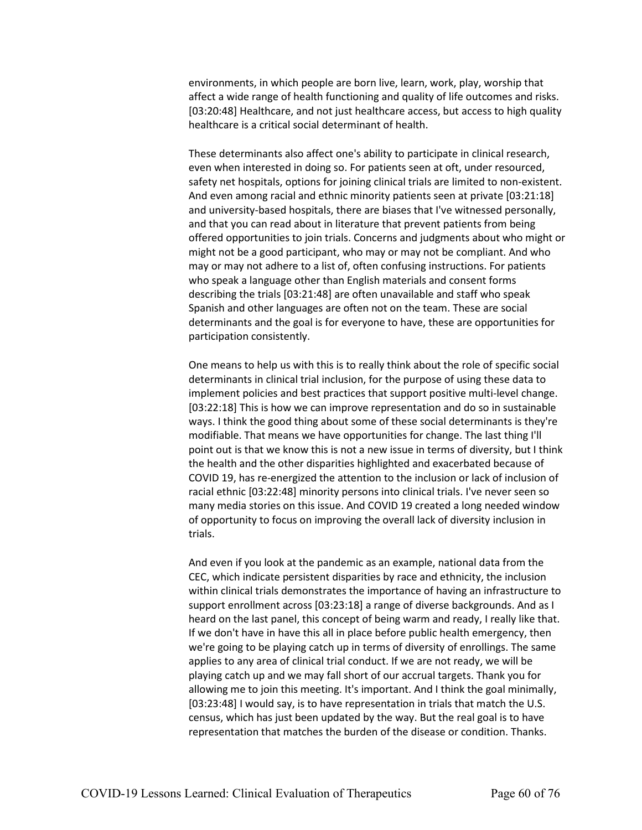environments, in which people are born live, learn, work, play, worship that affect a wide range of health functioning and quality of life outcomes and risks. [03:20:48] Healthcare, and not just healthcare access, but access to high quality healthcare is a critical social determinant of health.

These determinants also affect one's ability to participate in clinical research, even when interested in doing so. For patients seen at oft, under resourced, safety net hospitals, options for joining clinical trials are limited to non-existent. And even among racial and ethnic minority patients seen at private [03:21:18] and university-based hospitals, there are biases that I've witnessed personally, and that you can read about in literature that prevent patients from being offered opportunities to join trials. Concerns and judgments about who might or might not be a good participant, who may or may not be compliant. And who may or may not adhere to a list of, often confusing instructions. For patients who speak a language other than English materials and consent forms describing the trials [03:21:48] are often unavailable and staff who speak Spanish and other languages are often not on the team. These are social determinants and the goal is for everyone to have, these are opportunities for participation consistently.

One means to help us with this is to really think about the role of specific social determinants in clinical trial inclusion, for the purpose of using these data to implement policies and best practices that support positive multi-level change. [03:22:18] This is how we can improve representation and do so in sustainable ways. I think the good thing about some of these social determinants is they're modifiable. That means we have opportunities for change. The last thing I'll point out is that we know this is not a new issue in terms of diversity, but I think the health and the other disparities highlighted and exacerbated because of COVID 19, has re-energized the attention to the inclusion or lack of inclusion of racial ethnic [03:22:48] minority persons into clinical trials. I've never seen so many media stories on this issue. And COVID 19 created a long needed window of opportunity to focus on improving the overall lack of diversity inclusion in trials.

And even if you look at the pandemic as an example, national data from the CEC, which indicate persistent disparities by race and ethnicity, the inclusion within clinical trials demonstrates the importance of having an infrastructure to support enrollment across [03:23:18] a range of diverse backgrounds. And as I heard on the last panel, this concept of being warm and ready, I really like that. If we don't have in have this all in place before public health emergency, then we're going to be playing catch up in terms of diversity of enrollings. The same applies to any area of clinical trial conduct. If we are not ready, we will be playing catch up and we may fall short of our accrual targets. Thank you for allowing me to join this meeting. It's important. And I think the goal minimally, [03:23:48] I would say, is to have representation in trials that match the U.S. census, which has just been updated by the way. But the real goal is to have representation that matches the burden of the disease or condition. Thanks.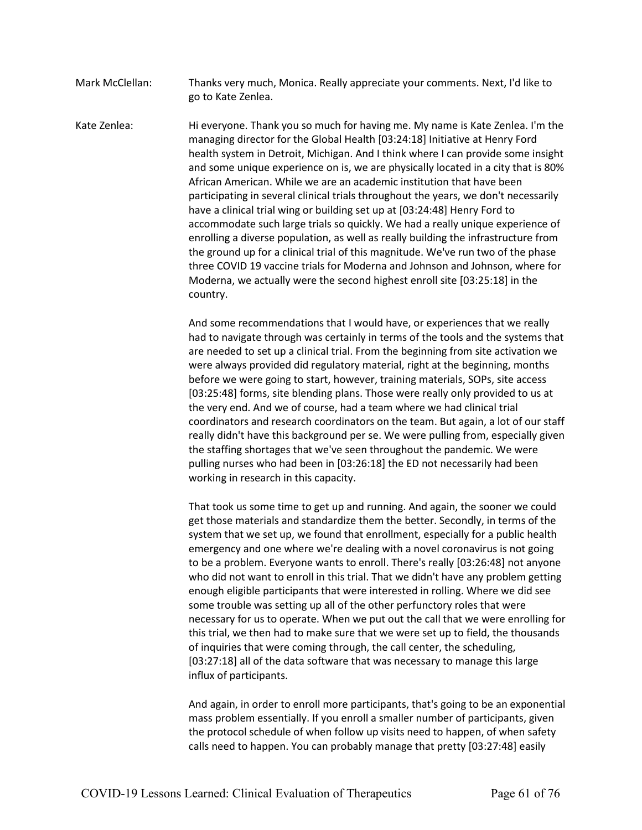Mark McClellan: Thanks very much, Monica. Really appreciate your comments. Next, I'd like to go to Kate Zenlea.

Kate Zenlea: Hi everyone. Thank you so much for having me. My name is Kate Zenlea. I'm the managing director for the Global Health [03:24:18] Initiative at Henry Ford health system in Detroit, Michigan. And I think where I can provide some insight and some unique experience on is, we are physically located in a city that is 80% African American. While we are an academic institution that have been participating in several clinical trials throughout the years, we don't necessarily have a clinical trial wing or building set up at [03:24:48] Henry Ford to accommodate such large trials so quickly. We had a really unique experience of enrolling a diverse population, as well as really building the infrastructure from the ground up for a clinical trial of this magnitude. We've run two of the phase three COVID 19 vaccine trials for Moderna and Johnson and Johnson, where for Moderna, we actually were the second highest enroll site [03:25:18] in the country.

> And some recommendations that I would have, or experiences that we really had to navigate through was certainly in terms of the tools and the systems that are needed to set up a clinical trial. From the beginning from site activation we were always provided did regulatory material, right at the beginning, months before we were going to start, however, training materials, SOPs, site access [03:25:48] forms, site blending plans. Those were really only provided to us at the very end. And we of course, had a team where we had clinical trial coordinators and research coordinators on the team. But again, a lot of our staff really didn't have this background per se. We were pulling from, especially given the staffing shortages that we've seen throughout the pandemic. We were pulling nurses who had been in [03:26:18] the ED not necessarily had been working in research in this capacity.

> That took us some time to get up and running. And again, the sooner we could get those materials and standardize them the better. Secondly, in terms of the system that we set up, we found that enrollment, especially for a public health emergency and one where we're dealing with a novel coronavirus is not going to be a problem. Everyone wants to enroll. There's really [03:26:48] not anyone who did not want to enroll in this trial. That we didn't have any problem getting enough eligible participants that were interested in rolling. Where we did see some trouble was setting up all of the other perfunctory roles that were necessary for us to operate. When we put out the call that we were enrolling for this trial, we then had to make sure that we were set up to field, the thousands of inquiries that were coming through, the call center, the scheduling, [03:27:18] all of the data software that was necessary to manage this large influx of participants.

> And again, in order to enroll more participants, that's going to be an exponential mass problem essentially. If you enroll a smaller number of participants, given the protocol schedule of when follow up visits need to happen, of when safety calls need to happen. You can probably manage that pretty [03:27:48] easily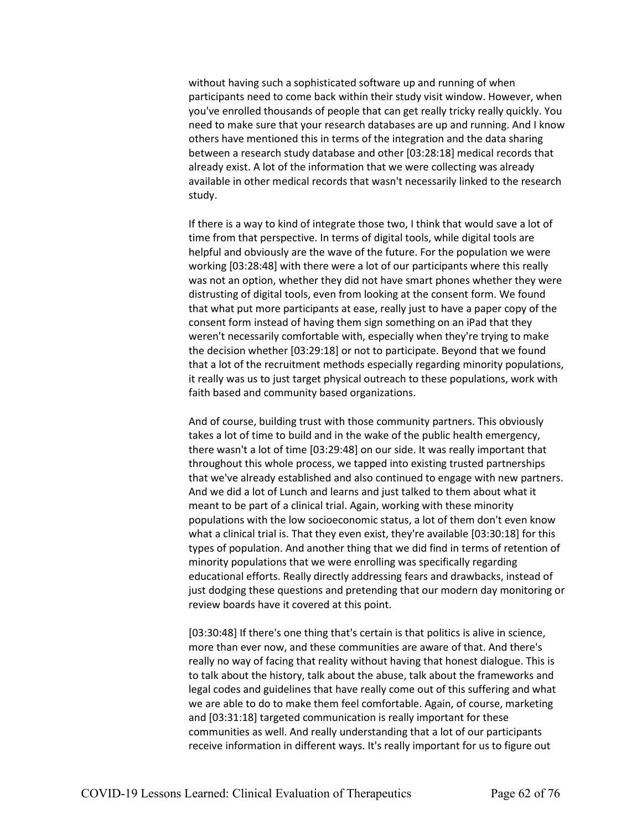without having such a sophisticated software up and running of when participants need to come back within their study visit window. However, when you've enrolled thousands of people that can get really tricky really quickly. You need to make sure that your research databases are up and running. And I know others have mentioned this in terms of the integration and the data sharing between a research study database and other [03:28:18] medical records that already exist. A lot of the information that we were collecting was already available in other medical records that wasn't necessarily linked to the research study.

If there is a way to kind of integrate those two, I think that would save a lot of time from that perspective. In terms of digital tools, while digital tools are helpful and obviously are the wave of the future. For the population we were working [03:28:48] with there were a lot of our participants where this really was not an option, whether they did not have smart phones whether they were distrusting of digital tools, even from looking at the consent form. We found that what put more participants at ease, really just to have a paper copy of the consent form instead of having them sign something on an iPad that they weren't necessarily comfortable with, especially when they're trying to make the decision whether [03:29:18] or not to participate. Beyond that we found that a lot of the recruitment methods especially regarding minority populations, it really was us to just target physical outreach to these populations, work with faith based and community based organizations.

And of course, building trust with those community partners. This obviously takes a lot of time to build and in the wake of the public health emergency, there wasn't a lot of time [03:29:48] on our side. It was really important that throughout this whole process, we tapped into existing trusted partnerships that we've already established and also continued to engage with new partners. And we did a lot of Lunch and learns and just talked to them about what it meant to be part of a clinical trial. Again, working with these minority populations with the low socioeconomic status, a lot of them don't even know what a clinical trial is. That they even exist, they're available [03:30:18] for this types of population. And another thing that we did find in terms of retention of minority populations that we were enrolling was specifically regarding educational efforts. Really directly addressing fears and drawbacks, instead of just dodging these questions and pretending that our modern day monitoring or review boards have it covered at this point.

[03:30:48] If there's one thing that's certain is that politics is alive in science, more than ever now, and these communities are aware of that. And there's really no way of facing that reality without having that honest dialogue. This is to talk about the history, talk about the abuse, talk about the frameworks and legal codes and guidelines that have really come out of this suffering and what we are able to do to make them feel comfortable. Again, of course, marketing and [03:31:18] targeted communication is really important for these communities as well. And really understanding that a lot of our participants receive information in different ways. It's really important for us to figure out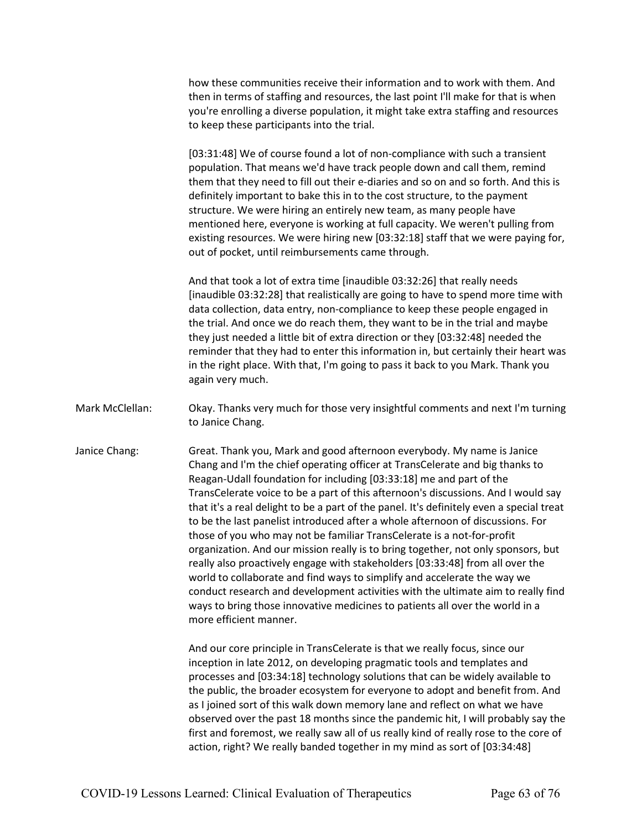how these communities receive their information and to work with them. And then in terms of staffing and resources, the last point I'll make for that is when you're enrolling a diverse population, it might take extra staffing and resources to keep these participants into the trial.

[03:31:48] We of course found a lot of non-compliance with such a transient population. That means we'd have track people down and call them, remind them that they need to fill out their e-diaries and so on and so forth. And this is definitely important to bake this in to the cost structure, to the payment structure. We were hiring an entirely new team, as many people have mentioned here, everyone is working at full capacity. We weren't pulling from existing resources. We were hiring new [03:32:18] staff that we were paying for, out of pocket, until reimbursements came through.

And that took a lot of extra time [inaudible 03:32:26] that really needs [inaudible 03:32:28] that realistically are going to have to spend more time with data collection, data entry, non-compliance to keep these people engaged in the trial. And once we do reach them, they want to be in the trial and maybe they just needed a little bit of extra direction or they [03:32:48] needed the reminder that they had to enter this information in, but certainly their heart was in the right place. With that, I'm going to pass it back to you Mark. Thank you again very much.

- Mark McClellan: Okay. Thanks very much for those very insightful comments and next I'm turning to Janice Chang.
- Janice Chang: Great. Thank you, Mark and good afternoon everybody. My name is Janice Chang and I'm the chief operating officer at TransCelerate and big thanks to Reagan-Udall foundation for including [03:33:18] me and part of the TransCelerate voice to be a part of this afternoon's discussions. And I would say that it's a real delight to be a part of the panel. It's definitely even a special treat to be the last panelist introduced after a whole afternoon of discussions. For those of you who may not be familiar TransCelerate is a not-for-profit organization. And our mission really is to bring together, not only sponsors, but really also proactively engage with stakeholders [03:33:48] from all over the world to collaborate and find ways to simplify and accelerate the way we conduct research and development activities with the ultimate aim to really find ways to bring those innovative medicines to patients all over the world in a more efficient manner.

And our core principle in TransCelerate is that we really focus, since our inception in late 2012, on developing pragmatic tools and templates and processes and [03:34:18] technology solutions that can be widely available to the public, the broader ecosystem for everyone to adopt and benefit from. And as I joined sort of this walk down memory lane and reflect on what we have observed over the past 18 months since the pandemic hit, I will probably say the first and foremost, we really saw all of us really kind of really rose to the core of action, right? We really banded together in my mind as sort of [03:34:48]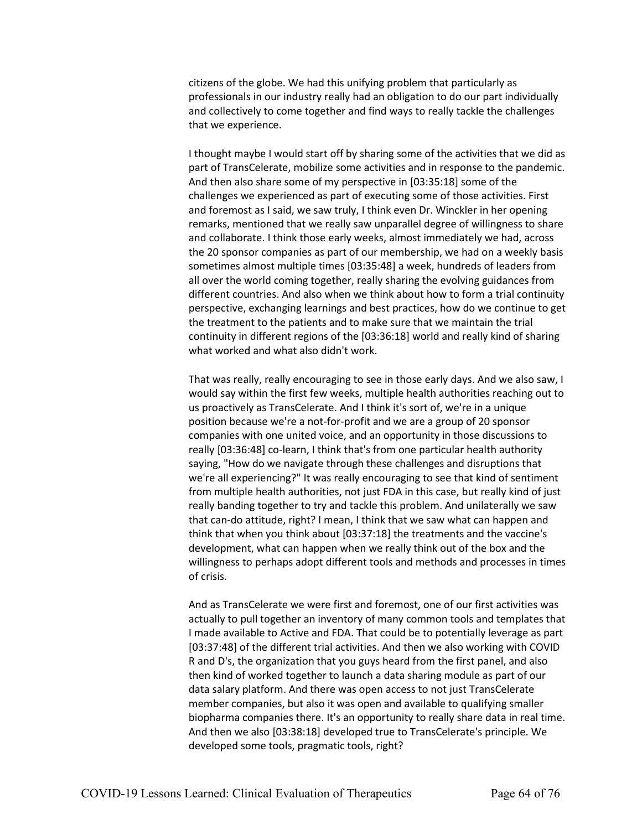citizens of the globe. We had this unifying problem that particularly as professionals in our industry really had an obligation to do our part individually and collectively to come together and find ways to really tackle the challenges that we experience.

I thought maybe I would start off by sharing some of the activities that we did as part of TransCelerate, mobilize some activities and in response to the pandemic. And then also share some of my perspective in [03:35:18] some of the challenges we experienced as part of executing some of those activities. First and foremost as I said, we saw truly, I think even Dr. Winckler in her opening remarks, mentioned that we really saw unparallel degree of willingness to share and collaborate. I think those early weeks, almost immediately we had, across the 20 sponsor companies as part of our membership, we had on a weekly basis sometimes almost multiple times [03:35:48] a week, hundreds of leaders from all over the world coming together, really sharing the evolving guidances from different countries. And also when we think about how to form a trial continuity perspective, exchanging learnings and best practices, how do we continue to get the treatment to the patients and to make sure that we maintain the trial continuity in different regions of the [03:36:18] world and really kind of sharing what worked and what also didn't work.

That was really, really encouraging to see in those early days. And we also saw, I would say within the first few weeks, multiple health authorities reaching out to us proactively as TransCelerate. And I think it's sort of, we're in a unique position because we're a not-for-profit and we are a group of 20 sponsor companies with one united voice, and an opportunity in those discussions to really [03:36:48] co-learn, I think that's from one particular health authority saying, "How do we navigate through these challenges and disruptions that we're all experiencing?" It was really encouraging to see that kind of sentiment from multiple health authorities, not just FDA in this case, but really kind of just really banding together to try and tackle this problem. And unilaterally we saw that can-do attitude, right? I mean, I think that we saw what can happen and think that when you think about [03:37:18] the treatments and the vaccine's development, what can happen when we really think out of the box and the willingness to perhaps adopt different tools and methods and processes in times of crisis.

And as TransCelerate we were first and foremost, one of our first activities was actually to pull together an inventory of many common tools and templates that I made available to Active and FDA. That could be to potentially leverage as part [03:37:48] of the different trial activities. And then we also working with COVID R and D's, the organization that you guys heard from the first panel, and also then kind of worked together to launch a data sharing module as part of our data salary platform. And there was open access to not just TransCelerate member companies, but also it was open and available to qualifying smaller biopharma companies there. It's an opportunity to really share data in real time. And then we also [03:38:18] developed true to TransCelerate's principle. We developed some tools, pragmatic tools, right?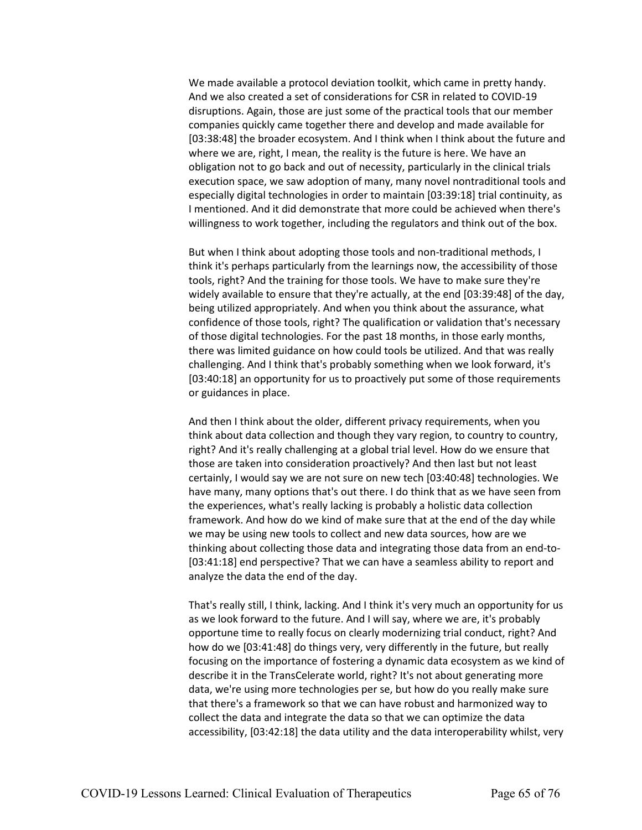We made available a protocol deviation toolkit, which came in pretty handy. And we also created a set of considerations for CSR in related to COVID-19 disruptions. Again, those are just some of the practical tools that our member companies quickly came together there and develop and made available for [03:38:48] the broader ecosystem. And I think when I think about the future and where we are, right, I mean, the reality is the future is here. We have an obligation not to go back and out of necessity, particularly in the clinical trials execution space, we saw adoption of many, many novel nontraditional tools and especially digital technologies in order to maintain [03:39:18] trial continuity, as I mentioned. And it did demonstrate that more could be achieved when there's willingness to work together, including the regulators and think out of the box.

But when I think about adopting those tools and non-traditional methods, I think it's perhaps particularly from the learnings now, the accessibility of those tools, right? And the training for those tools. We have to make sure they're widely available to ensure that they're actually, at the end [03:39:48] of the day, being utilized appropriately. And when you think about the assurance, what confidence of those tools, right? The qualification or validation that's necessary of those digital technologies. For the past 18 months, in those early months, there was limited guidance on how could tools be utilized. And that was really challenging. And I think that's probably something when we look forward, it's [03:40:18] an opportunity for us to proactively put some of those requirements or guidances in place.

And then I think about the older, different privacy requirements, when you think about data collection and though they vary region, to country to country, right? And it's really challenging at a global trial level. How do we ensure that those are taken into consideration proactively? And then last but not least certainly, I would say we are not sure on new tech [03:40:48] technologies. We have many, many options that's out there. I do think that as we have seen from the experiences, what's really lacking is probably a holistic data collection framework. And how do we kind of make sure that at the end of the day while we may be using new tools to collect and new data sources, how are we thinking about collecting those data and integrating those data from an end-to- [03:41:18] end perspective? That we can have a seamless ability to report and analyze the data the end of the day.

That's really still, I think, lacking. And I think it's very much an opportunity for us as we look forward to the future. And I will say, where we are, it's probably opportune time to really focus on clearly modernizing trial conduct, right? And how do we [03:41:48] do things very, very differently in the future, but really focusing on the importance of fostering a dynamic data ecosystem as we kind of describe it in the TransCelerate world, right? It's not about generating more data, we're using more technologies per se, but how do you really make sure that there's a framework so that we can have robust and harmonized way to collect the data and integrate the data so that we can optimize the data accessibility, [03:42:18] the data utility and the data interoperability whilst, very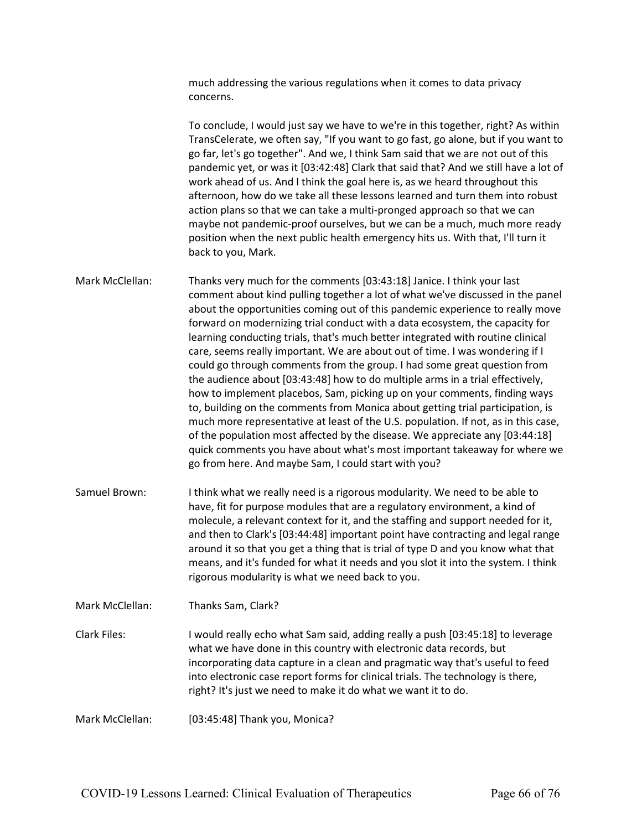much addressing the various regulations when it comes to data privacy concerns.

To conclude, I would just say we have to we're in this together, right? As within TransCelerate, we often say, "If you want to go fast, go alone, but if you want to go far, let's go together". And we, I think Sam said that we are not out of this pandemic yet, or was it [03:42:48] Clark that said that? And we still have a lot of work ahead of us. And I think the goal here is, as we heard throughout this afternoon, how do we take all these lessons learned and turn them into robust action plans so that we can take a multi-pronged approach so that we can maybe not pandemic-proof ourselves, but we can be a much, much more ready position when the next public health emergency hits us. With that, I'll turn it back to you, Mark.

Mark McClellan: Thanks very much for the comments [03:43:18] Janice. I think your last comment about kind pulling together a lot of what we've discussed in the panel about the opportunities coming out of this pandemic experience to really move forward on modernizing trial conduct with a data ecosystem, the capacity for learning conducting trials, that's much better integrated with routine clinical care, seems really important. We are about out of time. I was wondering if I could go through comments from the group. I had some great question from the audience about [03:43:48] how to do multiple arms in a trial effectively, how to implement placebos, Sam, picking up on your comments, finding ways to, building on the comments from Monica about getting trial participation, is much more representative at least of the U.S. population. If not, as in this case, of the population most affected by the disease. We appreciate any [03:44:18] quick comments you have about what's most important takeaway for where we go from here. And maybe Sam, I could start with you?

Samuel Brown: I think what we really need is a rigorous modularity. We need to be able to have, fit for purpose modules that are a regulatory environment, a kind of molecule, a relevant context for it, and the staffing and support needed for it, and then to Clark's [03:44:48] important point have contracting and legal range around it so that you get a thing that is trial of type D and you know what that means, and it's funded for what it needs and you slot it into the system. I think rigorous modularity is what we need back to you.

Mark McClellan: Thanks Sam, Clark?

Clark Files: I would really echo what Sam said, adding really a push [03:45:18] to leverage what we have done in this country with electronic data records, but incorporating data capture in a clean and pragmatic way that's useful to feed into electronic case report forms for clinical trials. The technology is there, right? It's just we need to make it do what we want it to do.

Mark McClellan: [03:45:48] Thank you, Monica?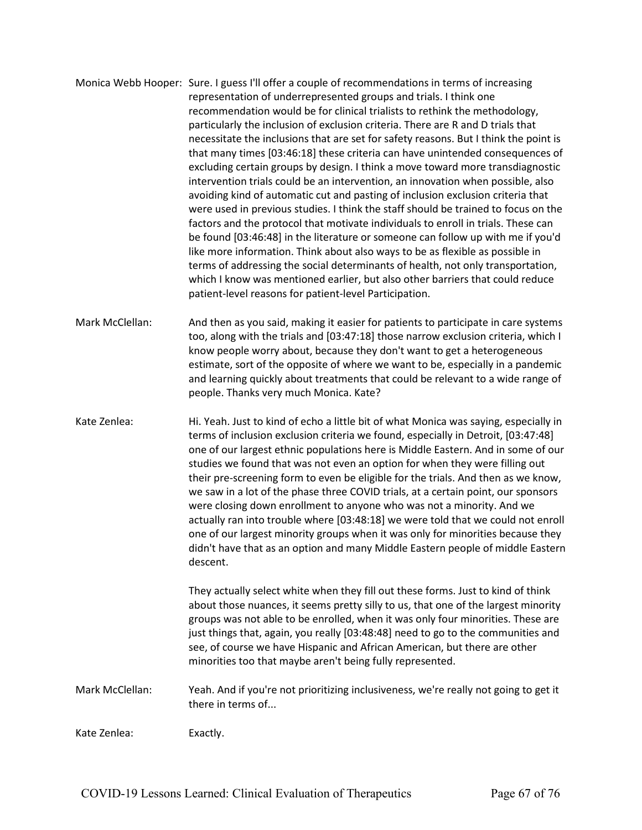Monica Webb Hooper: Sure. I guess I'll offer a couple of recommendations in terms of increasing representation of underrepresented groups and trials. I think one recommendation would be for clinical trialists to rethink the methodology, particularly the inclusion of exclusion criteria. There are R and D trials that necessitate the inclusions that are set for safety reasons. But I think the point is that many times [03:46:18] these criteria can have unintended consequences of excluding certain groups by design. I think a move toward more transdiagnostic intervention trials could be an intervention, an innovation when possible, also avoiding kind of automatic cut and pasting of inclusion exclusion criteria that were used in previous studies. I think the staff should be trained to focus on the factors and the protocol that motivate individuals to enroll in trials. These can be found [03:46:48] in the literature or someone can follow up with me if you'd like more information. Think about also ways to be as flexible as possible in terms of addressing the social determinants of health, not only transportation, which I know was mentioned earlier, but also other barriers that could reduce patient-level reasons for patient-level Participation.

Mark McClellan: And then as you said, making it easier for patients to participate in care systems too, along with the trials and [03:47:18] those narrow exclusion criteria, which I know people worry about, because they don't want to get a heterogeneous estimate, sort of the opposite of where we want to be, especially in a pandemic and learning quickly about treatments that could be relevant to a wide range of people. Thanks very much Monica. Kate?

Kate Zenlea: Hi. Yeah. Just to kind of echo a little bit of what Monica was saying, especially in terms of inclusion exclusion criteria we found, especially in Detroit, [03:47:48] one of our largest ethnic populations here is Middle Eastern. And in some of our studies we found that was not even an option for when they were filling out their pre-screening form to even be eligible for the trials. And then as we know, we saw in a lot of the phase three COVID trials, at a certain point, our sponsors were closing down enrollment to anyone who was not a minority. And we actually ran into trouble where [03:48:18] we were told that we could not enroll one of our largest minority groups when it was only for minorities because they didn't have that as an option and many Middle Eastern people of middle Eastern descent.

> They actually select white when they fill out these forms. Just to kind of think about those nuances, it seems pretty silly to us, that one of the largest minority groups was not able to be enrolled, when it was only four minorities. These are just things that, again, you really [03:48:48] need to go to the communities and see, of course we have Hispanic and African American, but there are other minorities too that maybe aren't being fully represented.

Mark McClellan: Yeah. And if you're not prioritizing inclusiveness, we're really not going to get it there in terms of...

Kate Zenlea: Exactly.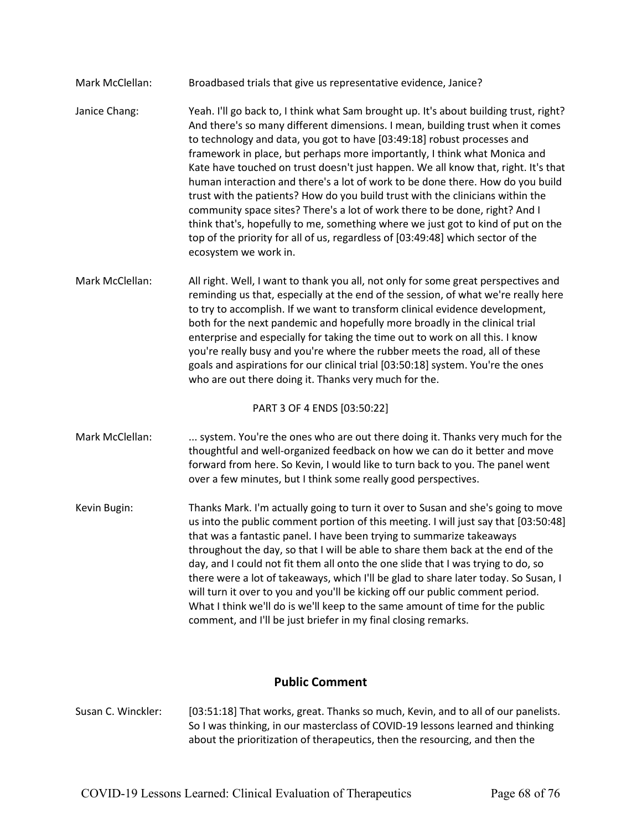| Mark McClellan:             | Broadbased trials that give us representative evidence, Janice?                                                                                                                                                                                                                                                                                                                                                                                                                                                                                                                                                                                                                                                                                                                                                                                                          |  |
|-----------------------------|--------------------------------------------------------------------------------------------------------------------------------------------------------------------------------------------------------------------------------------------------------------------------------------------------------------------------------------------------------------------------------------------------------------------------------------------------------------------------------------------------------------------------------------------------------------------------------------------------------------------------------------------------------------------------------------------------------------------------------------------------------------------------------------------------------------------------------------------------------------------------|--|
| Janice Chang:               | Yeah. I'll go back to, I think what Sam brought up. It's about building trust, right?<br>And there's so many different dimensions. I mean, building trust when it comes<br>to technology and data, you got to have [03:49:18] robust processes and<br>framework in place, but perhaps more importantly, I think what Monica and<br>Kate have touched on trust doesn't just happen. We all know that, right. It's that<br>human interaction and there's a lot of work to be done there. How do you build<br>trust with the patients? How do you build trust with the clinicians within the<br>community space sites? There's a lot of work there to be done, right? And I<br>think that's, hopefully to me, something where we just got to kind of put on the<br>top of the priority for all of us, regardless of [03:49:48] which sector of the<br>ecosystem we work in. |  |
| Mark McClellan:             | All right. Well, I want to thank you all, not only for some great perspectives and<br>reminding us that, especially at the end of the session, of what we're really here<br>to try to accomplish. If we want to transform clinical evidence development,<br>both for the next pandemic and hopefully more broadly in the clinical trial<br>enterprise and especially for taking the time out to work on all this. I know<br>you're really busy and you're where the rubber meets the road, all of these<br>goals and aspirations for our clinical trial [03:50:18] system. You're the ones<br>who are out there doing it. Thanks very much for the.                                                                                                                                                                                                                      |  |
| PART 3 OF 4 ENDS [03:50:22] |                                                                                                                                                                                                                                                                                                                                                                                                                                                                                                                                                                                                                                                                                                                                                                                                                                                                          |  |
| Mark McClellan:             | system. You're the ones who are out there doing it. Thanks very much for the<br>thoughtful and well-organized feedback on how we can do it better and move<br>forward from here. So Kevin, I would like to turn back to you. The panel went<br>over a few minutes, but I think some really good perspectives.                                                                                                                                                                                                                                                                                                                                                                                                                                                                                                                                                            |  |
| Kevin Bugin:                | Thanks Mark. I'm actually going to turn it over to Susan and she's going to move<br>us into the public comment portion of this meeting. I will just say that [03:50:48]<br>that was a fantastic panel. I have been trying to summarize takeaways<br>throughout the day, so that I will be able to share them back at the end of the<br>day, and I could not fit them all onto the one slide that I was trying to do, so<br>there were a lot of takeaways, which I'll be glad to share later today. So Susan, I<br>will turn it over to you and you'll be kicking off our public comment period.<br>What I think we'll do is we'll keep to the same amount of time for the public<br>comment, and I'll be just briefer in my final closing remarks.                                                                                                                       |  |

# **Public Comment**

Susan C. Winckler: [03:51:18] That works, great. Thanks so much, Kevin, and to all of our panelists. So I was thinking, in our masterclass of COVID-19 lessons learned and thinking about the prioritization of therapeutics, then the resourcing, and then the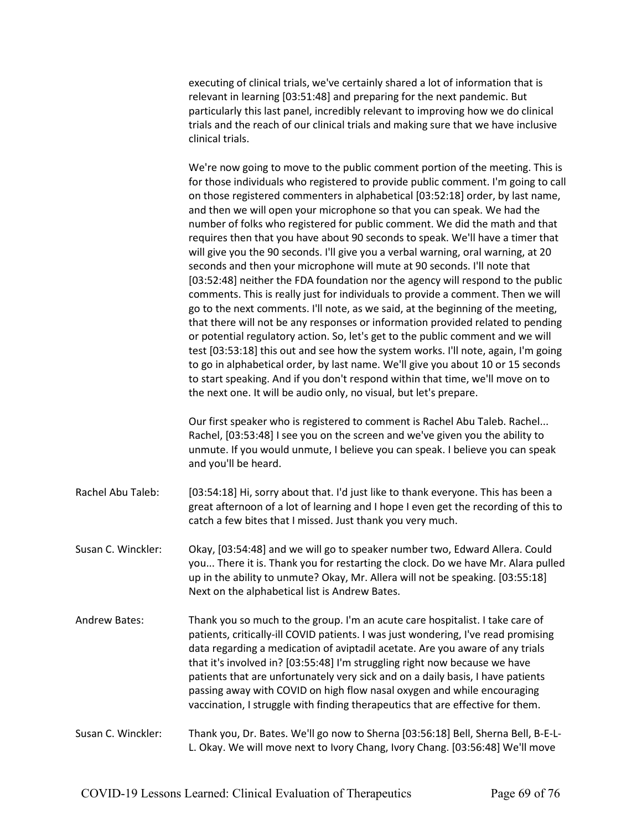executing of clinical trials, we've certainly shared a lot of information that is relevant in learning [03:51:48] and preparing for the next pandemic. But particularly this last panel, incredibly relevant to improving how we do clinical trials and the reach of our clinical trials and making sure that we have inclusive clinical trials.

We're now going to move to the public comment portion of the meeting. This is for those individuals who registered to provide public comment. I'm going to call on those registered commenters in alphabetical [03:52:18] order, by last name, and then we will open your microphone so that you can speak. We had the number of folks who registered for public comment. We did the math and that requires then that you have about 90 seconds to speak. We'll have a timer that will give you the 90 seconds. I'll give you a verbal warning, oral warning, at 20 seconds and then your microphone will mute at 90 seconds. I'll note that [03:52:48] neither the FDA foundation nor the agency will respond to the public comments. This is really just for individuals to provide a comment. Then we will go to the next comments. I'll note, as we said, at the beginning of the meeting, that there will not be any responses or information provided related to pending or potential regulatory action. So, let's get to the public comment and we will test [03:53:18] this out and see how the system works. I'll note, again, I'm going to go in alphabetical order, by last name. We'll give you about 10 or 15 seconds to start speaking. And if you don't respond within that time, we'll move on to the next one. It will be audio only, no visual, but let's prepare.

Our first speaker who is registered to comment is Rachel Abu Taleb. Rachel... Rachel, [03:53:48] I see you on the screen and we've given you the ability to unmute. If you would unmute, I believe you can speak. I believe you can speak and you'll be heard.

Rachel Abu Taleb: [03:54:18] Hi, sorry about that. I'd just like to thank everyone. This has been a great afternoon of a lot of learning and I hope I even get the recording of this to catch a few bites that I missed. Just thank you very much.

Susan C. Winckler: Okay, [03:54:48] and we will go to speaker number two, Edward Allera. Could you... There it is. Thank you for restarting the clock. Do we have Mr. Alara pulled up in the ability to unmute? Okay, Mr. Allera will not be speaking. [03:55:18] Next on the alphabetical list is Andrew Bates.

Andrew Bates: Thank you so much to the group. I'm an acute care hospitalist. I take care of patients, critically-ill COVID patients. I was just wondering, I've read promising data regarding a medication of aviptadil acetate. Are you aware of any trials that it's involved in? [03:55:48] I'm struggling right now because we have patients that are unfortunately very sick and on a daily basis, I have patients passing away with COVID on high flow nasal oxygen and while encouraging vaccination, I struggle with finding therapeutics that are effective for them.

# Susan C. Winckler: Thank you, Dr. Bates. We'll go now to Sherna [03:56:18] Bell, Sherna Bell, B-E-L-L. Okay. We will move next to Ivory Chang, Ivory Chang. [03:56:48] We'll move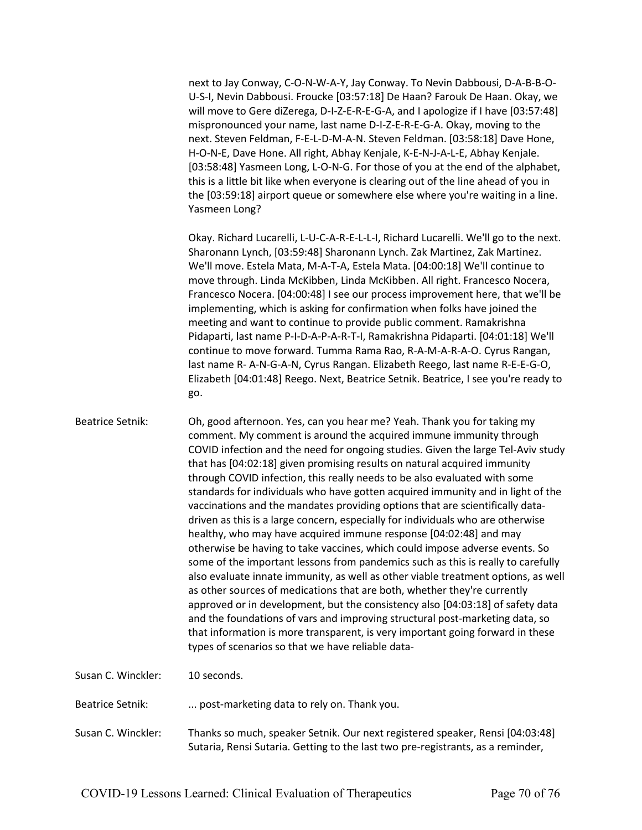next to Jay Conway, C-O-N-W-A-Y, Jay Conway. To Nevin Dabbousi, D-A-B-B-O-U-S-I, Nevin Dabbousi. Froucke [03:57:18] De Haan? Farouk De Haan. Okay, we will move to Gere diZerega, D-I-Z-E-R-E-G-A, and I apologize if I have [03:57:48] mispronounced your name, last name D-I-Z-E-R-E-G-A. Okay, moving to the next. Steven Feldman, F-E-L-D-M-A-N. Steven Feldman. [03:58:18] Dave Hone, H-O-N-E, Dave Hone. All right, Abhay Kenjale, K-E-N-J-A-L-E, Abhay Kenjale. [03:58:48] Yasmeen Long, L-O-N-G. For those of you at the end of the alphabet, this is a little bit like when everyone is clearing out of the line ahead of you in the [03:59:18] airport queue or somewhere else where you're waiting in a line. Yasmeen Long?

Okay. Richard Lucarelli, L-U-C-A-R-E-L-L-I, Richard Lucarelli. We'll go to the next. Sharonann Lynch, [03:59:48] Sharonann Lynch. Zak Martinez, Zak Martinez. We'll move. Estela Mata, M-A-T-A, Estela Mata. [04:00:18] We'll continue to move through. Linda McKibben, Linda McKibben. All right. Francesco Nocera, Francesco Nocera. [04:00:48] I see our process improvement here, that we'll be implementing, which is asking for confirmation when folks have joined the meeting and want to continue to provide public comment. Ramakrishna Pidaparti, last name P-I-D-A-P-A-R-T-I, Ramakrishna Pidaparti. [04:01:18] We'll continue to move forward. Tumma Rama Rao, R-A-M-A-R-A-O. Cyrus Rangan, last name R- A-N-G-A-N, Cyrus Rangan. Elizabeth Reego, last name R-E-E-G-O, Elizabeth [04:01:48] Reego. Next, Beatrice Setnik. Beatrice, I see you're ready to go.

| <b>Beatrice Setnik:</b> | Oh, good afternoon. Yes, can you hear me? Yeah. Thank you for taking my<br>comment. My comment is around the acquired immune immunity through<br>COVID infection and the need for ongoing studies. Given the large Tel-Aviv study<br>that has [04:02:18] given promising results on natural acquired immunity<br>through COVID infection, this really needs to be also evaluated with some<br>standards for individuals who have gotten acquired immunity and in light of the<br>vaccinations and the mandates providing options that are scientifically data-<br>driven as this is a large concern, especially for individuals who are otherwise<br>healthy, who may have acquired immune response [04:02:48] and may<br>otherwise be having to take vaccines, which could impose adverse events. So<br>some of the important lessons from pandemics such as this is really to carefully<br>also evaluate innate immunity, as well as other viable treatment options, as well<br>as other sources of medications that are both, whether they're currently<br>approved or in development, but the consistency also [04:03:18] of safety data<br>and the foundations of vars and improving structural post-marketing data, so<br>that information is more transparent, is very important going forward in these |
|-------------------------|----------------------------------------------------------------------------------------------------------------------------------------------------------------------------------------------------------------------------------------------------------------------------------------------------------------------------------------------------------------------------------------------------------------------------------------------------------------------------------------------------------------------------------------------------------------------------------------------------------------------------------------------------------------------------------------------------------------------------------------------------------------------------------------------------------------------------------------------------------------------------------------------------------------------------------------------------------------------------------------------------------------------------------------------------------------------------------------------------------------------------------------------------------------------------------------------------------------------------------------------------------------------------------------------------------------|
|                         | types of scenarios so that we have reliable data-                                                                                                                                                                                                                                                                                                                                                                                                                                                                                                                                                                                                                                                                                                                                                                                                                                                                                                                                                                                                                                                                                                                                                                                                                                                              |

Susan C. Winckler: 10 seconds.

Beatrice Setnik: ... post-marketing data to rely on. Thank you.

Susan C. Winckler: Thanks so much, speaker Setnik. Our next registered speaker, Rensi [04:03:48] Sutaria, Rensi Sutaria. Getting to the last two pre-registrants, as a reminder,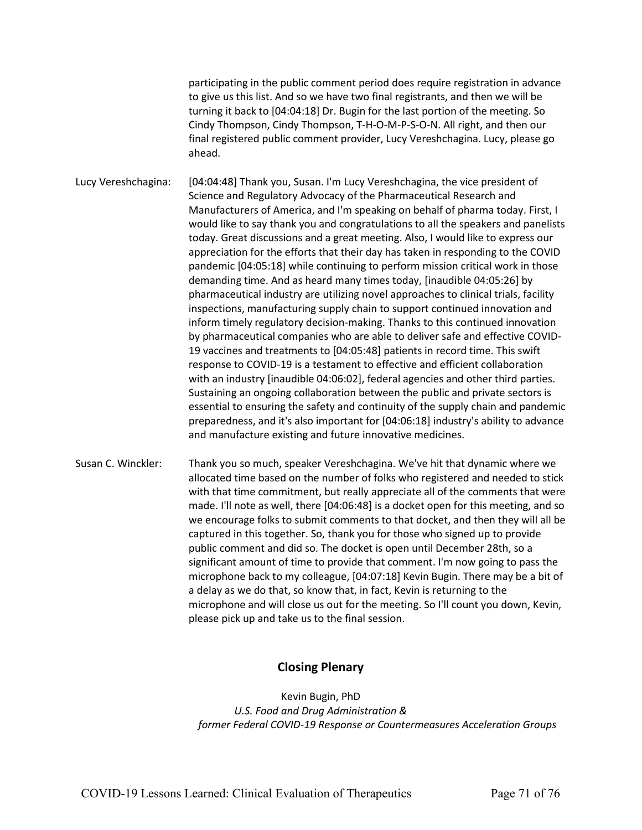participating in the public comment period does require registration in advance to give us this list. And so we have two final registrants, and then we will be turning it back to [04:04:18] Dr. Bugin for the last portion of the meeting. So Cindy Thompson, Cindy Thompson, T-H-O-M-P-S-O-N. All right, and then our final registered public comment provider, Lucy Vereshchagina. Lucy, please go ahead.

Lucy Vereshchagina: [04:04:48] Thank you, Susan. I'm Lucy Vereshchagina, the vice president of Science and Regulatory Advocacy of the Pharmaceutical Research and Manufacturers of America, and I'm speaking on behalf of pharma today. First, I would like to say thank you and congratulations to all the speakers and panelists today. Great discussions and a great meeting. Also, I would like to express our appreciation for the efforts that their day has taken in responding to the COVID pandemic [04:05:18] while continuing to perform mission critical work in those demanding time. And as heard many times today, [inaudible 04:05:26] by pharmaceutical industry are utilizing novel approaches to clinical trials, facility inspections, manufacturing supply chain to support continued innovation and inform timely regulatory decision-making. Thanks to this continued innovation by pharmaceutical companies who are able to deliver safe and effective COVID-19 vaccines and treatments to [04:05:48] patients in record time. This swift response to COVID-19 is a testament to effective and efficient collaboration with an industry [inaudible 04:06:02], federal agencies and other third parties. Sustaining an ongoing collaboration between the public and private sectors is essential to ensuring the safety and continuity of the supply chain and pandemic preparedness, and it's also important for [04:06:18] industry's ability to advance and manufacture existing and future innovative medicines.

Susan C. Winckler: Thank you so much, speaker Vereshchagina. We've hit that dynamic where we allocated time based on the number of folks who registered and needed to stick with that time commitment, but really appreciate all of the comments that were made. I'll note as well, there [04:06:48] is a docket open for this meeting, and so we encourage folks to submit comments to that docket, and then they will all be captured in this together. So, thank you for those who signed up to provide public comment and did so. The docket is open until December 28th, so a significant amount of time to provide that comment. I'm now going to pass the microphone back to my colleague, [04:07:18] Kevin Bugin. There may be a bit of a delay as we do that, so know that, in fact, Kevin is returning to the microphone and will close us out for the meeting. So I'll count you down, Kevin, please pick up and take us to the final session.

# **Closing Plenary**

Kevin Bugin, PhD *U.S. Food and Drug Administration & former Federal COVID-19 Response or Countermeasures Acceleration Groups*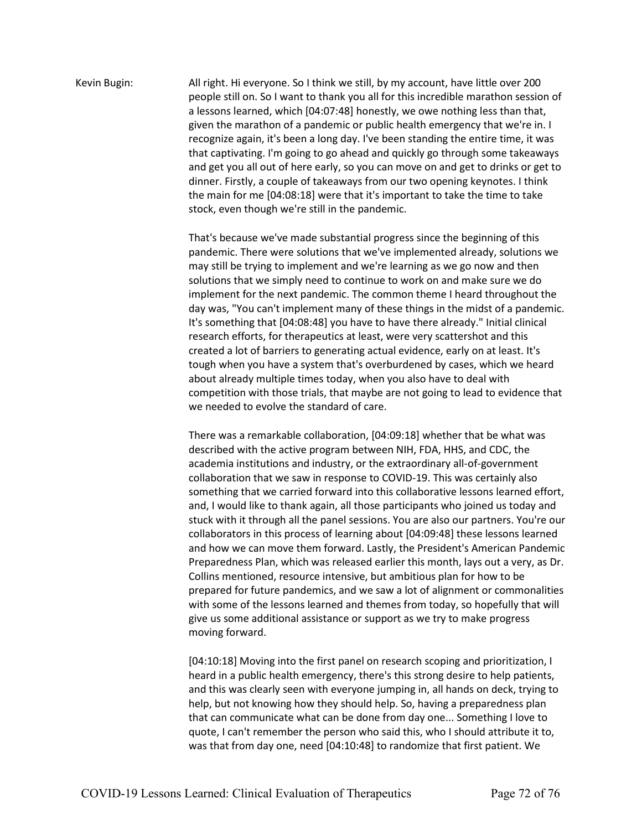Kevin Bugin: All right. Hi everyone. So I think we still, by my account, have little over 200 people still on. So I want to thank you all for this incredible marathon session of a lessons learned, which [04:07:48] honestly, we owe nothing less than that, given the marathon of a pandemic or public health emergency that we're in. I recognize again, it's been a long day. I've been standing the entire time, it was that captivating. I'm going to go ahead and quickly go through some takeaways and get you all out of here early, so you can move on and get to drinks or get to dinner. Firstly, a couple of takeaways from our two opening keynotes. I think the main for me [04:08:18] were that it's important to take the time to take stock, even though we're still in the pandemic.

> That's because we've made substantial progress since the beginning of this pandemic. There were solutions that we've implemented already, solutions we may still be trying to implement and we're learning as we go now and then solutions that we simply need to continue to work on and make sure we do implement for the next pandemic. The common theme I heard throughout the day was, "You can't implement many of these things in the midst of a pandemic. It's something that [04:08:48] you have to have there already." Initial clinical research efforts, for therapeutics at least, were very scattershot and this created a lot of barriers to generating actual evidence, early on at least. It's tough when you have a system that's overburdened by cases, which we heard about already multiple times today, when you also have to deal with competition with those trials, that maybe are not going to lead to evidence that we needed to evolve the standard of care.

> There was a remarkable collaboration, [04:09:18] whether that be what was described with the active program between NIH, FDA, HHS, and CDC, the academia institutions and industry, or the extraordinary all-of-government collaboration that we saw in response to COVID-19. This was certainly also something that we carried forward into this collaborative lessons learned effort, and, I would like to thank again, all those participants who joined us today and stuck with it through all the panel sessions. You are also our partners. You're our collaborators in this process of learning about [04:09:48] these lessons learned and how we can move them forward. Lastly, the President's American Pandemic Preparedness Plan, which was released earlier this month, lays out a very, as Dr. Collins mentioned, resource intensive, but ambitious plan for how to be prepared for future pandemics, and we saw a lot of alignment or commonalities with some of the lessons learned and themes from today, so hopefully that will give us some additional assistance or support as we try to make progress moving forward.

[04:10:18] Moving into the first panel on research scoping and prioritization, I heard in a public health emergency, there's this strong desire to help patients, and this was clearly seen with everyone jumping in, all hands on deck, trying to help, but not knowing how they should help. So, having a preparedness plan that can communicate what can be done from day one... Something I love to quote, I can't remember the person who said this, who I should attribute it to, was that from day one, need [04:10:48] to randomize that first patient. We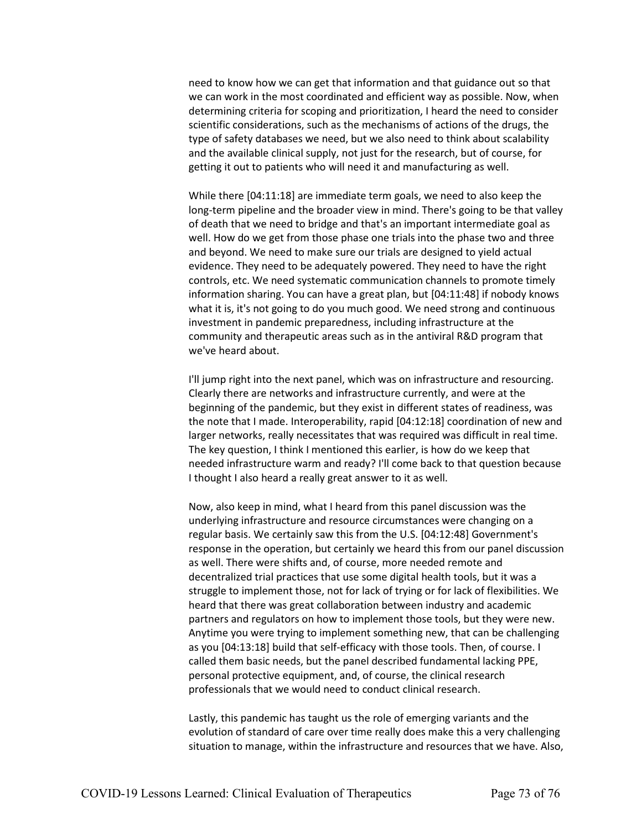need to know how we can get that information and that guidance out so that we can work in the most coordinated and efficient way as possible. Now, when determining criteria for scoping and prioritization, I heard the need to consider scientific considerations, such as the mechanisms of actions of the drugs, the type of safety databases we need, but we also need to think about scalability and the available clinical supply, not just for the research, but of course, for getting it out to patients who will need it and manufacturing as well.

While there [04:11:18] are immediate term goals, we need to also keep the long-term pipeline and the broader view in mind. There's going to be that valley of death that we need to bridge and that's an important intermediate goal as well. How do we get from those phase one trials into the phase two and three and beyond. We need to make sure our trials are designed to yield actual evidence. They need to be adequately powered. They need to have the right controls, etc. We need systematic communication channels to promote timely information sharing. You can have a great plan, but [04:11:48] if nobody knows what it is, it's not going to do you much good. We need strong and continuous investment in pandemic preparedness, including infrastructure at the community and therapeutic areas such as in the antiviral R&D program that we've heard about.

I'll jump right into the next panel, which was on infrastructure and resourcing. Clearly there are networks and infrastructure currently, and were at the beginning of the pandemic, but they exist in different states of readiness, was the note that I made. Interoperability, rapid [04:12:18] coordination of new and larger networks, really necessitates that was required was difficult in real time. The key question, I think I mentioned this earlier, is how do we keep that needed infrastructure warm and ready? I'll come back to that question because I thought I also heard a really great answer to it as well.

Now, also keep in mind, what I heard from this panel discussion was the underlying infrastructure and resource circumstances were changing on a regular basis. We certainly saw this from the U.S. [04:12:48] Government's response in the operation, but certainly we heard this from our panel discussion as well. There were shifts and, of course, more needed remote and decentralized trial practices that use some digital health tools, but it was a struggle to implement those, not for lack of trying or for lack of flexibilities. We heard that there was great collaboration between industry and academic partners and regulators on how to implement those tools, but they were new. Anytime you were trying to implement something new, that can be challenging as you [04:13:18] build that self-efficacy with those tools. Then, of course. I called them basic needs, but the panel described fundamental lacking PPE, personal protective equipment, and, of course, the clinical research professionals that we would need to conduct clinical research.

Lastly, this pandemic has taught us the role of emerging variants and the evolution of standard of care over time really does make this a very challenging situation to manage, within the infrastructure and resources that we have. Also,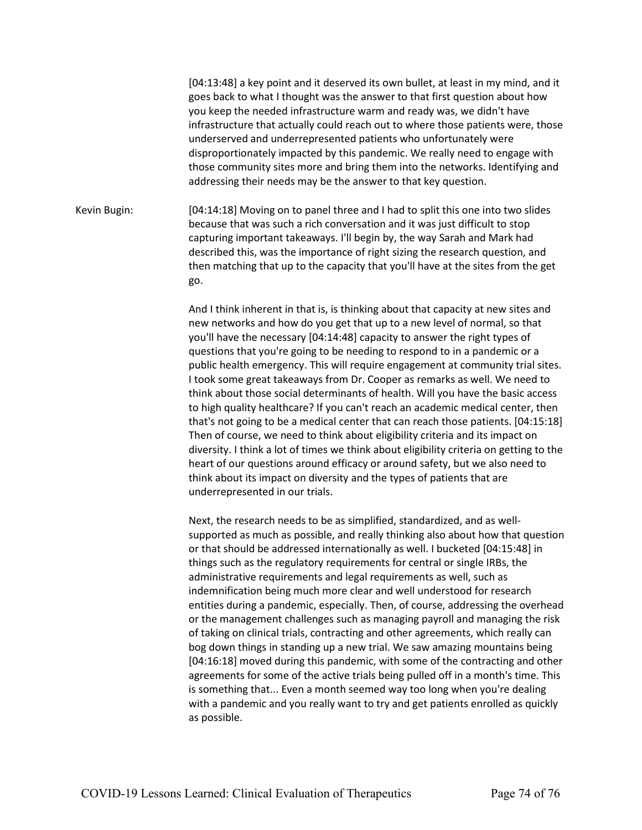[04:13:48] a key point and it deserved its own bullet, at least in my mind, and it goes back to what I thought was the answer to that first question about how you keep the needed infrastructure warm and ready was, we didn't have infrastructure that actually could reach out to where those patients were, those underserved and underrepresented patients who unfortunately were disproportionately impacted by this pandemic. We really need to engage with those community sites more and bring them into the networks. Identifying and addressing their needs may be the answer to that key question.

Kevin Bugin: [04:14:18] Moving on to panel three and I had to split this one into two slides because that was such a rich conversation and it was just difficult to stop capturing important takeaways. I'll begin by, the way Sarah and Mark had described this, was the importance of right sizing the research question, and then matching that up to the capacity that you'll have at the sites from the get go.

> And I think inherent in that is, is thinking about that capacity at new sites and new networks and how do you get that up to a new level of normal, so that you'll have the necessary [04:14:48] capacity to answer the right types of questions that you're going to be needing to respond to in a pandemic or a public health emergency. This will require engagement at community trial sites. I took some great takeaways from Dr. Cooper as remarks as well. We need to think about those social determinants of health. Will you have the basic access to high quality healthcare? If you can't reach an academic medical center, then that's not going to be a medical center that can reach those patients. [04:15:18] Then of course, we need to think about eligibility criteria and its impact on diversity. I think a lot of times we think about eligibility criteria on getting to the heart of our questions around efficacy or around safety, but we also need to think about its impact on diversity and the types of patients that are underrepresented in our trials.

> Next, the research needs to be as simplified, standardized, and as wellsupported as much as possible, and really thinking also about how that question or that should be addressed internationally as well. I bucketed [04:15:48] in things such as the regulatory requirements for central or single IRBs, the administrative requirements and legal requirements as well, such as indemnification being much more clear and well understood for research entities during a pandemic, especially. Then, of course, addressing the overhead or the management challenges such as managing payroll and managing the risk of taking on clinical trials, contracting and other agreements, which really can bog down things in standing up a new trial. We saw amazing mountains being [04:16:18] moved during this pandemic, with some of the contracting and other agreements for some of the active trials being pulled off in a month's time. This is something that... Even a month seemed way too long when you're dealing with a pandemic and you really want to try and get patients enrolled as quickly as possible.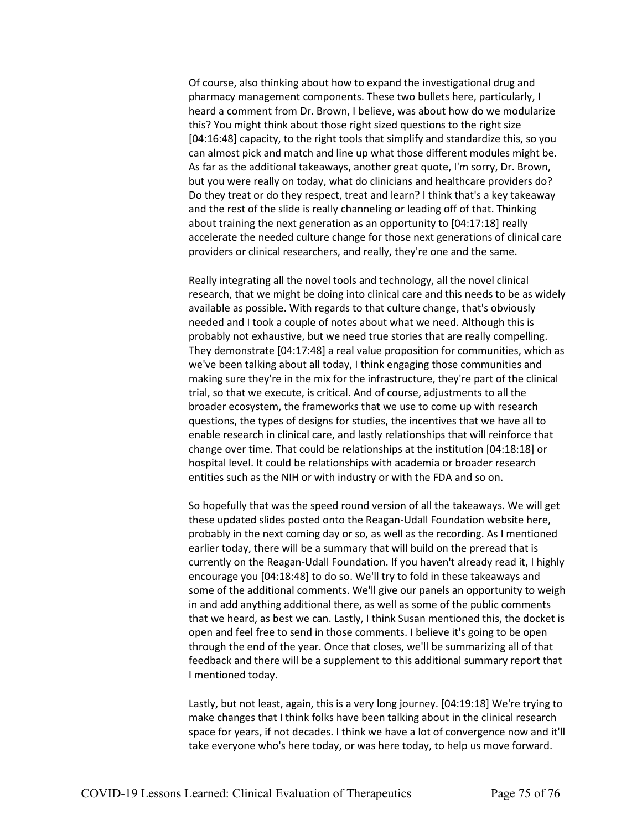Of course, also thinking about how to expand the investigational drug and pharmacy management components. These two bullets here, particularly, I heard a comment from Dr. Brown, I believe, was about how do we modularize this? You might think about those right sized questions to the right size [04:16:48] capacity, to the right tools that simplify and standardize this, so you can almost pick and match and line up what those different modules might be. As far as the additional takeaways, another great quote, I'm sorry, Dr. Brown, but you were really on today, what do clinicians and healthcare providers do? Do they treat or do they respect, treat and learn? I think that's a key takeaway and the rest of the slide is really channeling or leading off of that. Thinking about training the next generation as an opportunity to [04:17:18] really accelerate the needed culture change for those next generations of clinical care providers or clinical researchers, and really, they're one and the same.

Really integrating all the novel tools and technology, all the novel clinical research, that we might be doing into clinical care and this needs to be as widely available as possible. With regards to that culture change, that's obviously needed and I took a couple of notes about what we need. Although this is probably not exhaustive, but we need true stories that are really compelling. They demonstrate [04:17:48] a real value proposition for communities, which as we've been talking about all today, I think engaging those communities and making sure they're in the mix for the infrastructure, they're part of the clinical trial, so that we execute, is critical. And of course, adjustments to all the broader ecosystem, the frameworks that we use to come up with research questions, the types of designs for studies, the incentives that we have all to enable research in clinical care, and lastly relationships that will reinforce that change over time. That could be relationships at the institution [04:18:18] or hospital level. It could be relationships with academia or broader research entities such as the NIH or with industry or with the FDA and so on.

So hopefully that was the speed round version of all the takeaways. We will get these updated slides posted onto the Reagan-Udall Foundation website here, probably in the next coming day or so, as well as the recording. As I mentioned earlier today, there will be a summary that will build on the preread that is currently on the Reagan-Udall Foundation. If you haven't already read it, I highly encourage you [04:18:48] to do so. We'll try to fold in these takeaways and some of the additional comments. We'll give our panels an opportunity to weigh in and add anything additional there, as well as some of the public comments that we heard, as best we can. Lastly, I think Susan mentioned this, the docket is open and feel free to send in those comments. I believe it's going to be open through the end of the year. Once that closes, we'll be summarizing all of that feedback and there will be a supplement to this additional summary report that I mentioned today.

Lastly, but not least, again, this is a very long journey. [04:19:18] We're trying to make changes that I think folks have been talking about in the clinical research space for years, if not decades. I think we have a lot of convergence now and it'll take everyone who's here today, or was here today, to help us move forward.